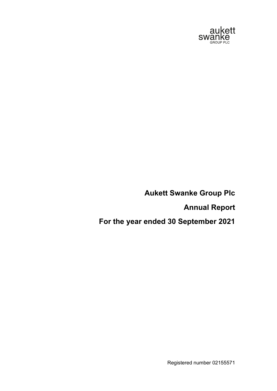

**Annual Report**

**For the year ended 30 September 2021**

Registered number 02155571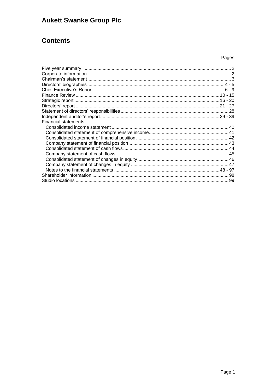## **Contents**

### Pages

| <b>Financial statements</b> |  |
|-----------------------------|--|
|                             |  |
|                             |  |
|                             |  |
|                             |  |
|                             |  |
|                             |  |
|                             |  |
|                             |  |
|                             |  |
|                             |  |
|                             |  |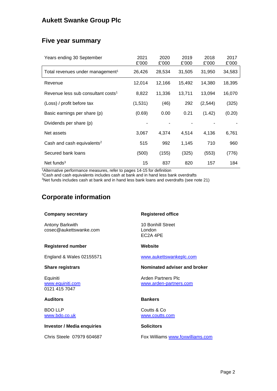## **Five year summary**

| Years ending 30 September                      | 2021<br>£'000 | 2020<br>£'000 | 2019<br>£'000 | 2018<br>£'000 | 2017<br>£'000 |
|------------------------------------------------|---------------|---------------|---------------|---------------|---------------|
| Total revenues under management <sup>1</sup>   | 26,426        | 28,534        | 31,505        | 31,950        | 34,583        |
| Revenue                                        | 12,014        | 12,166        | 15,492        | 14,380        | 18,395        |
| Revenue less sub consultant costs <sup>1</sup> | 8,822         | 11.336        | 13,711        | 13,094        | 16,070        |
| (Loss) / profit before tax                     | (1,531)       | (46)          | 292           | (2, 544)      | (325)         |
| Basic earnings per share (p)                   | (0.69)        | 0.00          | 0.21          | (1.42)        | (0.20)        |
| Dividends per share (p)                        |               |               |               |               |               |
| Net assets                                     | 3,067         | 4,374         | 4,514         | 4,136         | 6,761         |
| Cash and cash equivalents <sup>2</sup>         | 515           | 992           | 1,145         | 710           | 960           |
| Secured bank loans                             | (500)         | (155)         | (325)         | (553)         | (776)         |
| Net funds $3$                                  | 15            | 837           | 820           | 157           | 184           |

<sup>1</sup>Alternative performance measures, refer to pages 14-15 for definition

<sup>2</sup>Cash and cash equivalents includes cash at bank and in hand less bank overdrafts

<sup>3</sup>Net funds includes cash at bank and in hand less bank loans and overdrafts (see note 21)

## **Corporate information**

| <b>Company secretary</b>                      | <b>Registered office</b>                             |
|-----------------------------------------------|------------------------------------------------------|
| Antony Barkwith<br>cosec@aukettswanke.com     | 10 Bonhill Street<br>London<br>EC <sub>2</sub> A 4PE |
| Registered number                             | Website                                              |
| England & Wales 02155571                      | www.aukettswankeplc.com                              |
| <b>Share registrars</b>                       | Nominated adviser and broker                         |
| Equiniti<br>www.equiniti.com<br>0121 415 7047 | Arden Partners Plc<br>www.arden-partners.com         |
| <b>Auditors</b>                               | <b>Bankers</b>                                       |
| BDO LLP<br>www.bdo.co.uk                      | Coutts & Co<br>www.coutts.com                        |
| <b>Investor / Media enquiries</b>             | <b>Solicitors</b>                                    |

Chris Steele 07979 604687

Fox Williams [www.foxwilliams.com](http://www.foxwilliams.com/)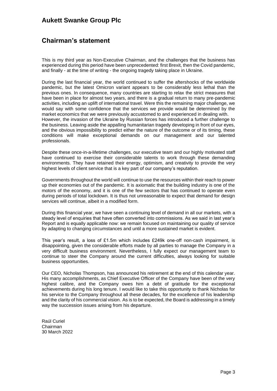## **Chairman's statement**

This is my third year as Non-Executive Chairman, and the challenges that the business has experienced during this period have been unprecedented: first Brexit, then the Covid pandemic, and finally - at the time of writing - the ongoing tragedy taking place in Ukraine.

During the last financial year, the world continued to suffer the aftershocks of the worldwide pandemic, but the latest Omicron variant appears to be considerably less lethal than the previous ones. In consequence, many countries are starting to relax the strict measures that have been in place for almost two years, and there is a gradual return to many pre-pandemic activities, including an uplift of international travel. Were this the remaining major challenge, we would say with some confidence that the services we provide would be determined by the market economics that we were previously accustomed to and experienced in dealing with. However, the invasion of the Ukraine by Russian forces has introduced a further challenge to the business. Leaving aside the appalling humanitarian tragedy developing in front of our eyes, and the obvious impossibility to predict either the nature of the outcome or of its timing, these conditions will make exceptional demands on our management and our talented professionals.

Despite these once-in-a-lifetime challenges, our executive team and our highly motivated staff have continued to exercise their considerable talents to work through these demanding environments. They have retained their energy, optimism, and creativity to provide the very highest levels of client service that is a key part of our company's reputation.

Governments throughout the world will continue to use the resources within their reach to power up their economies out of the pandemic. It is axiomatic that the building industry is one of the motors of the economy, and it is one of the few sectors that has continued to operate even during periods of total lockdown. It is thus not unreasonable to expect that demand for design services will continue, albeit in a modified form.

During this financial year, we have seen a continuing level of demand in all our markets, with a steady level of enquiries that have often converted into commissions. As we said in last year's Report and is equally applicable now: we remain focused on maintaining our quality of service by adapting to changing circumstances and until a more sustained market is evident.

This year's result, a loss of £1.5m which includes £249k one-off non-cash impairment, is disappointing, given the considerable efforts made by all parties to manage the Company in a very difficult business environment. Nevertheless, I fully expect our management team to continue to steer the Company around the current difficulties, always looking for suitable business opportunities.

Our CEO, Nicholas Thompson, has announced his retirement at the end of this calendar year. His many accomplishments, as Chief Executive Officer of the Company have been of the very highest calibre, and the Company owes him a debt of gratitude for the exceptional achievements during his long tenure. I would like to take this opportunity to thank Nicholas for his service to the Company throughout all these decades, for the excellence of his leadership and the clarity of his commercial vision. As is to be expected, the Board is addressing in a timely way the succession issues arising from his departure.

Raúl Curiel Chairman 30 March 2022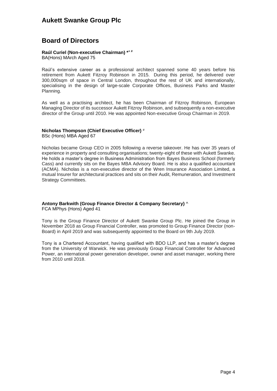### **Board of Directors**

### **Raúl Curiel (Non-executive Chairman) \* + #**

BA(Hons) MArch Aged 75

Raúl's extensive career as a professional architect spanned some 40 years before his retirement from Aukett Fitzroy Robinson in 2015. During this period, he delivered over 300,000sqm of space in Central London, throughout the rest of UK and internationally, specialising in the design of large-scale Corporate Offices, Business Parks and Master Planning.

As well as a practising architect, he has been Chairman of Fitzroy Robinson, European Managing Director of its successor Aukett Fitzroy Robinson, and subsequently a non-executive director of the Group until 2010. He was appointed Non-executive Group Chairman in 2019.

### **Nicholas Thompson (Chief Executive Officer)** #

BSc (Hons) MBA Aged 67

Nicholas became Group CEO in 2005 following a reverse takeover. He has over 35 years of experience in property and consulting organisations; twenty-eight of these with Aukett Swanke. He holds a master's degree in Business Administration from Bayes Business School (formerly Cass) and currently sits on the Bayes MBA Advisory Board. He is also a qualified accountant (ACMA). Nicholas is a non-executive director of the Wren Insurance Association Limited, a mutual Insurer for architectural practices and sits on their Audit, Remuneration, and Investment Strategy Committees.

### **Antony Barkwith (Group Finance Director & Company Secretary)** ^

FCA MPhys (Hons) Aged 41

Tony is the Group Finance Director of Aukett Swanke Group Plc. He joined the Group in November 2018 as Group Financial Controller, was promoted to Group Finance Director (non-Board) in April 2019 and was subsequently appointed to the Board on 9th July 2019.

Tony is a Chartered Accountant, having qualified with BDO LLP, and has a master's degree from the University of Warwick. He was previously Group Financial Controller for Advanced Power, an international power generation developer, owner and asset manager, working there from 2010 until 2018.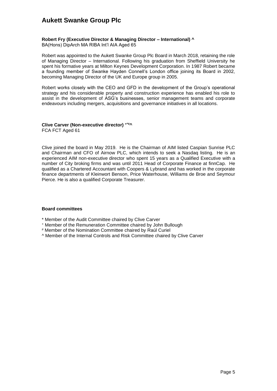### **Robert Fry (Executive Director & Managing Director – International) ^**

BA(Hons) DipArch MA RIBA Int'l AIA Aged 65

Robert was appointed to the Aukett Swanke Group Plc Board in March 2018, retaining the role of Managing Director – International. Following his graduation from Sheffield University he spent his formative years at Milton Keynes Development Corporation. In 1987 Robert became a founding member of Swanke Hayden Connell's London office joining its Board in 2002, becoming Managing Director of the UK and Europe group in 2005.

Robert works closely with the CEO and GFD in the development of the Group's operational strategy and his considerable property and construction experience has enabled his role to assist in the development of ASG's businesses, senior management teams and corporate endeavours including mergers, acquisitions and governance initiatives in all locations.

#### **Clive Carver (Non-executive director) +\*#^** FCA FCT Aged 61

Clive joined the board in May 2019. He is the Chairman of AIM listed Caspian Sunrise PLC and Chairman and CFO of Airnow PLC, which intends to seek a Nasdaq listing. He is an experienced AIM non-executive director who spent 15 years as a Qualified Executive with a number of City broking firms and was until 2011 Head of Corporate Finance at finnCap. He qualified as a Chartered Accountant with Coopers & Lybrand and has worked in the corporate finance departments of Kleinwort Benson, Price Waterhouse, Williams de Broe and Seymour Pierce. He is also a qualified Corporate Treasurer.

### **Board committees**

- \* Member of the Audit Committee chaired by Clive Carver
- <sup>+</sup> Member of the Remuneration Committee chaired by John Bullough
- # Member of the Nomination Committee chaired by Raúl Curiel
- ^ Member of the Internal Controls and Risk Committee chaired by Clive Carver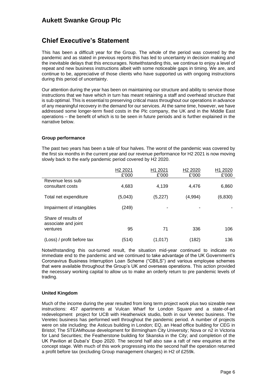### **Chief Executive's Statement**

This has been a difficult year for the Group. The whole of the period was covered by the pandemic and as stated in previous reports this has led to uncertainty in decision making and the inevitable delays that this encourages. Notwithstanding this, we continue to enjoy a level of repeat and new business instructions albeit with some noticeable gaps in timing. We are, and continue to be, appreciative of those clients who have supported us with ongoing instructions during this period of uncertainty.

Our attention during the year has been on maintaining our structure and ability to service those instructions that we have which in turn has meant retaining a staff and overhead structure that is sub optimal. This is essential to preserving critical mass throughout our operations in advance of any meaningful recovery in the demand for our services. At the same time, however, we have addressed some longer-term fixed costs in the Plc company, the UK and in the Middle East operations – the benefit of which is to be seen in future periods and is further explained in the narrative below.

#### **Group performance**

The past two years has been a tale of four halves. The worst of the pandemic was covered by the first six months in the current year and our revenue performance for H2 2021 is now moving slowly back to the early pandemic period covered by H2 2020.

|                                                        | H <sub>2</sub> 2021<br>£'000 | H <sub>1</sub> 2021<br>£'000 | H <sub>2</sub> 2020<br>£'000 | H <sub>1</sub> 2020<br>£'000 |
|--------------------------------------------------------|------------------------------|------------------------------|------------------------------|------------------------------|
| Revenue less sub<br>consultant costs                   | 4,683                        | 4,139                        | 4,476                        | 6,860                        |
| Total net expenditure                                  | (5,043)                      | (5,227)                      | (4,994)                      | (6, 830)                     |
| Impairment of intangibles                              | (249)                        |                              |                              |                              |
| Share of results of<br>associate and joint<br>ventures | 95                           | 71                           | 336                          | 106                          |
| (Loss) / profit before tax                             | (514)                        | (1,017)                      | (182)                        | 136                          |

Notwithstanding this out-turned result, the situation mid-year continued to indicate no immediate end to the pandemic and we continued to take advantage of the UK Government's Coronavirus Business Interruption Loan Scheme ("CBILS") and various employee schemes that were available throughout the Group's UK and overseas operations. This action provided the necessary working capital to allow us to make an orderly return to pre pandemic levels of trading.

### **United Kingdom**

Much of the income during the year resulted from long term project work plus two sizeable new instructions: 457 apartments at Vulcan Wharf for London Square and a state-of-art redevelopment project for UCB with Heatherwick studio, both in our Veretec business. The Veretec business has performed well throughout the pandemic period. A number of projects were on site including: the Asticus building in London; EQ, an Head office building for CEG in Bristol; The STEAMhouse development for Birmingham City University; Nova or n2 in Victoria for Land Securities; the Featherstone building for Skanska in the City; and completion of the UK Pavilion at Dubai's' Expo 2020. The second half also saw a raft of new enquiries at the concept stage. With much of this work progressing into the second half the operation returned a profit before tax (excluding Group management charges) in H2 of £259k.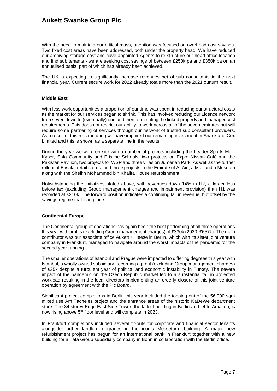With the need to maintain our critical mass, attention was focused on overhead cost savings. Two fixed cost areas have been addressed, both under the property head. We have reduced our archiving storage cost and have appointed Agents to re-structure our head office location and find sub tenants - we are seeking cost savings of between £250k pa and £350k pa on an annualised basis, part of which has already been achieved.

The UK is expecting to significantly increase revenues net of sub consultants in the next financial year. Current secure work for 2022 already totals more than the 2021 outturn result.

#### **Middle East**

With less work opportunities a proportion of our time was spent in reducing our structural costs as the market for our services began to shrink. This has involved reducing our Licence network from seven down to (eventually) one and then terminating the linked property and manager cost requirements. This does not restrict our ability to work across all of the seven emirates but will require some partnering of services through our network of trusted sub consultant providers. As a result of this re-structuring we have impaired our remaining investment in Shankland Cox Limited and this is shown as a separate line in the results.

During the year we were on site with a number of projects including the Leader Sports Mall, Kyber, Safa Community and Pristine Schools, two projects on Expo: Nissan Café and the Pakistan Pavilion, two projects for WSP and three villas on Jumeriah Park. As well as the further rollout of Etisalat retail stores, and three projects in the Emirate of Al-Ain, a Mall and a Museum along with the Sheikh Mohammed bin Khalifa House refurbishment.

Notwithstanding the initiatives stated above, with revenues down 14% in H2, a larger loss before tax (excluding Group management charges and impairment provision) than H1 was recorded at £210k. The forward position indicates a continuing fall in revenue, but offset by the savings regime that is in place.

#### **Continental Europe**

The Continental group of operations has again been the best performing of all three operations this year with profits (excluding Group management charges) of £330k (2020: £657k). The main contributor was our associate office Aukett + Heese in Berlin, which with its sister joint venture company in Frankfurt, managed to navigate around the worst impacts of the pandemic for the second year running.

The smaller operations of Istanbul and Prague were impacted to differing degrees this year with Istanbul, a wholly owned subsidiary, recording a profit (excluding Group management charges) of £35k despite a turbulent year of political and economic instability in Turkey. The severe impact of the pandemic on the Czech Republic market led to a substantial fall in projected workload resulting in the local directors implementing an orderly closure of this joint venture operation by agreement with the Plc Board.

Significant project completions in Berlin this year included the topping out of the 56,000 sqm mixed use Am Tacheles project and the entrance areas of the historic KaDeWe department store. The 34 storey Edge East Side Tower, the tallest building in Berlin and let to Amazon, is now rising above 5<sup>th</sup> floor level and will complete in 2023.

In Frankfurt completions included several fit-outs for corporate and financial sector tenants alongside further landlord upgrades in the iconic Messeturm building. A major new refurbishment project has begun for an international bank in Frankfurt together with a new building for a Tata Group subsidiary company in Bonn in collaboration with the Berlin office.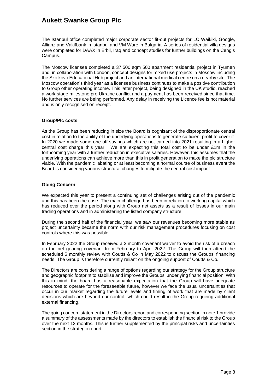The Istanbul office completed major corporate sector fit-out projects for LC Waikiki, Google, Allianz and Vakifbank in Istanbul and VM Ware in Bulgaria. A series of residential villa designs were completed for DAAX in Erbil, Iraq and concept studies for further buildings on the Cengis Campus.

The Moscow licensee completed a 37,500 sqm 500 apartment residential project in Tyumen and, in collaboration with London, concept designs for mixed use projects in Moscow including the Skolkovo Educational Hub project and an international medical centre on a nearby site. The Moscow operation's third year as a licensee business continues to make a positive contribution to Group other operating income. This latter project, being designed in the UK studio, reached a work stage milestone pre Ukraine conflict and a payment has been received since that time. No further services are being performed. Any delay in receiving the Licence fee is not material and is only recognised on receipt.

#### **Group/Plc costs**

As the Group has been reducing in size the Board is cognisant of the disproportionate central cost in relation to the ability of the underlying operations to generate sufficient profit to cover it. In 2020 we made some one-off savings which are not carried into 2021 resulting in a higher central cost charge this year. We are expecting this total cost to be under £1m in the forthcoming year with a further reduction in executive salaries. However, this assumes that the underlying operations can achieve more than this in profit generation to make the plc structure viable. With the pandemic abating or at least becoming a normal course of business event the Board is considering various structural changes to mitigate the central cost impact*.* 

### **Going Concern**

We expected this year to present a continuing set of challenges arising out of the pandemic and this has been the case. The main challenge has been in relation to working capital which has reduced over the period along with Group net assets as a result of losses in our main trading operations and in administering the listed company structure.

During the second half of the financial year, we saw our revenues becoming more stable as project uncertainty became the norm with our risk management procedures focusing on cost controls where this was possible.

In February 2022 the Group received a 3 month covenant waiver to avoid the risk of a breach on the net gearing covenant from February to April 2022. The Group will then attend the scheduled 6 monthly review with Coutts & Co in May 2022 to discuss the Groups' financing needs. The Group is therefore currently reliant on the ongoing support of Coutts & Co.

The Directors are considering a range of options regarding our strategy for the Group structure and geographic footprint to stabilise and improve the Groups' underlying financial position. With this in mind, the board has a reasonable expectation that the Group will have adequate resources to operate for the foreseeable future, however we face the usual uncertainties that occur in our market regarding the future levels and timing of work that are made by client decisions which are beyond our control, which could result in the Group requiring additional external financing.

The going concern statement in the Directors report and corresponding section in note 1 provide a summary of the assessments made by the directors to establish the financial risk to the Group over the next 12 months. This is further supplemented by the principal risks and uncertainties section in the strategic report.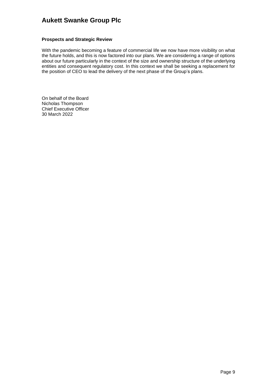### **Prospects and Strategic Review**

With the pandemic becoming a feature of commercial life we now have more visibility on what the future holds, and this is now factored into our plans. We are considering a range of options about our future particularly in the context of the size and ownership structure of the underlying entities and consequent regulatory cost. In this context we shall be seeking a replacement for the position of CEO to lead the delivery of the next phase of the Group's plans.

On behalf of the Board Nicholas Thompson Chief Executive Officer 30 March 2022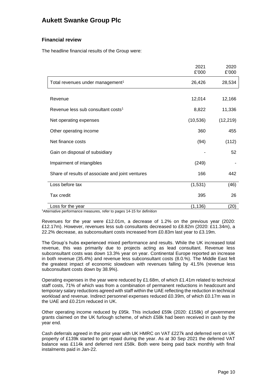### **Financial review**

The headline financial results of the Group were:

|                                                                                          | 2021<br>£'000 | 2020<br>£'000 |
|------------------------------------------------------------------------------------------|---------------|---------------|
| Total revenues under management <sup>1</sup>                                             | 26,426        | 28,534        |
|                                                                                          |               |               |
| Revenue                                                                                  | 12,014        | 12,166        |
| Revenue less sub consultant costs <sup>1</sup>                                           | 8,822         | 11,336        |
| Net operating expenses                                                                   | (10, 536)     | (12, 219)     |
| Other operating income                                                                   | 360           | 455           |
| Net finance costs                                                                        | (94)          | (112)         |
| Gain on disposal of subsidiary                                                           |               | 52            |
| Impairment of intangibles                                                                | (249)         |               |
| Share of results of associate and joint ventures                                         | 166           | 442           |
| Loss before tax                                                                          | (1,531)       | (46)          |
| Tax credit                                                                               | 395           | 26            |
| Loss for the year<br>carrosa, pada uda magnasi dididir dan stadio itis.<br>- -- <b>-</b> | (1, 136)      | (20)          |

<sup>1</sup>Alternative performance measures, refer to pages 14-15 for definition

Revenues for the year were £12.01m, a decrease of 1.2% on the previous year (2020: £12.17m). However, revenues less sub consultants decreased to £8.82m (2020: £11.34m), a 22.2% decrease, as subconsultant costs increased from £0.83m last year to £3.19m.

The Group's hubs experienced mixed performance and results. While the UK increased total revenue, this was primarily due to projects acting as lead consultant. Revenue less subconsultant costs was down 13.3% year on year. Continental Europe reported an increase in both revenue (35.4%) and revenue less subconsultant costs (8.0.%). The Middle East felt the greatest impact of economic slowdown with revenues falling by 41.5% (revenue less subconsultant costs down by 38.9%).

Operating expenses in the year were reduced by £1.68m, of which £1.41m related to technical staff costs, 71% of which was from a combination of permanent reductions in headcount and temporary salary reductions agreed with staff within the UAE reflecting the reduction in technical workload and revenue. Indirect personnel expenses reduced £0.39m, of which £0.17m was in the UAE and £0.21m reduced in UK.

Other operating income reduced by £95k. This included £59k (2020: £158k) of government grants claimed on the UK furlough scheme, of which £58k had been received in cash by the year end.

Cash deferrals agreed in the prior year with UK HMRC on VAT £227k and deferred rent on UK property of £139k started to get repaid during the year. As at 30 Sep 2021 the deferred VAT balance was £114k and deferred rent £58k. Both were being paid back monthly with final instalments paid in Jan-22.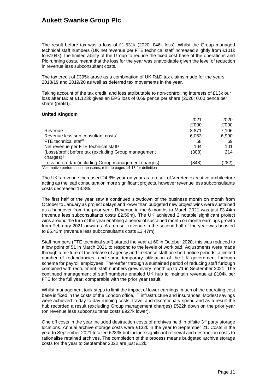The result before tax was a loss of £1,531k (2020: £46k loss). Whilst the Group managed technical staff numbers (UK net revenue per FTE technical staff increased slightly from £101k to £104k), the limited ability of the Group to reduce the fixed cost base of the operations and Plc running costs, meant that the loss for the year was unavoidable given the level of reduction in revenue less subconsultant costs.

The tax credit of £395k arose as a combination of UK R&D tax claims made for the years 2018/19 and 2019/20 as well as deferred tax movements in the year.

Taking account of the tax credit, and loss attributable to non-controlling interests of £13k our loss after tax at £1,123k gives an EPS loss of 0.69 pence per share (2020: 0.00 pence per share (profit)).

### **United Kingdom**

|                                                                                    | 2021  | 2020  |
|------------------------------------------------------------------------------------|-------|-------|
|                                                                                    | £'000 | £'000 |
| Revenue                                                                            | 8.871 | 7,106 |
| Revenue less sub consultant costs <sup>1</sup>                                     | 6,063 | 6,990 |
| FTE technical staff <sup>1</sup>                                                   | 58    | -69   |
| Net revenue per FTE technical staff <sup>1</sup>                                   | 104   | 101   |
| (Loss)/profit before tax (excluding Group management                               | (308) | 214   |
| $charge$ ) <sup>1</sup>                                                            |       |       |
| Loss before tax (including Group management charges)                               | (848) | (282) |
| <sup>1</sup> Alternative performance measures, refer to pages 14-15 for definition |       |       |

The UK's revenue increased 24.8% year on year as a result of Veretec executive architecture acting as the lead consultant on more significant projects, however revenue less subconsultants costs decreased 13.3%.

The first half of the year saw a continued slowdown of the business month on month from October to January as project delays and lower than budgeted new project wins were sustained as a hangover from the prior year. Revenue in the 6 months to March 2021 was just £3.44m (revenue less subconsultants costs £2.59m). The UK achieved 2 notable significant project wins around the turn of the year enabling a period of sustained month on month earnings growth from February 2021 onwards. As a result revenue in the second half of the year was boosted to £5.43m (revenue less subconsultants costs £3.47m).

Staff numbers (FTE technical staff) started the year at 60 in October 2020, this was reduced to a low point of 51 in March 2021 to respond to the levels of workload. Adjustments were made through a mixture of the release of agency and freelance staff on short notice periods, a limited number of redundancies, and some temporary utilisation of the UK government furlough scheme for payroll employees. Thereafter through a sustained period of reducing staff furlough combined with recruitment, staff numbers grew every month up to 71 in September 2021. The continued management of staff numbers enabled UK hub to maintain revenue at £104k per FTE for the full year, comparable with the prior year result.

Whilst management took steps to limit the impact of lower earnings, much of the operating cost base is fixed in the costs of the London office, IT infrastructure and insurances. Modest savings were achieved in day to day running costs, travel and discretionary spend and as a result the hub recorded a result (excluding Group management charges) £522k down on the prior year (on revenue less subconsultants costs £927k lower).

One off costs in the year included destruction costs of archives held in offsite  $3<sup>rd</sup>$  party storage locations. Annual archive storage costs were £132k in the year to September 21. Costs in the year to September 2021 totalled £233k but include significant retrieval and destruction costs to rationalise retained archives. The completion of this process means budgeted archive storage costs for the year to September 2022 are just £12k.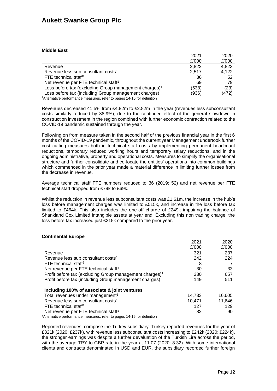### **Middle East**

| 2020<br>2021                                                                       |
|------------------------------------------------------------------------------------|
| £'000<br>£'000                                                                     |
| 4,823<br>2.822                                                                     |
| 4,122<br>Revenue less sub consultant costs <sup>1</sup><br>2.517                   |
| 36<br>52                                                                           |
| Net revenue per FTE technical staff <sup>1</sup><br>79<br>69                       |
| Loss before tax (excluding Group management charges) <sup>1</sup><br>(23)<br>(538) |
| Loss before tax (including Group management charges)<br>(472)<br>(936)             |
|                                                                                    |

<sup>1</sup>Alternative performance measures, refer to pages 14-15 for definition

Revenues decreased 41.5% from £4.82m to £2.82m in the year (revenues less subconsultant costs similarly reduced by 38.9%), due to the continued effect of the general slowdown in construction investment in the region combined with further economic contraction related to the COVID-19 pandemic sustained through the year.

Following on from measure taken in the second half of the previous financial year in the first 6 months of the COVID-19 pandemic, throughout the current year Management undertook further cost cutting measures both in technical staff costs by implementing permanent headcount reductions, temporary reduced working hours and temporary salary reductions, and in the ongoing administrative, property and operational costs. Measures to simplify the organisational structure and further consolidate and co-locate the entities' operations into common buildings which commenced in the prior year made a material difference in limiting further losses from the decrease in revenue.

Average technical staff FTE numbers reduced to 36 (2019: 52) and net revenue per FTE technical staff dropped from £79k to £69k.

Whilst the reduction in revenue less subconsultant costs was £1.61m, the increase in the hub's loss before management charges was limited to £515k, and increase in the loss before tax limited to £464k. This also includes the one-off charge of £249k impairing the balance of Shankland Cox Limited intangible assets at year end. Excluding this non trading charge, the loss before tax increased just £215k compared to the prior year.

### **Continental Europe**

|                                                                     | 2021   | 2020   |
|---------------------------------------------------------------------|--------|--------|
|                                                                     | £'000  | £'000  |
| Revenue                                                             | 321    | 237    |
| Revenue less sub consultant costs <sup>1</sup>                      | 242    | 224    |
| FTE technical staff <sup>1</sup>                                    | 8      |        |
| Net revenue per FTE technical staff <sup>1</sup>                    | 30     | 33     |
| Profit before tax (excluding Group management charges) <sup>1</sup> | 330    | 657    |
| Profit before tax (including Group management charges)              | 149    | 511    |
| Including 100% of associate & joint ventures                        |        |        |
| Total revenues under management <sup>1</sup>                        | 14,733 | 16,605 |
| Revenue less sub consultant costs <sup>1</sup>                      | 10.471 | 11.646 |
| FTE technical staff <sup>1</sup>                                    | 127    | 129    |
| Net revenue per FTE technical staff <sup>1</sup><br>.               | 82     | 90     |

<sup>1</sup> Alternative performance measures, refer to pages 14-15 for definition

Reported revenues, comprise the Turkey subsidiary. Turkey reported revenues for the year of £321k (2020: £237k), with revenue less subconsultant costs increasing to £242k (2020: £224k). the stronger earnings was despite a further devaluation of the Turkish Lira across the period, with the average TRY to GBP rate in the year at 11.07 (2020: 8.32). With some international clients and contracts denominated in USD and EUR, the subsidiary recorded further foreign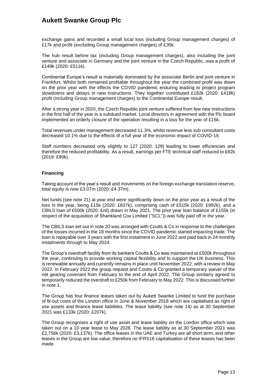exchange gains and recorded a small local loss (including Group management charges) of £17k and profit (excluding Group management charges) of £35k.

The hub result before tax (including Group management charges), also including the joint venture and associate in Germany and the joint venture in the Czech Republic, was a profit of £149k (2020: £511k).

Continental Europe's result is materially dominated by the associate Berlin and joint venture in Frankfurt. Whilst both remained profitable throughout the year the combined profit was down on the prior year with the effects the COVID pandemic enduring leading to project program slowdowns and delays in new instructions. They together contributed £182k (2020: £418k) profit (including Group management charges) to the Continental Europe result.

After a strong year in 2020, the Czech Republic joint venture suffered from few new instructions in the first half of the year in a subdued market. Local directors in agreement with the Plc board implemented an orderly closure of the operation resulting in a loss for the year of £16k.

Total revenues under management decreased 11.3%, whilst revenue less sub consultant costs decreased 10.1% due to the effects of a full year of the economic impact of COVID-19.

Staff numbers decreased only slightly to 127 (2020: 129) leading to lower efficiencies and therefore the reduced profitability. As a result, earnings per FTE technical staff reduced to £82k (2019: £90k).

#### **Financing**

Taking account of the year's result and movements on the foreign exchange translation reserve, total equity is now £3.07m (2020: £4.37m).

Net funds (see note 21) at year end were significantly down on the prior year as a result of the loss in the year, being £15k (2020: £837k), comprising cash of £515k (2020: £992k), and a CBILS loan of £500k (2020: £nil) drawn in May 2021. The prior year loan balance of £155k (in respect of the acquisition of Shankland Cox Limited ("SCL")) was fully paid off in the year.

The CBILS loan set out in note 20 was arranged with Coutts & Co in response to the challenges of the losses incurred in the 18 months since the COVID pandemic started impacting trade. The loan is repayable over 3 years with the first instalment in June 2022 and paid back in 24 monthly instalments through to May 2024.

The Group's overdraft facility from its bankers Coutts & Co was maintained at £500k throughout the year, continuing to provide working capital flexibility and to support the UK business. This is renewable annually and currently remains in place until November 2022, with a review in May 2022. In February 2022 the group request and Coutts & Co granted a temporary waiver of the net gearing covenant from February to the end of April 2022. The Group similarly agreed to temporarily reduced the overdraft to £250k from February to May 2022. This is discussed further in note 1.

The Group has four finance leases taken out by Aukett Swanke Limited to fund the purchase of fit-out costs of the London office in June & November 2018 which are capitalised as right of use assets and finance lease liabilities. The lease liability (see note 14) as at 30 September 2021 was £133k (2020: £207k).

The Group recognises a right of use asset and lease liability on the London office which was taken out on a 10 year lease to May 2028. The lease liability as at 30 September 2021 was £2,756k (2020: £3,137k). The office leases in the UAE and Turkey are all short term, and other leases in the Group are low value, therefore no IFRS16 capitalisation of these leases has been made.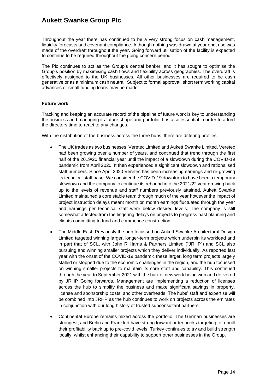Throughout the year there has continued to be a very strong focus on cash management, liquidity forecasts and covenant compliance. Although nothing was drawn at year end, use was made of the overdraft throughout the year. Going forward utilisation of the facility is expected to continue to be required throughout the going concern period.

The Plc continues to act as the Group's central banker, and it has sought to optimise the Group's position by maximising cash flows and flexibility across geographies. The overdraft is effectively assigned to the UK businesses. All other businesses are required to be cash generative or as a minimum cash neutral. Subject to formal approval, short term working capital advances or small funding loans may be made.

#### **Future work**

Tracking and keeping an accurate record of the pipeline of future work is key to understanding the business and managing its future shape and portfolio. It is also essential in order to afford the directors time to react to any changes.

With the distribution of the business across the three hubs, there are differing profiles:

- The UK trades as two businesses: Veretec Limited and Aukett Swanke Limited. Veretec had been growing over a number of years, and continued that trend through the first half of the 2019/20 financial year until the impact of a slowdown during the COVID-19 pandemic from April 2020. It then experienced a significant slowdown and rationalised staff numbers. Since April 2020 Veretec has been increasing earnings and re-growing its technical staff base. We consider the COVID-19 downturn to have been a temporary slowdown and the company to continue its rebound into the 2021/22 year growing back up to the levels of revenue and staff numbers previously attained. Aukett Swanke Limited maintained a core stable team through much of the year however the impact of project instruction delays meant month on month earnings fluctuated through the year and earnings per technical staff were below desired levels. The company is still somewhat affected from the lingering delays on projects to progress past planning and clients committing to fund and commence construction.
- The Middle East: Previously the hub focussed on Aukett Swanke Architectural Design Limited targeted winning larger, longer-term projects which underpin its workload and in part that of SCL, with John R Harris & Partners Limited ("JRHP") and SCL also pursuing and winning smaller projects which they deliver individually. As reported last year with the onset of the COVID-19 pandemic these larger, long term projects largely stalled or stopped due to the economic challenges in the region, and the hub focussed on winning smaller projects to maintain its core staff and capability. This continued through the year to September 2021 with the bulk of new work being won and delivered by JRHP Going forwards, Management are implementing a reduction of licenses across the hub to simplify the business and make significant savings in property, license and sponsorship costs, and other overheads. The hubs' staff and expertise will be combined into JRHP as the hub continues to work on projects across the emirates in conjunction with our long history of trusted subconsultant partners.
- Continental Europe remains mixed across the portfolio. The German businesses are strongest, and Berlin and Frankfurt have strong forward order books targeting to rebuilt their profitability back up to pre-covid levels. Turkey continues to try and build strength locally, whilst enhancing their capability to support other businesses in the Group.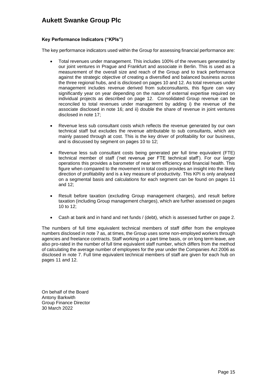### **Key Performance Indicators ("KPIs")**

The key performance indicators used within the Group for assessing financial performance are:

- Total revenues under management. This includes 100% of the revenues generated by our joint ventures in Prague and Frankfurt and associate in Berlin. This is used as a measurement of the overall size and reach of the Group and to track performance against the strategic objective of creating a diversified and balanced business across the three regional hubs, and is disclosed on pages 10 and 12. As total revenues under management includes revenue derived from subconsultants, this figure can vary significantly year on year depending on the nature of external expertise required on individual projects as described on page 12. Consolidated Group revenue can be reconciled to total revenues under management by adding i) the revenue of the associate disclosed in note 16; and ii) double the share of revenue in joint ventures disclosed in note 17;
- Revenue less sub consultant costs which reflects the revenue generated by our own technical staff but excludes the revenue attributable to sub consultants, which are mainly passed through at cost. This is the key driver of profitability for our business, and is discussed by segment on pages 10 to 12;
- Revenue less sub consultant costs being generated per full time equivalent (FTE) technical member of staff ('net revenue per FTE technical staff'). For our larger operations this provides a barometer of near term efficiency and financial health. This figure when compared to the movement in total costs provides an insight into the likely direction of profitability and is a key measure of productivity. This KPI is only analysed on a segmental basis and calculations for each segment can be found on pages 11 and 12;
- Result before taxation (excluding Group management charges), and result before taxation (including Group management charges), which are further assessed on pages 10 to 12;
- Cash at bank and in hand and net funds / (debt), which is assessed further on page 2.

The numbers of full time equivalent technical members of staff differ from the employee numbers disclosed in note 7 as, at times, the Group uses some non-employed workers through agencies and freelance contracts. Staff working on a part time basis, or on long term leave, are also pro-rated in the number of full time equivalent staff number, which differs from the method of calculating the average number of employees for the year under the Companies Act 2006 as disclosed in note 7. Full time equivalent technical members of staff are given for each hub on pages 11 and 12.

On behalf of the Board Antony Barkwith Group Finance Director 30 March 2022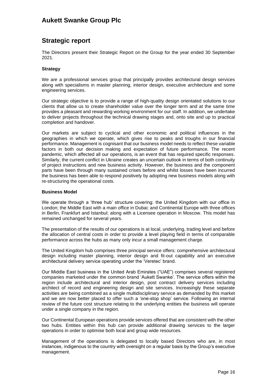### **Strategic report**

The Directors present their Strategic Report on the Group for the year ended 30 September 2021.

#### **Strategy**

We are a professional services group that principally provides architectural design services along with specialisms in master planning, interior design, executive architecture and some engineering services.

Our strategic objective is to provide a range of high-quality design orientated solutions to our clients that allow us to create shareholder value over the longer term and at the same time provides a pleasant and rewarding working environment for our staff. In addition, we undertake to deliver projects throughout the technical drawing stages and, onto site and up to practical completion and handover.

Our markets are subject to cyclical and other economic and political influences in the geographies in which we operate, which gives rise to peaks and troughs in our financial performance. Management is cognisant that our business model needs to reflect these variable factors in both our decision making and expectation of future performance. The recent pandemic, which affected all our operations, is an event that has required specific responses. Similarly, the current conflict in Ukraine creates an uncertain outlook in terms of both continuity of project instructions and new business activity. However, the business and the component parts have been through many sustained crises before and whilst losses have been incurred the business has been able to respond positively by adopting new business models along with re-structuring the operational costs.

#### **Business Model**

We operate through a 'three hub' structure covering: the United Kingdom with our office in London; the Middle East with a main office in Dubai; and Continental Europe with three offices in Berlin, Frankfurt and Istanbul; along with a Licensee operation in Moscow. This model has remained unchanged for several years.

The presentation of the results of our operations is at local, underlying, trading level and before the allocation of central costs in order to provide a level playing field in terms of comparable performance across the hubs as many only incur a small management charge.

The United Kingdom hub comprises three principal service offers: comprehensive architectural design including master planning, interior design and fit-out capability and an executive architectural delivery service operating under the 'Veretec' brand.

Our Middle East business in the United Arab Emirates ("UAE") comprises several registered companies marketed under the common brand 'Aukett Swanke'. The service offers within the region include architectural and interior design, post contract delivery services including architect of record and engineering design and site services. Increasingly these separate activities are being combined as a single multidisciplinary service as demanded by this market and we are now better placed to offer such a 'one-stop shop' service. Following an internal review of the future cost structure relating to the underlying entities the business will operate under a single company in the region.

Our Continental European operations provide services offered that are consistent with the other two hubs. Entities within this hub can provide additional drawing services to the larger operations in order to optimise both local and group wide resources.

Management of the operations is delegated to locally based Directors who are, in most instances, indigenous to the country with oversight on a regular basis by the Group's executive management.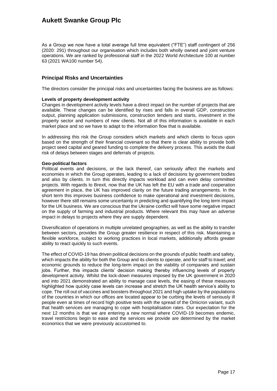As a Group we now have a total average full time equivalent ("FTE") staff contingent of 256 (2020: 291) throughout our organisation which includes both wholly owned and joint venture operations. We are ranked by professional staff in the 2022 World Architecture 100 at number 63 (2021 WA100 number 54).

### **Principal Risks and Uncertainties**

The directors consider the principal risks and uncertainties facing the business are as follows:

#### **Levels of property development activity**

Changes in development activity levels have a direct impact on the number of projects that are available. These changes can be identified by rises and falls in overall GDP, construction output, planning application submissions, construction tenders and starts, investment in the property sector and numbers of new clients. Not all of this information is available in each market place and so we have to adapt to the information flow that is available.

In addressing this risk the Group considers which markets and which clients to focus upon based on the strength of their financial covenant so that there is clear ability to provide both project seed capital and geared funding to complete the delivery process. This avoids the dual risk of delays between stages and deferrals of projects.

#### **Geo-political factors**

Political events and decisions, or the lack thereof, can seriously affect the markets and economies in which the Group operates, leading to a lack of decisions by government bodies and also by clients. In turn this directly impacts workload and can even delay committed projects. With regards to Brexit, now that the UK has left the EU with a trade and cooperation agreement in place, the UK has improved clarity on the future trading arrangements. In the short term this improves business confidence to make operational and investment decisions, however there still remains some uncertainty in predicting and quantifying the long term impact for the UK business. We are conscious that the Ukraine conflict will have some negative impact on the supply of farming and industrial products. Where relevant this may have an adverse impact in delays to projects where they are supply dependent.

Diversification of operations in multiple unrelated geographies, as well as the ability to transfer between sectors, provides the Group greater resilience in respect of this risk. Maintaining a flexible workforce, subject to working practices in local markets, additionally affords greater ability to react quickly to such events.

The effect of COVID-19 has driven political decisions on the grounds of public health and safety, which impacts the ability for both the Group and its clients to operate, and for staff to travel; and economic grounds to reduce the long-term impact on the viability of companies and sustain jobs. Further, this impacts clients' decision making thereby influencing levels of property development activity. Whilst the lock-down measures imposed by the UK government in 2020 and into 2021 demonstrated an ability to manage case levels, the easing of these measures highlighted how quickly case levels can increase and stretch the UK health service's ability to cope. The roll out of vaccines and boosters throughout 2021 and high uptake by the populations of the countries in which our offices are located appear to be curbing the levels of seriously ill people even at times of record high positive tests with the spread of the Omicron variant, such that health services are managing to cope with hospitalisation rates. Our expectation for the next 12 months is that we are entering a new normal where COVID-19 becomes endemic, travel restrictions begin to ease and the services we provide are determined by the market economics that we were previously accustomed to.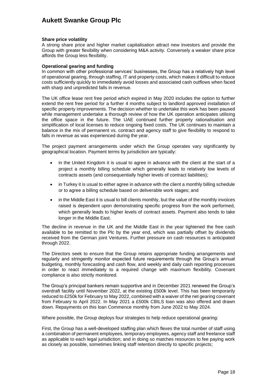#### **Share price volatility**

A strong share price and higher market capitalisation attract new investors and provide the Group with greater flexibility when considering M&A activity. Conversely a weaker share price affords the Group less flexibility.

#### **Operational gearing and funding**

In common with other professional services' businesses, the Group has a relatively high level of operational gearing, through staffing, IT and property costs, which makes it difficult to reduce costs sufficiently quickly to immediately avoid losses and associated cash outflows when faced with sharp and unpredicted falls in revenue.

The UK office lease rent free period which expired in May 2020 includes the option to further extend the rent free period for a further 4 months subject to landlord approved installation of specific property improvements. The decision whether to undertake this work has been paused while management undertake a thorough review of how the UK operation anticipates utilising the office space in the future. The UAE continued further property rationalisation and simplification of local licenses to reduce ongoing fixed costs. The UK continues to maintain a balance in the mix of permanent vs. contract and agency staff to give flexibility to respond to falls in revenue as was experienced during the year.

The project payment arrangements under which the Group operates vary significantly by geographical location. Payment terms by jurisdiction are typically:

- in the United Kingdom it is usual to agree in advance with the client at the start of a project a monthly billing schedule which generally leads to relatively low levels of contracts assets (and consequentially higher levels of contract liabilities);
- in Turkey it is usual to either agree in advance with the client a monthly billing schedule or to agree a billing schedule based on deliverable work stages; and
- in the Middle East it is usual to bill clients monthly, but the value of the monthly invoices raised is dependent upon demonstrating specific progress from the work performed, which generally leads to higher levels of contract assets. Payment also tends to take longer in the Middle East.

The decline in revenue in the UK and the Middle East in the year tightened the free cash available to be remitted to the Plc by the year end, which was partially offset by dividends received from the German joint Ventures. Further pressure on cash resources is anticipated through 2022.

The Directors seek to ensure that the Group retains appropriate funding arrangements and regularly and stringently monitor expected future requirements through the Group's annual budgeting, monthly forecasting and cash flow, and weekly and daily cash reporting processes in order to react immediately to a required change with maximum flexibility. Covenant compliance is also strictly monitored.

The Group's principal bankers remain supportive and in December 2021 renewed the Group's overdraft facility until November 2022, at the existing £500k level. This has been temporarily reduced to £250k for February to May 2022, combined with a waiver of the net gearing covenant from February to April 2022. In May 2021 a £500k CBILS loan was also offered and drawn down. Repayments on this loan Commence monthly from June 2022 to May 2024.

Where possible, the Group deploys four strategies to help reduce operational gearing:

First, the Group has a well-developed staffing plan which flexes the total number of staff using a combination of permanent employees, temporary employees, agency staff and freelance staff as applicable to each legal jurisdiction; and in doing so matches resources to fee paying work as closely as possible, sometimes linking staff retention directly to specific projects;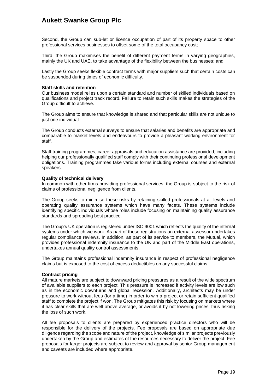Second, the Group can sub-let or licence occupation of part of its property space to other professional services businesses to offset some of the total occupancy cost;

Third, the Group maximises the benefit of different payment terms in varying geographies, mainly the UK and UAE, to take advantage of the flexibility between the businesses; and

Lastly the Group seeks flexible contract terms with major suppliers such that certain costs can be suspended during times of economic difficulty.

#### **Staff skills and retention**

Our business model relies upon a certain standard and number of skilled individuals based on qualifications and project track record. Failure to retain such skills makes the strategies of the Group difficult to achieve.

The Group aims to ensure that knowledge is shared and that particular skills are not unique to just one individual.

The Group conducts external surveys to ensure that salaries and benefits are appropriate and comparable to market levels and endeavours to provide a pleasant working environment for staff.

Staff training programmes, career appraisals and education assistance are provided, including helping our professionally qualified staff comply with their continuing professional development obligations. Training programmes take various forms including external courses and external speakers.

#### **Quality of technical delivery**

In common with other firms providing professional services, the Group is subject to the risk of claims of professional negligence from clients.

The Group seeks to minimise these risks by retaining skilled professionals at all levels and operating quality assurance systems which have many facets. These systems include identifying specific individuals whose roles include focusing on maintaining quality assurance standards and spreading best practice.

The Group's UK operation is registered under ISO 9001 which reflects the quality of the internal systems under which we work. As part of these registrations an external assessor undertakes regular compliance reviews. In addition, as part of its service to members, the Mutual, which provides professional indemnity insurance to the UK and part of the Middle East operations, undertakes annual quality control assessments.

The Group maintains professional indemnity insurance in respect of professional negligence claims but is exposed to the cost of excess deductibles on any successful claims.

#### **Contract pricing**

All mature markets are subject to downward pricing pressures as a result of the wide spectrum of available suppliers to each project. This pressure is increased if activity levels are low such as in the economic downturns and global recession. Additionally, architects may be under pressure to work without fees (for a time) in order to win a project or retain sufficient qualified staff to complete the project if won. The Group mitigates this risk by focusing on markets where it has clear skills that are well above average, or avoids it by not lowering prices, thus risking the loss of such work.

All fee proposals to clients are prepared by experienced practice directors who will be responsible for the delivery of the projects. Fee proposals are based on appropriate due diligence regarding the scope and nature of the project, knowledge of similar projects previously undertaken by the Group and estimates of the resources necessary to deliver the project. Fee proposals for larger projects are subject to review and approval by senior Group management and caveats are included where appropriate.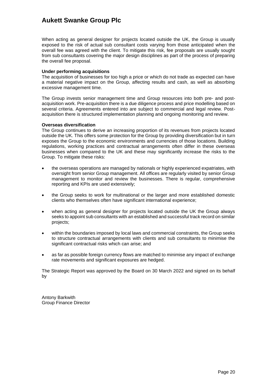When acting as general designer for projects located outside the UK, the Group is usually exposed to the risk of actual sub consultant costs varying from those anticipated when the overall fee was agreed with the client. To mitigate this risk, fee proposals are usually sought from sub consultants covering the major design disciplines as part of the process of preparing the overall fee proposal.

#### **Under performing acquisitions**

The acquisition of businesses for too high a price or which do not trade as expected can have a material negative impact on the Group, affecting results and cash, as well as absorbing excessive management time.

The Group invests senior management time and Group resources into both pre- and postacquisition work. Pre-acquisition there is a due diligence process and price modelling based on several criteria. Agreements entered into are subject to commercial and legal review. Postacquisition there is structured implementation planning and ongoing monitoring and review.

#### **Overseas diversification**

The Group continues to derive an increasing proportion of its revenues from projects located outside the UK. This offers some protection for the Group by providing diversification but in turn exposes the Group to the economic environments and currencies of those locations. Building regulations, working practices and contractual arrangements often differ in these overseas businesses when compared to the UK and these may significantly increase the risks to the Group. To mitigate these risks:

- the overseas operations are managed by nationals or highly experienced expatriates, with oversight from senior Group management. All offices are regularly visited by senior Group management to monitor and review the businesses. There is regular, comprehensive reporting and KPIs are used extensively;
- the Group seeks to work for multinational or the larger and more established domestic clients who themselves often have significant international experience;
- when acting as general designer for projects located outside the UK the Group always seeks to appoint sub consultants with an established and successful track record on similar projects;
- within the boundaries imposed by local laws and commercial constraints, the Group seeks to structure contractual arrangements with clients and sub consultants to minimise the significant contractual risks which can arise; and
- as far as possible foreign currency flows are matched to minimise any impact of exchange rate movements and significant exposures are hedged.

The Strategic Report was approved by the Board on 30 March 2022 and signed on its behalf by

Antony Barkwith Group Finance Director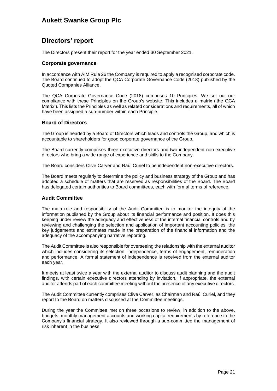## **Directors' report**

The Directors present their report for the year ended 30 September 2021.

### **Corporate governance**

In accordance with AIM Rule 26 the Company is required to apply a recognised corporate code. The Board continued to adopt the QCA Corporate Governance Code (2018) published by the Quoted Companies Alliance.

The QCA Corporate Governance Code (2018) comprises 10 Principles. We set out our compliance with these Principles on the Group's website. This includes a matrix ('the QCA Matrix'). This lists the Principles as well as related considerations and requirements, all of which have been assigned a sub-number within each Principle.

#### **Board of Directors**

The Group is headed by a Board of Directors which leads and controls the Group, and which is accountable to shareholders for good corporate governance of the Group.

The Board currently comprises three executive directors and two independent non-executive directors who bring a wide range of experience and skills to the Company.

The Board considers Clive Carver and Raúl Curiel to be independent non-executive directors.

The Board meets regularly to determine the policy and business strategy of the Group and has adopted a schedule of matters that are reserved as responsibilities of the Board. The Board has delegated certain authorities to Board committees, each with formal terms of reference.

#### **Audit Committee**

The main role and responsibility of the Audit Committee is to monitor the integrity of the information published by the Group about its financial performance and position. It does this keeping under review the adequacy and effectiveness of the internal financial controls and by reviewing and challenging the selection and application of important accounting policies, the key judgements and estimates made in the preparation of the financial information and the adequacy of the accompanying narrative reporting.

The Audit Committee is also responsible for overseeing the relationship with the external auditor which includes considering its selection, independence, terms of engagement, remuneration and performance. A formal statement of independence is received from the external auditor each year.

It meets at least twice a year with the external auditor to discuss audit planning and the audit findings, with certain executive directors attending by invitation. If appropriate, the external auditor attends part of each committee meeting without the presence of any executive directors.

The Audit Committee currently comprises Clive Carver, as Chairman and Raúl Curiel, and they report to the Board on matters discussed at the Committee meetings.

During the year the Committee met on three occasions to review, in addition to the above, budgets, monthly management accounts and working capital requirements by reference to the Company's financial strategy. It also reviewed through a sub-committee the management of risk inherent in the business.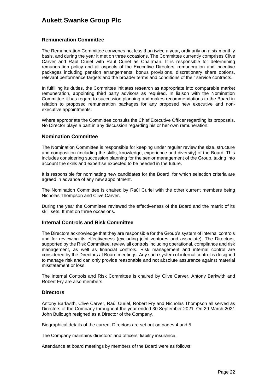### **Remuneration Committee**

The Remuneration Committee convenes not less than twice a year, ordinarily on a six monthly basis, and during the year it met on three occasions. The Committee currently comprises Clive Carver and Raúl Curiel with Raul Curiel as Chairman. It is responsible for determining remuneration policy and all aspects of the Executive Directors' remuneration and incentive packages including pension arrangements, bonus provisions, discretionary share options, relevant performance targets and the broader terms and conditions of their service contracts.

In fulfilling its duties, the Committee initiates research as appropriate into comparable market remuneration, appointing third party advisors as required. In liaison with the Nomination Committee it has regard to succession planning and makes recommendations to the Board in relation to proposed remuneration packages for any proposed new executive and nonexecutive appointments.

Where appropriate the Committee consults the Chief Executive Officer regarding its proposals. No Director plays a part in any discussion regarding his or her own remuneration.

#### **Nomination Committee**

The Nomination Committee is responsible for keeping under regular review the size, structure and composition (including the skills, knowledge, experience and diversity) of the Board. This includes considering succession planning for the senior management of the Group, taking into account the skills and expertise expected to be needed in the future.

It is responsible for nominating new candidates for the Board, for which selection criteria are agreed in advance of any new appointment.

The Nomination Committee is chaired by Raúl Curiel with the other current members being Nicholas Thompson and Clive Carver.

During the year the Committee reviewed the effectiveness of the Board and the matrix of its skill sets. It met on three occasions.

### **Internal Controls and Risk Committee**

The Directors acknowledge that they are responsible for the Group's system of internal controls and for reviewing its effectiveness (excluding joint ventures and associate). The Directors, supported by the Risk Committee, review all controls including operational, compliance and risk management, as well as financial controls. Risk management and internal control are considered by the Directors at Board meetings. Any such system of internal control is designed to manage risk and can only provide reasonable and not absolute assurance against material misstatement or loss.

The Internal Controls and Risk Committee is chaired by Clive Carver. Antony Barkwith and Robert Fry are also members.

#### **Directors**

Antony Barkwith, Clive Carver, Raúl Curiel, Robert Fry and Nicholas Thompson all served as Directors of the Company throughout the year ended 30 September 2021. On 29 March 2021 John Bullough resigned as a Director of the Company.

Biographical details of the current Directors are set out on pages 4 and 5.

The Company maintains directors' and officers' liability insurance.

Attendance at board meetings by members of the Board were as follows: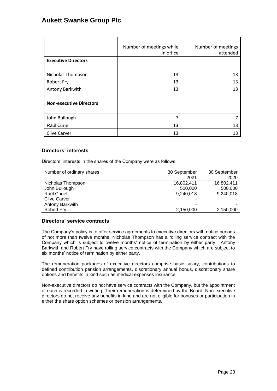|                                | Number of meetings while<br>in office | Number of meetings<br>attended |
|--------------------------------|---------------------------------------|--------------------------------|
| <b>Executive Directors</b>     |                                       |                                |
| Nicholas Thompson              | 13                                    | 13                             |
| <b>Robert Fry</b>              | 13                                    | 13                             |
| Antony Barkwith                | 13                                    | 13                             |
| <b>Non-executive Directors</b> |                                       |                                |
| John Bullough                  | 7                                     | 7                              |
| Raúl Curiel                    | 13                                    | 13                             |
| <b>Clive Carver</b>            | 13                                    | 13                             |

### **Directors' interests**

Directors' interests in the shares of the Company were as follows:

| Number of ordinary shares | 30 September | 30 September |
|---------------------------|--------------|--------------|
|                           | 2021         | 2020         |
| Nicholas Thompson         | 16,802,411   | 16,802,411   |
| John Bullough             | 500,000      | 500,000      |
| Raúl Curiel               | 9,240,018    | 9,240,018    |
| <b>Clive Carver</b>       | ۰            |              |
| Antony Barkwith           | -            |              |
| Robert Fry                | 2,150,000    | 2,150,000    |

### **Directors' service contracts**

The Company's policy is to offer service agreements to executive directors with notice periods of not more than twelve months. Nicholas Thompson has a rolling service contract with the Company which is subject to twelve months' notice of termination by either party. Antony Barkwith and Robert Fry have rolling service contracts with the Company which are subject to six months' notice of termination by either party.

The remuneration packages of executive directors comprise basic salary, contributions to defined contribution pension arrangements, discretionary annual bonus, discretionary share options and benefits in kind such as medical expenses insurance.

Non-executive directors do not have service contracts with the Company, but the appointment of each is recorded in writing. Their remuneration is determined by the Board. Non-executive directors do not receive any benefits in kind and are not eligible for bonuses or participation in either the share option schemes or pension arrangements.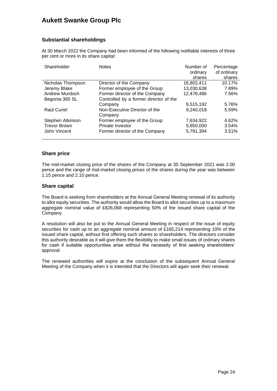### **Substantial shareholdings**

At 30 March 2022 the Company had been informed of the following notifiable interests of three per cent or more in its share capital:

| Shareholder         | <b>Notes</b>                           | Number of  | Percentage  |
|---------------------|----------------------------------------|------------|-------------|
|                     |                                        | ordinary   | of ordinary |
|                     |                                        | shares     | shares      |
| Nicholas Thompson   | Director of the Company                | 16,802,411 | 10.17%      |
| Jeremy Blake        | Former employee of the Group           | 13,030,638 | 7.89%       |
| Andrew Murdoch      | Former director of the Company         | 12,478,486 | 7.56%       |
| Begonia 365 SL      | Controlled by a former director of the |            |             |
|                     | Company                                | 9,515,192  | 5.76%       |
| Raúl Curiel         | Non-Executive Director of the          | 9,240,018  | 5.59%       |
|                     | Company                                |            |             |
| Stephen Atkinson    | Former employee of the Group           | 7,634,922  | 4.62%       |
| <b>Trevor Brown</b> | Private Investor                       | 5,850,000  | 3.54%       |
| John Vincent        | Former director of the Company         | 5,791,394  | 3.51%       |
|                     |                                        |            |             |

### **Share price**

The mid-market closing price of the shares of the Company at 30 September 2021 was 2.00 pence and the range of mid-market closing prices of the shares during the year was between 1.15 pence and 2.10 pence.

### **Share capital**

The Board is seeking from shareholders at the Annual General Meeting renewal of its authority to allot equity securities. The authority would allow the Board to allot securities up to a maximum aggregate nominal value of £826,068 representing 50% of the issued share capital of the Company.

A resolution will also be put to the Annual General Meeting in respect of the issue of equity securities for cash up to an aggregate nominal amount of £165,214 representing 10% of the issued share capital, without first offering such shares to shareholders. The directors consider this authority desirable as it will give them the flexibility to make small issues of ordinary shares for cash if suitable opportunities arise without the necessity of first seeking shareholders' approval.

The renewed authorities will expire at the conclusion of the subsequent Annual General Meeting of the Company when it is intended that the Directors will again seek their renewal.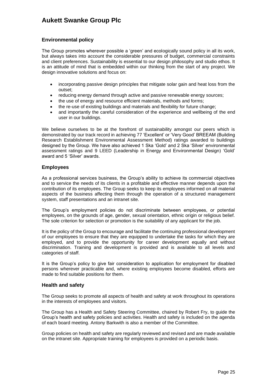### **Environmental policy**

The Group promotes wherever possible a 'green' and ecologically sound policy in all its work, but always takes into account the considerable pressures of budget, commercial constraints and client preferences. Sustainability is essential to our design philosophy and studio ethos. It is an attitude of mind that is embedded within our thinking from the start of any project. We design innovative solutions and focus on:

- incorporating passive design principles that mitigate solar gain and heat loss from the outset;
- reducing energy demand through active and passive renewable energy sources;
- the use of energy and resource efficient materials, methods and forms;
- the re-use of existing buildings and materials and flexibility for future change;
- and importantly the careful consideration of the experience and wellbeing of the end user in our buildings.

We believe ourselves to be at the forefront of sustainability amongst our peers which is demonstrated by our track record in achieving 77 'Excellent' or 'Very Good' BREEAM (Building Research Establishment Environmental Assessment Method) ratings awarded to buildings designed by the Group. We have also achieved 1 Ska 'Gold' and 2 Ska 'Silver' environmental assessment ratings and 9 LEED (Leadership in Energy and Environmental Design) 'Gold' award and 5 'Silver' awards.

### **Employees**

As a professional services business, the Group's ability to achieve its commercial objectives and to service the needs of its clients in a profitable and effective manner depends upon the contribution of its employees. The Group seeks to keep its employees informed on all material aspects of the business affecting them through the operation of a structured management system, staff presentations and an intranet site.

The Group's employment policies do not discriminate between employees, or potential employees, on the grounds of age, gender, sexual orientation, ethnic origin or religious belief. The sole criterion for selection or promotion is the suitability of any applicant for the job.

It is the policy of the Group to encourage and facilitate the continuing professional development of our employees to ensure that they are equipped to undertake the tasks for which they are employed, and to provide the opportunity for career development equally and without discrimination. Training and development is provided and is available to all levels and categories of staff.

It is the Group's policy to give fair consideration to application for employment for disabled persons wherever practicable and, where existing employees become disabled, efforts are made to find suitable positions for them.

### **Health and safety**

The Group seeks to promote all aspects of health and safety at work throughout its operations in the interests of employees and visitors.

The Group has a Health and Safety Steering Committee, chaired by Robert Fry, to guide the Group's health and safety policies and activities. Health and safety is included on the agenda of each board meeting. Antony Barkwith is also a member of the Committee.

Group policies on health and safety are regularly reviewed and revised and are made available on the intranet site. Appropriate training for employees is provided on a periodic basis.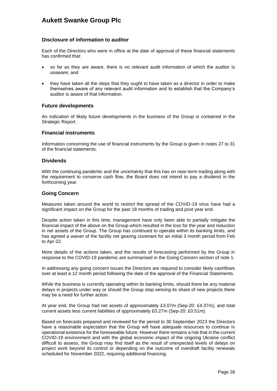### **Disclosure of information to auditor**

Each of the Directors who were in office at the date of approval of these financial statements has confirmed that:

- so far as they are aware, there is no relevant audit information of which the auditor is unaware; and
- they have taken all the steps that they ought to have taken as a director in order to make themselves aware of any relevant audit information and to establish that the Company's auditor is aware of that information.

#### **Future developments**

An indication of likely future developments in the business of the Group is contained in the Strategic Report.

#### **Financial instruments**

Information concerning the use of financial instruments by the Group is given in notes 27 to 31 of the financial statements.

### **Dividends**

With the continuing pandemic and the uncertainty that this has on near-term trading along with the requirement to conserve cash flow, the Board does not intend to pay a dividend in the forthcoming year.

#### **Going Concern**

Measures taken around the world to restrict the spread of the COVID-19 virus have had a significant impact on the Group for the past 18 months of trading and post year end.

Despite action taken in this time, management have only been able to partially mitigate the financial impact of the above on the Group which resulted in the loss for the year and reduction in net assets of the Group. The Group has continued to operate within its banking limits, and has agreed a waiver of the facility net gearing covenant for an initial 3 month period from Feb to Apr-22.

More details of the actions taken, and the results of forecasting performed by the Group in response to the COVID-19 pandemic are summarised in the Going Concern section of note 1.

In addressing any going concern issues the Directors are required to consider likely cashflows over at least a 12 month period following the date of the approval of the Financial Statements.

While the business is currently operating within its banking limits, should there be any material delays in projects under way or should the Group stop winning its share of new projects there may be a need for further action.

At year end, the Group had net assets of approximately £3.07m (Sep-20: £4.37m), and total current assets less current liabilities of approximately £0.27m (Sep-20: £0.51m).

Based on forecasts prepared and reviewed for the period to 30 September 2023 the Directors have a reasonable expectation that the Group will have adequate resources to continue in operational existence for the foreseeable future. However there remains a risk that in the current COVID-19 environment and with the global economic impact of the ongoing Ukraine conflict difficult to assess, the Group may find itself as the result of unexpected levels of delays on project work beyond its control or depending on the outcome of overdraft facility renewals scheduled for November 2022, requiring additional financing.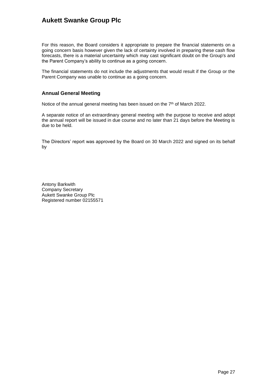For this reason, the Board considers it appropriate to prepare the financial statements on a going concern basis however given the lack of certainty involved in preparing these cash flow forecasts, there is a material uncertainty which may cast significant doubt on the Group's and the Parent Company's ability to continue as a going concern.

The financial statements do not include the adjustments that would result if the Group or the Parent Company was unable to continue as a going concern.

### **Annual General Meeting**

Notice of the annual general meeting has been issued on the 7<sup>th</sup> of March 2022.

A separate notice of an extraordinary general meeting with the purpose to receive and adopt the annual report will be issued in due course and no later than 21 days before the Meeting is due to be held.

The Directors' report was approved by the Board on 30 March 2022 and signed on its behalf by

Antony Barkwith Company Secretary Aukett Swanke Group Plc Registered number 02155571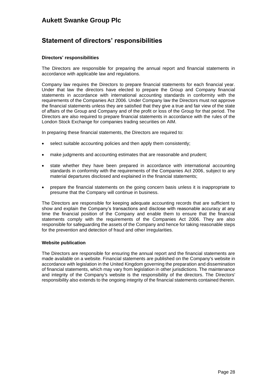### **Statement of directors' responsibilities**

#### **Directors' responsibilities**

The Directors are responsible for preparing the annual report and financial statements in accordance with applicable law and regulations.

Company law requires the Directors to prepare financial statements for each financial year. Under that law the directors have elected to prepare the Group and Company financial statements in accordance with international accounting standards in conformity with the requirements of the Companies Act 2006. Under Company law the Directors must not approve the financial statements unless they are satisfied that they give a true and fair view of the state of affairs of the Group and Company and of the profit or loss of the Group for that period. The Directors are also required to prepare financial statements in accordance with the rules of the London Stock Exchange for companies trading securities on AIM.

In preparing these financial statements, the Directors are required to:

- select suitable accounting policies and then apply them consistently;
- make judgments and accounting estimates that are reasonable and prudent;
- state whether they have been prepared in accordance with international accounting standards in conformity with the requirements of the Companies Act 2006, subject to any material departures disclosed and explained in the financial statements;
- prepare the financial statements on the going concern basis unless it is inappropriate to presume that the Company will continue in business.

The Directors are responsible for keeping adequate accounting records that are sufficient to show and explain the Company's transactions and disclose with reasonable accuracy at any time the financial position of the Company and enable them to ensure that the financial statements comply with the requirements of the Companies Act 2006. They are also responsible for safeguarding the assets of the Company and hence for taking reasonable steps for the prevention and detection of fraud and other irregularities.

#### **Website publication**

The Directors are responsible for ensuring the annual report and the financial statements are made available on a website. Financial statements are published on the Company's website in accordance with legislation in the United Kingdom governing the preparation and dissemination of financial statements, which may vary from legislation in other jurisdictions. The maintenance and integrity of the Company's website is the responsibility of the directors. The Directors' responsibility also extends to the ongoing integrity of the financial statements contained therein.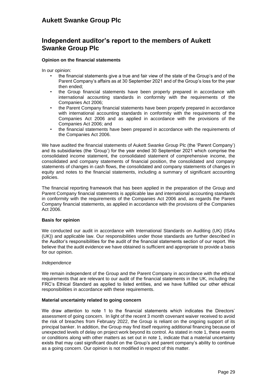## **Independent auditor's report to the members of Aukett Swanke Group Plc**

#### **Opinion on the financial statements**

In our opinion:

- the financial statements give a true and fair view of the state of the Group's and of the Parent Company's affairs as at 30 September 2021 and of the Group's loss for the year then ended;
- the Group financial statements have been properly prepared in accordance with international accounting standards in conformity with the requirements of the Companies Act 2006;
- the Parent Company financial statements have been properly prepared in accordance with international accounting standards in conformity with the requirements of the Companies Act 2006 and as applied in accordance with the provisions of the Companies Act 2006; and
- the financial statements have been prepared in accordance with the requirements of the Companies Act 2006.

We have audited the financial statements of Aukett Swanke Group Plc (the 'Parent Company') and its subsidiaries (the 'Group') for the year ended 30 September 2021 which comprise the consolidated income statement, the consolidated statement of comprehensive income, the consolidated and company statements of financial position, the consolidated and company statements of changes in cash flows, the consolidated and company statements of changes in equity and notes to the financial statements, including a summary of significant accounting policies.

The financial reporting framework that has been applied in the preparation of the Group and Parent Company financial statements is applicable law and international accounting standards in conformity with the requirements of the Companies Act 2006 and, as regards the Parent Company financial statements, as applied in accordance with the provisions of the Companies Act 2006.

#### **Basis for opinion**

We conducted our audit in accordance with International Standards on Auditing (UK) (ISAs (UK)) and applicable law. Our responsibilities under those standards are further described in the Auditor's responsibilities for the audit of the financial statements section of our report. We believe that the audit evidence we have obtained is sufficient and appropriate to provide a basis for our opinion.

#### *Independence*

We remain independent of the Group and the Parent Company in accordance with the ethical requirements that are relevant to our audit of the financial statements in the UK, including the FRC's Ethical Standard as applied to listed entities, and we have fulfilled our other ethical responsibilities in accordance with these requirements.

#### **Material uncertainty related to going concern**

We draw attention to note 1 to the financial statements which indicates the Directors' assessment of going concern. In light of the recent 3 month covenant waiver received to avoid the risk of breaches from February 2022, the Group is reliant on the ongoing support of its principal banker. In addition, the Group may find itself requiring additional financing because of unexpected levels of delay on project work beyond its control. As stated in note 1, these events or conditions along with other matters as set out in note 1, indicate that a material uncertainty exists that may cast significant doubt on the Group's and parent company's ability to continue as a going concern. Our opinion is not modified in respect of this matter.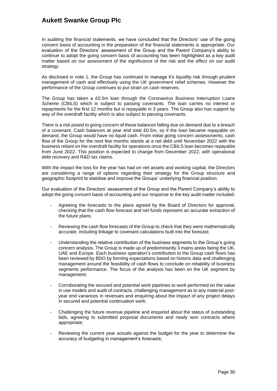In auditing the financial statements, we have concluded that the Directors' use of the going concern basis of accounting in the preparation of the financial statements is appropriate. Our evaluation of the Directors' assessment of the Group and the Parent Company's ability to continue to adopt the going concern basis of accounting has been highlighted as a key audit matter based on our assessment of the significance of the risk and the effect on our audit strategy.

As disclosed in note 1, the Group has continued to manage it's liquidity risk through prudent management of cash and effectively using the UK government relief schemes. However the performance of the Group continues to put strain on cash reserves.

The Group has taken a £0.5m loan through the Coronavirus Business Interruption Loans Scheme (CBILS) which is subject to passing covenants. The loan carries no interest or repayments for the first 12 months but is repayable in 3 years. The Group also has support by way of the overdraft facility which is also subject to passing covenants.

There is a risk posed to going concern of these balances falling due on demand due to a breach of a covenant. Cash balances at year end total £0.5m, so if the loan became repayable on demand, the Group would have no liquid cash. From initial going concern assessments, cash flow of the Group for the next few months stands at a net debt until November 2022 with the business reliant on the overdraft facility for operations once the CBILS loan becomes repayable from June 2022. This position is expected to change from December 2022, with operational debt recovery and R&D tax claims.

With the impact the loss for the year has had on net assets and working capital, the Directors are considering a range of options regarding their strategy for the Group structure and geographic footprint to stabilise and improve the Groups' underlying financial position.

Our evaluation of the Directors' assessment of the Group and the Parent Company's ability to adopt the going concern basis of accounting and our response to the key audit matter included:

- Agreeing the forecasts to the plans agreed by the Board of Directors for approval, checking that the cash flow forecast and net funds represent an accurate extraction of the future plans;
- Reviewing the cash flow forecasts of the Group to check that they were mathematically accurate, including linkage to covenant calculations built into the forecast;
- Understanding the relative contribution of the business segments to the Group's going concern analysis. The Group is made up of predominantly 3 mains areas being the UK, UAE and Europe. Each business operation's contribution to the Group cash flows has been reviewed by BDO by forming expectations based on historic data and challenging management around the feasibility of cash flows to conclude on reliability of business segments performance. The focus of the analysis has been on the UK segment by management;
- Corroborating the secured and potential work pipelines to work performed on the value in use models and audit of contracts, challenging management as to any material postyear end variances in revenues and enquiring about the impact of any project delays in secured and potential continuation work;
- Challenging the future revenue pipeline and enquired about the status of outstanding bids, agreeing to submitted proposal documents and newly won contracts where appropriate;
- Reviewing the current year actuals against the budget for the year to determine the accuracy of budgeting in management's forecasts;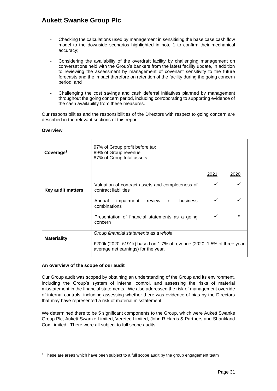- Checking the calculations used by management in sensitising the base case cash flow model to the downside scenarios highlighted in note 1 to confirm their mechanical accuracy;
- Considering the availability of the overdraft facility by challenging management on conversations held with the Group's bankers from the latest facility update, in addition to reviewing the assessment by management of covenant sensitivity to the future forecasts and the impact therefore on retention of the facility during the going concern period; and
- Challenging the cost savings and cash deferral initiatives planned by management throughout the going concern period, including corroborating to supporting evidence of the cash availability from these measures.

Our responsibilities and the responsibilities of the Directors with respect to going concern are described in the relevant sections of this report.

| Coverage <sup>1</sup> | 97% of Group profit before tax<br>89% of Group revenue<br>87% of Group total assets                           |      |             |
|-----------------------|---------------------------------------------------------------------------------------------------------------|------|-------------|
|                       |                                                                                                               | 2021 | 2020        |
| Key audit matters     | Valuation of contract assets and completeness of<br>contract liabilities                                      | ✓    |             |
|                       | business<br>impairment<br>review of<br>Annual<br>combinations                                                 |      |             |
|                       | Presentation of financial statements as a going<br>concern                                                    |      | $\mathbf x$ |
|                       | Group financial statements as a whole                                                                         |      |             |
| <b>Materiality</b>    | £200k (2020: £191k) based on 1.7% of revenue (2020: 1.5% of three year<br>average net earnings) for the year. |      |             |

#### **Overview**

### **An overview of the scope of our audit**

Our Group audit was scoped by obtaining an understanding of the Group and its environment, including the Group's system of internal control, and assessing the risks of material misstatement in the financial statements. We also addressed the risk of management override of internal controls, including assessing whether there was evidence of bias by the Directors that may have represented a risk of material misstatement.

We determined there to be 5 significant components to the Group, which were Aukett Swanke Group Plc, Aukett Swanke Limited, Veretec Limited, John R Harris & Partners and Shankland Cox Limited. There were all subject to full scope audits.

<sup>1</sup> These are areas which have been subject to a full scope audit by the group engagement team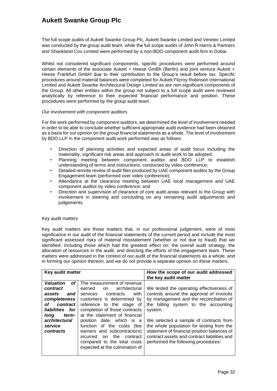The full scope audits of Aukett Swanke Group Plc, Aukett Swanke Limited and Veretec Limited was conducted by the group audit team, while the full scope audits of John R Harris & Partners and Shankland Cox Limited were performed by a non-BDO component audit firm in Dubai.

Whilst not considered significant components, specific procedures were performed around certain elements of the associate Aukett + Heese GmBh (Berlin) and joint venture Aukett + Heese Frankfurt GmbH due to their contribution to the Group's result before tax. Specific procedures around material balances were completed for Aukett Fitzroy Robinson International Limited and Aukett Swanke Architectural Design Limited as are non-significant components of the Group. All other entities within the group not subject to a full scope audit were reviewed analytically by reference to their expected financial performance and position. These procedures were performed by the group audit team.

#### *Our involvement with component auditors*

For the work performed by component auditors, we determined the level of involvement needed in order to be able to conclude whether sufficient appropriate audit evidence had been obtained as a basis for our opinion on the group financial statements as a whole. The level of involvement by BDO LLP in the component audit work performed was as follows:

- Direction of planning activities and expected areas of audit focus including the materiality, significant risk areas and approach to audit work to be adopted;
- Planning meeting between component auditor and BDO LLP to establish understanding of terms and instructions, conducted by video conference;
- Detailed remote review of audit files produced by UAE component auditor by the Group Engagement team (performed over video conference);
- Attendance at the clearance meeting between UAE local management and UAE component auditor by video conference; and
- Direction and supervision of clearance of core audit areas relevant to the Group with involvement in steering and concluding on any remaining audit adjustments and judgements.

#### *Key audit matters*

Key audit matters are those matters that, in our professional judgement, were of most significance in our audit of the financial statements of the current period and include the most significant assessed risks of material misstatement (whether or not due to fraud) that we identified, including those which had the greatest effect on: the overall audit strategy, the allocation of resources in the audit, and directing the efforts of the engagement team. These matters were addressed in the context of our audit of the financial statements as a whole, and in forming our opinion thereon, and we do not provide a separate opinion on these matters.

| Key audit matter                                                                                                                                                   |                                                                                                                                                                                                                                                                                                                                                                                                                            | How the scope of our audit addressed<br>the key audit matter                                                                                                                                                                                                                                                                                                                                                    |  |
|--------------------------------------------------------------------------------------------------------------------------------------------------------------------|----------------------------------------------------------------------------------------------------------------------------------------------------------------------------------------------------------------------------------------------------------------------------------------------------------------------------------------------------------------------------------------------------------------------------|-----------------------------------------------------------------------------------------------------------------------------------------------------------------------------------------------------------------------------------------------------------------------------------------------------------------------------------------------------------------------------------------------------------------|--|
| <b>Valuation</b><br>οf<br>contract<br>assets<br>and<br>completeness<br>οf<br>contract<br>liabilities for<br>long<br>term-<br>architectural<br>service<br>contracts | The measurement of revenue<br>architectural<br>earned<br>on.<br>services<br>contracts<br>with<br>customers is determined by<br>reference to the stage of<br>completion of those contracts<br>at the statement of financial<br>position date, which is a<br>function of the costs (fee<br>earners and subcontractors)<br>the<br>incurred<br>on<br>contract<br>compared to the total costs<br>expected at the culmination of | We tested the operating effectiveness of<br>controls around the approval of invoices<br>by management and the reconciliation of<br>the billing system to the accounting<br>system.<br>We selected a sample of contracts from<br>the whole population for testing from the<br>statement of financial position balances of<br>contract assets and contract liabilities and<br>performed the following procedures: |  |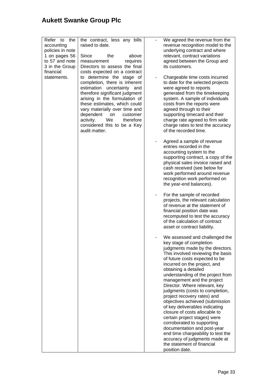| Refer to<br>the<br>accounting<br>policies in note<br>1 on pages 56<br>to 57 and note<br>3 in the Group<br>financial<br>statements. | the contract, less any bills<br>raised to date.<br>Since<br>the<br>above<br>requires<br>measurement<br>Directors to assess the final<br>costs expected on a contract<br>to determine the stage of<br>completion, there is inherent<br>estimation<br>uncertainty<br>and<br>therefore significant judgment<br>arising in the formulation of<br>these estimates, which could<br>vary materially over time and<br>dependent<br>customer<br>on<br>We<br>activity.<br>therefore<br>considered this to be a Key<br>audit matter. | $\qquad \qquad \blacksquare$ | We agreed the revenue from the<br>revenue recognition model to the<br>underlying contract and where<br>relevant, contract variations<br>agreed between the Group and<br>its customers.<br>Chargeable time costs incurred<br>to date for the selected projects<br>were agreed to reports<br>generated from the timekeeping<br>system. A sample of individuals<br>costs from the reports were<br>agreed through to their<br>supporting timecard and their<br>charge rate agreed to firm wide<br>charge rates to test the accuracy<br>of the recorded time.                                                                                                                                                                     |
|------------------------------------------------------------------------------------------------------------------------------------|---------------------------------------------------------------------------------------------------------------------------------------------------------------------------------------------------------------------------------------------------------------------------------------------------------------------------------------------------------------------------------------------------------------------------------------------------------------------------------------------------------------------------|------------------------------|------------------------------------------------------------------------------------------------------------------------------------------------------------------------------------------------------------------------------------------------------------------------------------------------------------------------------------------------------------------------------------------------------------------------------------------------------------------------------------------------------------------------------------------------------------------------------------------------------------------------------------------------------------------------------------------------------------------------------|
|                                                                                                                                    |                                                                                                                                                                                                                                                                                                                                                                                                                                                                                                                           |                              | Agreed a sample of revenue<br>entries recorded in the<br>accounting system to the<br>supporting contract, a copy of the<br>physical sales invoice raised and<br>cash received (see below for<br>work performed around revenue<br>recognition work performed on<br>the year-end balances).                                                                                                                                                                                                                                                                                                                                                                                                                                    |
|                                                                                                                                    |                                                                                                                                                                                                                                                                                                                                                                                                                                                                                                                           | ٠                            | For the sample of recorded<br>projects, the relevant calculation<br>of revenue at the statement of<br>financial position date was<br>recomputed to test the accuracy<br>of the calculation of contract<br>asset or contract liability.                                                                                                                                                                                                                                                                                                                                                                                                                                                                                       |
|                                                                                                                                    |                                                                                                                                                                                                                                                                                                                                                                                                                                                                                                                           |                              | We assessed and challenged the<br>key stage of completion<br>judgments made by the directors.<br>This involved reviewing the basis<br>of future costs expected to be<br>incurred on the project, and<br>obtaining a detailed<br>understanding of the project from<br>management and the project<br>Director. Where relevant, key<br>judgments (costs to completion,<br>project recovery rates) and<br>objectives achieved (submission<br>of key deliverables indicating<br>closure of costs allocable to<br>certain project stages) were<br>corroborated to supporting<br>documentation and post-year<br>end time chargeability to test the<br>accuracy of judgments made at<br>the statement of financial<br>position date. |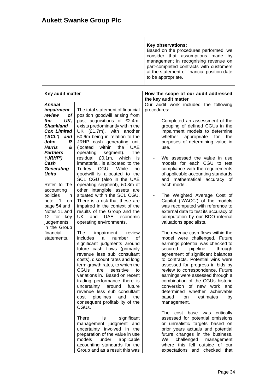|  | Key observations:<br>Based on the procedures performed, we<br>consider that assumptions made by<br>management in recognising revenue on<br>part-completed contracts with customers<br>at the statement of financial position date<br>to be appropriate. |
|--|---------------------------------------------------------------------------------------------------------------------------------------------------------------------------------------------------------------------------------------------------------|
|--|---------------------------------------------------------------------------------------------------------------------------------------------------------------------------------------------------------------------------------------------------------|

| Key audit matter            |                                                                | How the scope of our audit addressed                                     |  |  |
|-----------------------------|----------------------------------------------------------------|--------------------------------------------------------------------------|--|--|
|                             |                                                                | the key audit matter                                                     |  |  |
| <b>Annual</b>               |                                                                | Our audit work included the following                                    |  |  |
| <i>impairment</i>           | The total statement of financial                               | procedures:                                                              |  |  |
| of<br>review                | position goodwill arising from                                 |                                                                          |  |  |
| UK,<br>the                  | past acquisitions of £2.4m,                                    | Completed an assessment of the                                           |  |  |
| <b>Shankland</b>            | exists predominantly within the                                | grouping of defined CGUs in the                                          |  |  |
| <b>Cox Limited</b>          | UK (£1.7m), with another                                       | impairment models to determine                                           |  |  |
| ('SCL')<br>and              | £0.6m being in relation to the                                 | whether<br>appropriate<br>for<br>the                                     |  |  |
| John<br>R                   | JRHP cash generating unit                                      | purposes of determining value in                                         |  |  |
| &<br><b>Harris</b>          | within<br><b>UAE</b><br>(located)<br>the                       | use.                                                                     |  |  |
| <b>Partners</b>             | operating<br>segment).<br>The                                  |                                                                          |  |  |
| ('JRHP')                    | £0.1m,<br>residual<br>which<br>is                              | We assessed the value in use                                             |  |  |
| Cash                        | immaterial, is allocated to the                                | models for each CGU to test                                              |  |  |
| <b>Generating</b>           | While<br>Turkey CGU.<br>no                                     | compliance with the requirements                                         |  |  |
| <b>Units</b>                | goodwill is allocated to the                                   | of applicable accounting standards                                       |  |  |
|                             | SCL CGU (also in the UAE                                       | and mathematical accuracy of                                             |  |  |
| Refer to the                | operating segment), £0.3m of                                   | each model.                                                              |  |  |
| accounting                  | other intangible assets are                                    |                                                                          |  |  |
| policies<br>in              | situated within the SCL CGU.<br>There is a risk that these are | The Weighted Average Cost of                                             |  |  |
| note<br>1<br>on             |                                                                | Capital ('WACC') of the models                                           |  |  |
| page 54 and<br>Notes 11 and | impaired in the context of the<br>results of the Group and the | was recomputed with reference to                                         |  |  |
| 12 for<br>key               | economic<br>UK.<br>and<br><b>UAE</b>                           | external data to test its accuracy of<br>computation by our BDO internal |  |  |
| judgements                  | operating environments.                                        | valuations specialists.                                                  |  |  |
| in the Group                |                                                                |                                                                          |  |  |
| financial                   | The<br>review<br>impairment                                    | The revenue cash flows within the                                        |  |  |
| statements.                 | includes<br>a<br>number<br>οf                                  | model were challenged. Future                                            |  |  |
|                             | significant judgments around                                   | earnings potential was checked to                                        |  |  |
|                             | future cash flows (primarily                                   | secured<br>pipeline<br>through                                           |  |  |
|                             | revenue less sub consultant                                    | agreement of significant balances                                        |  |  |
|                             | costs), discount rates and long                                | to contracts. Potential wins were                                        |  |  |
|                             | term growth rates, to which the                                | assessed for progress in bids by                                         |  |  |
|                             | CGUs<br>sensitive<br>are<br>to                                 | review to correspondence. Future                                         |  |  |
|                             | variations in. Based on recent                                 | earnings were assessed through a                                         |  |  |
|                             | trading performance there is                                   | combination of the CGUs historic                                         |  |  |
|                             | uncertainty<br>around<br>future                                | of new<br>conversion<br>work<br>and                                      |  |  |
|                             | revenue less sub consultant                                    | whether<br>determined<br>achievable                                      |  |  |
|                             | pipelines<br>the<br>cost<br>and                                | estimates<br>based<br>on<br>by                                           |  |  |
|                             | consequent profitability of the                                | management.                                                              |  |  |
|                             | CGUs.                                                          |                                                                          |  |  |
|                             |                                                                | The cost base was critically                                             |  |  |
|                             | significant<br><b>There</b><br>is                              | assessed for potential omissions                                         |  |  |
|                             | management judgment and                                        | or unrealistic targets based on                                          |  |  |
|                             | uncertainty involved in the                                    | prior years actuals and potential                                        |  |  |
|                             | preparation of the value in use                                | future changes in the business.                                          |  |  |
|                             | models<br>under<br>applicable                                  | We<br>challenged<br>management                                           |  |  |
|                             | accounting standards for the                                   | where this fell outside of our                                           |  |  |
|                             | Group and as a result this was                                 | expectations and checked that                                            |  |  |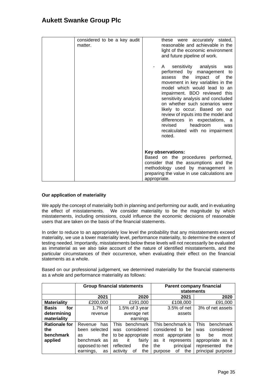| considered to be a key audit<br>matter. | these were accurately stated,<br>reasonable and achievable in the<br>light of the economic environment<br>and future pipeline of work.                                                                                                                                                                                                                                                                                                                                         |
|-----------------------------------------|--------------------------------------------------------------------------------------------------------------------------------------------------------------------------------------------------------------------------------------------------------------------------------------------------------------------------------------------------------------------------------------------------------------------------------------------------------------------------------|
|                                         | sensitivity<br>analysis<br>was<br>A<br>performed by<br>management to<br>the<br>impact of<br>the<br>assess<br>movement in key variables in the<br>model which would lead to an<br>impairment. BDO reviewed this<br>sensitivity analysis and concluded<br>on whether such scenarios were<br>likely to occur. Based on our<br>review of inputs into the model and<br>differences<br>in expectations, a<br>headroom<br>revised<br>was<br>recalculated with no impairment<br>noted. |
|                                         | Key observations:<br>Based on the procedures performed,                                                                                                                                                                                                                                                                                                                                                                                                                        |
|                                         | consider that the assumptions and the<br>methodology used by management in<br>preparing the value in use calculations are<br>appropriate.                                                                                                                                                                                                                                                                                                                                      |

### **Our application of materiality**

We apply the concept of materiality both in planning and performing our audit, and in evaluating the effect of misstatements. We consider materiality to be the magnitude by which misstatements, including omissions, could influence the economic decisions of reasonable users that are taken on the basis of the financial statements.

In order to reduce to an appropriately low level the probability that any misstatements exceed materiality, we use a lower materiality level, performance materiality, to determine the extent of testing needed. Importantly, misstatements below these levels will not necessarily be evaluated as immaterial as we also take account of the nature of identified misstatements, and the particular circumstances of their occurrence, when evaluating their effect on the financial statements as a whole.

Based on our professional judgement, we determined materiality for the financial statements as a whole and performance materiality as follows:

|                      | <b>Group financial statements</b> |                          | <b>Parent company financial</b><br>statements |                          |
|----------------------|-----------------------------------|--------------------------|-----------------------------------------------|--------------------------|
|                      | 2021                              | 2020                     | 2021                                          | 2020                     |
| <b>Materiality</b>   | £200,000                          | £191,000                 | £108,000                                      | £91,000                  |
| <b>Basis</b><br>for  | $1.7\%$ of                        | 1.5% of $3$ year         | 3.5% of net                                   | 3% of net assets         |
| determining          | revenue                           | average net              | assets                                        |                          |
| materiality          |                                   | earnings                 |                                               |                          |
| <b>Rationale for</b> | has<br>Revenue                    | <b>This</b><br>benchmark | This benchmark is                             | <b>This</b><br>benchmark |
| the                  | been selected                     | considered<br>was        | considered to be                              | considered<br>was        |
| benchmark            | the<br>as                         | to be appropriate        | appropriate<br>most                           | to<br>most<br>be         |
| applied              | benchmark as                      | fairly<br>it<br>as       | it<br>represents<br>as                        | appropriate as it        |
|                      | opposed to net                    | reflected<br>the         | principal<br>the                              | represented<br>the       |
|                      | earnings,<br>as                   | the<br>activity<br>οt    | οf<br>the<br>purpose                          | principal purpose        |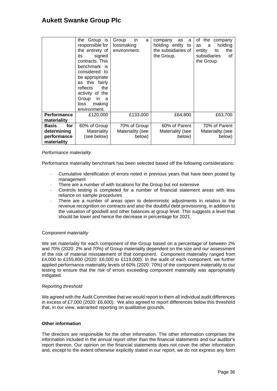|                                                                  | the Group is<br>responsible for<br>the entirety of<br>its<br>signed<br>contracts. This<br>benchmark is<br>considered<br>to<br>be appropriate<br>this fairly<br>as<br>reflects<br>the<br>activity of the<br>Group<br>in.<br>a<br>making<br>loss<br>environment. | in<br>Group<br>a<br>lossmaking<br>environment. | company<br>a<br>as<br>holding entity to<br>the subsidiaries of<br>the Group. | of the<br>company<br>holding<br>as<br>a<br>entity<br>the<br>to<br>subsidiaries<br>οf<br>the Group. |
|------------------------------------------------------------------|----------------------------------------------------------------------------------------------------------------------------------------------------------------------------------------------------------------------------------------------------------------|------------------------------------------------|------------------------------------------------------------------------------|----------------------------------------------------------------------------------------------------|
| Performance<br>materiality                                       | £120,000                                                                                                                                                                                                                                                       | £133,000                                       | £64,800                                                                      | £63,700                                                                                            |
| for<br><b>Basis</b><br>determining<br>performance<br>materiality | 60% of Group<br>Materiality<br>(see below)                                                                                                                                                                                                                     | 70% of Group<br>Materiality (see<br>below)     | 60% of Parent<br>Materiality (see<br>below)                                  | 70% of Parent<br>Materiality (see<br>below)                                                        |

#### *Performance materiality*

Performance materiality benchmark has been selected based off the following considerations:

- Cumulative identification of errors noted in previous years that have been posted by management
- There are a number of with locations for the Group but not extensive
- Controls testing is completed for a number of financial statement areas with less reliance on sample procedures
- There are a number of areas open to deterministic adjustments in relation to the revenue recognition on contracts and also the doubtful debt provisioning, in addition to the valuation of goodwill and other balances at group level. This suggests a level that should be lower and hence the decrease in percentage for 2021.

### C*omponent materiality*

We set materiality for each component of the Group based on a percentage of between 2% and 70% (2020: 2% and 70%) of Group materiality dependent on the size and our assessment of the risk of material misstatement of that component. Component materiality ranged from £4,000 to £155,800 (2020: £6,000 to £119,000). In the audit of each component, we further applied performance materiality levels of 60% (2020: 70%) of the component materiality to our testing to ensure that the risk of errors exceeding component materiality was appropriately mitigated.

#### *Reporting threshold*

We agreed with the Audit Committee that we would report to them all individual audit differences in excess of £7,000 (2020: £6,600). We also agreed to report differences below this threshold that, in our view, warranted reporting on qualitative grounds.

### **Other information**

The directors are responsible for the other information. The other information comprises the information included in the annual report other than the financial statements and our auditor's report thereon. Our opinion on the financial statements does not cover the other information and, except to the extent otherwise explicitly stated in our report, we do not express any form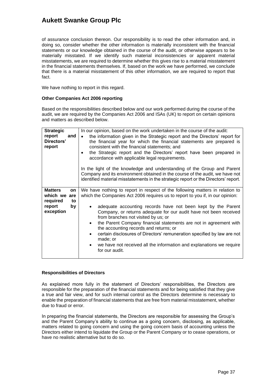of assurance conclusion thereon. Our responsibility is to read the other information and, in doing so, consider whether the other information is materially inconsistent with the financial statements or our knowledge obtained in the course of the audit, or otherwise appears to be materially misstated. If we identify such material inconsistencies or apparent material misstatements, we are required to determine whether this gives rise to a material misstatement in the financial statements themselves. If, based on the work we have performed, we conclude that there is a material misstatement of this other information, we are required to report that fact.

We have nothing to report in this regard.

#### **Other Companies Act 2006 reporting**

Based on the responsibilities described below and our work performed during the course of the audit, we are required by the Companies Act 2006 and ISAs (UK) to report on certain opinions and matters as described below.

| <b>Strategic</b><br>report<br>and<br>Directors'<br>report                           | In our opinion, based on the work undertaken in the course of the audit:<br>the information given in the Strategic report and the Directors' report for<br>$\bullet$<br>the financial year for which the financial statements are prepared is<br>consistent with the financial statements; and<br>the Strategic report and the Directors' report have been prepared in<br>accordance with applicable legal requirements.<br>In the light of the knowledge and understanding of the Group and Parent                                                                                                                                                                 |
|-------------------------------------------------------------------------------------|---------------------------------------------------------------------------------------------------------------------------------------------------------------------------------------------------------------------------------------------------------------------------------------------------------------------------------------------------------------------------------------------------------------------------------------------------------------------------------------------------------------------------------------------------------------------------------------------------------------------------------------------------------------------|
|                                                                                     | Company and its environment obtained in the course of the audit, we have not<br>identified material misstatements in the strategic report or the Directors' report.                                                                                                                                                                                                                                                                                                                                                                                                                                                                                                 |
| <b>Matters</b><br>on<br>which we are<br>required<br>to<br>report<br>by<br>exception | We have nothing to report in respect of the following matters in relation to<br>which the Companies Act 2006 requires us to report to you if, in our opinion:<br>adequate accounting records have not been kept by the Parent<br>Company, or returns adequate for our audit have not been received<br>from branches not visited by us; or<br>the Parent Company financial statements are not in agreement with<br>$\bullet$<br>the accounting records and returns; or<br>certain disclosures of Directors' remuneration specified by law are not<br>$\bullet$<br>made; or<br>we have not received all the information and explanations we require<br>for our audit. |

#### **Responsibilities of Directors**

As explained more fully in the statement of Directors' responsibilities, the Directors are responsible for the preparation of the financial statements and for being satisfied that they give a true and fair view, and for such internal control as the Directors determine is necessary to enable the preparation of financial statements that are free from material misstatement, whether due to fraud or error.

In preparing the financial statements, the Directors are responsible for assessing the Group's and the Parent Company's ability to continue as a going concern, disclosing, as applicable, matters related to going concern and using the going concern basis of accounting unless the Directors either intend to liquidate the Group or the Parent Company or to cease operations, or have no realistic alternative but to do so.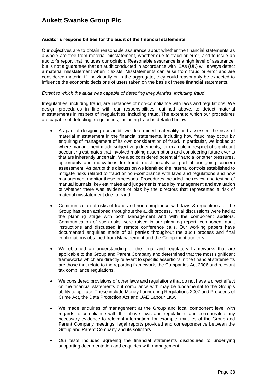### **Auditor's responsibilities for the audit of the financial statements**

Our objectives are to obtain reasonable assurance about whether the financial statements as a whole are free from material misstatement, whether due to fraud or error, and to issue an auditor's report that includes our opinion. Reasonable assurance is a high level of assurance, but is not a guarantee that an audit conducted in accordance with ISAs (UK) will always detect a material misstatement when it exists. Misstatements can arise from fraud or error and are considered material if, individually or in the aggregate, they could reasonably be expected to influence the economic decisions of users taken on the basis of these financial statements.

#### *Extent to which the audit was capable of detecting irregularities, including fraud*

Irregularities, including fraud, are instances of non-compliance with laws and regulations. We design procedures in line with our responsibilities, outlined above, to detect material misstatements in respect of irregularities, including fraud. The extent to which our procedures are capable of detecting irregularities, including fraud is detailed below:

- As part of designing our audit, we determined materiality and assessed the risks of material misstatement in the financial statements, including how fraud may occur by enquiring of management of its own consideration of fraud. In particular, we looked at where management made subjective judgements, for example in respect of significant accounting estimates that involved making assumptions and considering future events that are inherently uncertain. We also considered potential financial or other pressures, opportunity and motivations for fraud, most notably as part of our going concern assessment. As part of this discussion we identified the internal controls established to mitigate risks related to fraud or non-compliance with laws and regulations and how management monitor these processes. Procedures included the review and testing of manual journals, key estimates and judgements made by management and evaluation of whether there was evidence of bias by the directors that represented a risk of material misstatement due to fraud.
- Communication of risks of fraud and non-compliance with laws & regulations for the Group has been actioned throughout the audit process. Initial discussions were had at the planning stage with both Management and with the component auditors. Communication of such risks were raised in our planning report, component audit instructions and discussed in remote conference calls. Our working papers have documented enquiries made of all parties throughout the audit process and final confirmations obtained from Management and the Component auditors.
- We obtained an understanding of the legal and regulatory frameworks that are applicable to the Group and Parent Company and determined that the most significant frameworks which are directly relevant to specific assertions in the financial statements are those that relate to the reporting framework, the Companies Act 2006 and relevant tax compliance regulations.
- We considered provisions of other laws and regulations that do not have a direct effect on the financial statements but compliance with may be fundamental to the Group's ability to operate. These include Money Laundering Regulations 2007 and Proceeds of Crime Act, the Data Protection Act and UAE Labour Law.
- We made enquiries of management at the Group and local component level with regards to compliance with the above laws and regulations and corroborated any necessary evidence to relevant information, for example, minutes of the Group and Parent Company meetings, legal reports provided and correspondence between the Group and Parent Company and its solicitors.
- Our tests included agreeing the financial statements disclosures to underlying supporting documentation and enquiries with management.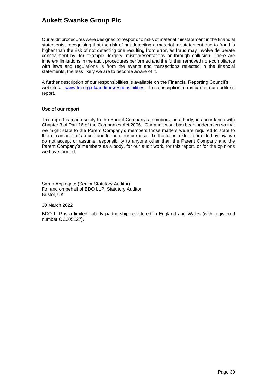Our audit procedures were designed to respond to risks of material misstatement in the financial statements, recognising that the risk of not detecting a material misstatement due to fraud is higher than the risk of not detecting one resulting from error, as fraud may involve deliberate concealment by, for example, forgery, misrepresentations or through collusion. There are inherent limitations in the audit procedures performed and the further removed non-compliance with laws and regulations is from the events and transactions reflected in the financial statements, the less likely we are to become aware of it.

A further description of our responsibilities is available on the Financial Reporting Council's website at: [www.frc.org.uk/auditorsresponsibilities.](http://insite.bdo.co.uk/sites/audit/Documents/www.frc.org.uk/auditorsresponsibilities) This description forms part of our auditor's report.

#### **Use of our report**

This report is made solely to the Parent Company's members, as a body, in accordance with Chapter 3 of Part 16 of the Companies Act 2006. Our audit work has been undertaken so that we might state to the Parent Company's members those matters we are required to state to them in an auditor's report and for no other purpose. To the fullest extent permitted by law, we do not accept or assume responsibility to anyone other than the Parent Company and the Parent Company's members as a body, for our audit work, for this report, or for the opinions we have formed.

Sarah Applegate (Senior Statutory Auditor) For and on behalf of BDO LLP, Statutory Auditor Bristol, UK

30 March 2022

BDO LLP is a limited liability partnership registered in England and Wales (with registered number OC305127).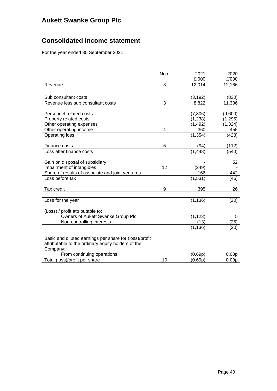## **Consolidated income statement**

For the year ended 30 September 2021

|                                                             | <b>Note</b> | 2021<br>£'000 | 2020<br>£'000     |
|-------------------------------------------------------------|-------------|---------------|-------------------|
| Revenue                                                     | 3           | 12,014        | 12,166            |
| Sub consultant costs                                        |             | (3, 192)      | (830)             |
| Revenue less sub consultant costs                           | 3           | 8,822         | 11,336            |
| Personnel related costs                                     |             | (7,806)       | (9,600)           |
| Property related costs                                      |             | (1,238)       | (1, 295)          |
| Other operating expenses                                    |             | (1, 492)      | (1, 324)          |
| Other operating income                                      | 4           | 360           | 455               |
| <b>Operating loss</b>                                       |             | (1, 354)      | (428)             |
| Finance costs                                               | 5           | (94)          | (112)             |
| Loss after finance costs                                    |             | (1, 448)      | (540)             |
|                                                             |             |               | 52                |
| Gain on disposal of subsidiary<br>Impairment of intangibles | 12          | (249)         |                   |
| Share of results of associate and joint ventures            |             | 166           | 442               |
| Loss before tax                                             |             | (1, 531)      | (46)              |
|                                                             |             |               |                   |
| Tax credit                                                  | 9           | 395           | 26                |
|                                                             |             |               |                   |
| Loss for the year                                           |             | (1, 136)      | (20)              |
| (Loss) / profit attributable to:                            |             |               |                   |
| Owners of Aukett Swanke Group Plc                           |             | (1, 123)      | 5                 |
| Non-controlling interests                                   |             | (13)          | (25)              |
|                                                             |             | (1, 136)      | (20)              |
|                                                             |             |               |                   |
| Basic and diluted earnings per share for (loss)/profit      |             |               |                   |
| attributable to the ordinary equity holders of the          |             |               |                   |
| Company:                                                    |             |               |                   |
| From continuing operations                                  |             | (0.69p)       | 0.00 <sub>p</sub> |
| Total (loss)/profit per share                               | 10          | (0.69p)       | 0.00 <sub>p</sub> |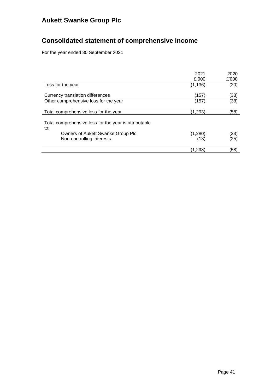# **Consolidated statement of comprehensive income**

For the year ended 30 September 2021

|                                                                                                                                | 2021<br>£'000   | 2020<br>£'000 |
|--------------------------------------------------------------------------------------------------------------------------------|-----------------|---------------|
| Loss for the year                                                                                                              | (1, 136)        | (20)          |
| Currency translation differences                                                                                               | (157)           | (38)          |
| Other comprehensive loss for the year                                                                                          | (157)           | (38)          |
| Total comprehensive loss for the year                                                                                          | (1,293)         | (58)          |
| Total comprehensive loss for the year is attributable<br>to:<br>Owners of Aukett Swanke Group Plc<br>Non-controlling interests | (1,280)<br>(13) | (33)<br>(25)  |
|                                                                                                                                |                 |               |
|                                                                                                                                | (1,293)         | (58)          |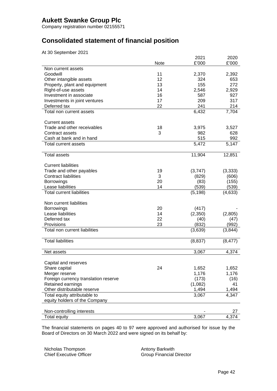Company registration number 02155571

## **Consolidated statement of financial position**

At 30 September 2021

|                                      |      | 2021     | 2020     |
|--------------------------------------|------|----------|----------|
| Non current assets                   | Note | £'000    | £'000    |
| Goodwill                             | 11   | 2,370    | 2,392    |
| Other intangible assets              | 12   | 324      | 653      |
| Property, plant and equipment        | 13   | 155      | 272      |
| Right-of-use assets                  | 14   | 2,546    | 2,929    |
| Investment in associate              | 16   | 587      | 927      |
| Investments in joint ventures        | 17   | 209      | 317      |
| Deferred tax                         | 22   | 241      | 214      |
| Total non current assets             |      | 6,432    | 7,704    |
| <b>Current assets</b>                |      |          |          |
| Trade and other receivables          | 18   | 3,975    | 3,527    |
| Contract assets                      | 3    | 982      | 628      |
| Cash at bank and in hand             |      | 515      | 992      |
| Total current assets                 |      | 5,472    | 5,147    |
| <b>Total assets</b>                  |      | 11,904   | 12,851   |
| <b>Current liabilities</b>           |      |          |          |
| Trade and other payables             | 19   | (3,747)  | (3, 333) |
| <b>Contract liabilities</b>          | 3    | (829)    | (606)    |
| <b>Borrowings</b>                    | 20   | (83)     | (155)    |
| Lease liabilities                    | 14   | (539)    | (539)    |
| <b>Total current liabilities</b>     |      | (5, 198) | (4,633)  |
| Non current liabilities              |      |          |          |
| Borrowings                           | 20   | (417)    |          |
| Lease liabilities                    | 14   | (2,350)  | (2,805)  |
| Deferred tax                         | 22   | (40)     | (47)     |
| Provisions                           | 23   | (832)    | (992)    |
| Total non current liabilities        |      | (3,639)  | (3,844)  |
| <b>Total liabilities</b>             |      | (8,837)  | (8, 477) |
| Net assets                           |      | 3,067    | 4,374    |
| Capital and reserves                 |      |          |          |
| Share capital                        | 24   | 1,652    | 1,652    |
| Merger reserve                       |      | 1,176    | 1,176    |
| Foreign currency translation reserve |      | (173)    | (16)     |
| Retained earnings                    |      | (1,082)  | 41       |
| Other distributable reserve          |      | 1,494    | 1,494    |
| Total equity attributable to         |      | 3,067    | 4,347    |
| equity holders of the Company        |      |          |          |
| Non-controlling interests            |      |          | 27       |
| Total equity                         |      | 3,067    | 4,374    |

The financial statements on pages 40 to 97 were approved and authorised for issue by the Board of Directors on 30 March 2022 and were signed on its behalf by:

Nicholas Thompson Chief Executive Officer Antony Barkwith Group Financial Director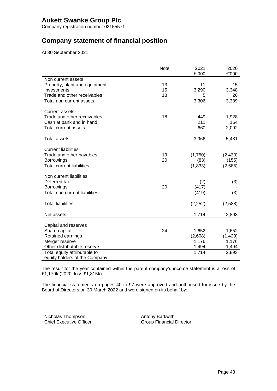Company registration number 02155571

## **Company statement of financial position**

At 30 September 2021

|                                  | <b>Note</b> | 2021<br>£'000 | 2020<br>£'000 |
|----------------------------------|-------------|---------------|---------------|
| Non current assets               |             |               |               |
| Property, plant and equipment    | 13          | 11            | 15            |
| Investments                      | 15          | 3,290         | 3,348         |
| Trade and other receivables      | 18          | 5             | 26            |
| Total non current assets         |             | 3,306         | 3,389         |
|                                  |             |               |               |
| <b>Current assets</b>            |             |               |               |
| Trade and other receivables      | 18          | 449           | 1,928         |
| Cash at bank and in hand         |             | 211           | 164           |
| Total current assets             |             | 660           | 2,092         |
|                                  |             |               |               |
| <b>Total assets</b>              |             | 3,966         | 5,481         |
|                                  |             |               |               |
| <b>Current liabilities</b>       |             |               |               |
| Trade and other payables         | 19          | (1,750)       | (2, 430)      |
| <b>Borrowings</b>                | 20          | (83)          | (155)         |
| <b>Total current liabilities</b> |             | (1, 833)      | (2, 585)      |
| Non current liabilities          |             |               |               |
| Deferred tax                     |             |               |               |
| Borrowings                       | 20          | (2)<br>(417)  | (3)           |
| Total non current liabilities    |             | (419)         | (3)           |
|                                  |             |               |               |
| <b>Total liabilities</b>         |             | (2, 252)      | (2,588)       |
|                                  |             |               |               |
| Net assets                       |             | 1,714         | 2,893         |
|                                  |             |               |               |
| Capital and reserves             |             |               |               |
| Share capital                    | 24          | 1,652         | 1,652         |
| Retained earnings                |             | (2,608)       | (1, 429)      |
| Merger reserve                   |             | 1,176         | 1,176         |
| Other distributable reserve      |             | 1,494         | 1,494         |
| Total equity attributable to     |             | 1,714         | 2,893         |
| equity holders of the Company    |             |               |               |

The result for the year contained within the parent company's income statement is a loss of £1,179k (2020: loss £1,815k).

The financial statements on pages 40 to 97 were approved and authorised for issue by the Board of Directors on 30 March 2022 and were signed on its behalf by:

Nicholas Thompson Chief Executive Officer Antony Barkwith Group Financial Director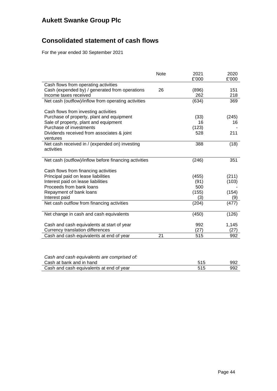## **Consolidated statement of cash flows**

For the year ended 30 September 2021

|                                                       | <b>Note</b> | 2021<br>£'000 | 2020<br>£'000 |
|-------------------------------------------------------|-------------|---------------|---------------|
| Cash flows from operating activities                  |             |               |               |
| Cash (expended by) / generated from operations        | 26          | (896)         | 151           |
| Income taxes received                                 |             | 262           | 218           |
| Net cash (outflow)/inflow from operating activities   |             | (634)         | 369           |
|                                                       |             |               |               |
| Cash flows from investing activities                  |             |               |               |
| Purchase of property, plant and equipment             |             | (33)          | (245)         |
| Sale of property, plant and equipment                 |             | 16            | 16            |
| Purchase of investments                               |             | (123)         |               |
| Dividends received from associates & joint            |             | 528           | 211           |
| ventures                                              |             |               |               |
| Net cash received in / (expended on) investing        |             | 388           | (18)          |
| activities                                            |             |               |               |
|                                                       |             |               |               |
| Net cash (outflow)/inflow before financing activities |             | (246)         | 351           |
|                                                       |             |               |               |
| Cash flows from financing activities                  |             |               |               |
| Principal paid on lease liabilities                   |             | (455)         | (211)         |
| Interest paid on lease liabilities                    |             | (91)          | (103)         |
| Proceeds from bank loans                              |             | 500           |               |
| Repayment of bank loans                               |             | (155)         | (154)         |
| Interest paid                                         |             | (3)           | (9)           |
| Net cash outflow from financing activities            |             | (204)         | (477)         |
|                                                       |             |               |               |
| Net change in cash and cash equivalents               |             | (450)         | (126)         |
|                                                       |             |               |               |
| Cash and cash equivalents at start of year            |             | 992           | 1,145         |
| Currency translation differences                      |             | (27)          | (27)          |
| Cash and cash equivalents at end of year              | 21          | 515           | 992           |
|                                                       |             |               |               |
|                                                       |             |               |               |
|                                                       |             |               |               |

| Cash and cash equivalents are comprised of: |     |      |
|---------------------------------------------|-----|------|
| Cash at bank and in hand                    | 515 | -992 |
| Cash and cash equivalents at end of year    | 515 | 992  |
|                                             |     |      |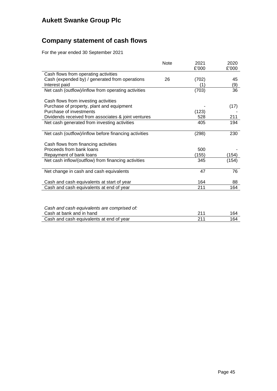## **Company statement of cash flows**

For the year ended 30 September 2021

|                                                       | <b>Note</b> | 2021<br>£'000 | 2020<br>£'000 |
|-------------------------------------------------------|-------------|---------------|---------------|
| Cash flows from operating activities                  |             |               |               |
| Cash (expended by) / generated from operations        | 26          | (702)         | 45            |
| Interest paid                                         |             | (1`           | (9)           |
| Net cash (outflow)/inflow from operating activities   |             | (703)         | 36            |
| Cash flows from investing activities                  |             |               |               |
| Purchase of property, plant and equipment             |             |               | (17)          |
| Purchase of investments                               |             | (123)         |               |
| Dividends received from associates & joint ventures   |             | 528           | 211           |
| Net cash generated from investing activities          |             | 405           | 194           |
|                                                       |             |               |               |
| Net cash (outflow)/inflow before financing activities |             | (298)         | 230           |
| Cash flows from financing activities                  |             |               |               |
| Proceeds from bank loans                              |             | 500           |               |
| Repayment of bank loans                               |             | (155)         | (154)         |
| Net cash inflow/(outflow) from financing activities   |             | 345           | (154)         |
|                                                       |             | 47            | 76            |
| Net change in cash and cash equivalents               |             |               |               |
| Cash and cash equivalents at start of year            |             | 164           | 88            |
| Cash and cash equivalents at end of year              |             | 211           | 164           |
|                                                       |             |               |               |
|                                                       |             |               |               |

| Cash and cash equivalents are comprised of: |     |     |
|---------------------------------------------|-----|-----|
| Cash at bank and in hand                    | 211 | 164 |
| Cash and cash equivalents at end of year    | 211 | 164 |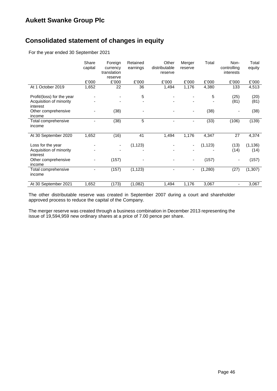## **Consolidated statement of changes in equity**

For the year ended 30 September 2021

|                                     | Share<br>capital | Foreign<br>currency<br>translation<br>reserve | Retained<br>earnings | Other<br>distributable<br>reserve | Merger<br>reserve | Total    | Non-<br>controlling<br>interests | Total<br>equity |
|-------------------------------------|------------------|-----------------------------------------------|----------------------|-----------------------------------|-------------------|----------|----------------------------------|-----------------|
|                                     | £'000            | £'000                                         | £'000                | £'000                             | £'000             | £'000    | £'000                            | £'000           |
| At 1 October 2019                   | 1,652            | 22                                            | 36                   | 1,494                             | 1,176             | 4,380    | 133                              | 4,513           |
| Profit/(loss) for the year          |                  |                                               | 5                    |                                   |                   | 5        | (25)                             | (20)            |
| Acquisition of minority<br>interest |                  |                                               |                      |                                   |                   |          | (81)                             | (81)            |
| Other comprehensive<br>income       |                  | (38)                                          |                      |                                   | ۰                 | (38)     | -                                | (38)            |
| Total comprehensive<br>income       |                  | (38)                                          | 5                    |                                   | ۰                 | (33)     | (106)                            | (139)           |
| At 30 September 2020                | 1,652            | (16)                                          | 41                   | 1,494                             | 1,176             | 4,347    | 27                               | 4,374           |
| Loss for the year                   |                  | ٠                                             | (1, 123)             |                                   | ٠                 | (1, 123) | (13)                             | (1, 136)        |
| Acquisition of minority<br>interest |                  |                                               |                      |                                   |                   |          | (14)                             | (14)            |
| Other comprehensive<br>income       |                  | (157)                                         |                      |                                   |                   | (157)    |                                  | (157)           |
| Total comprehensive<br>income       |                  | (157)                                         | (1, 123)             |                                   | ۰                 | (1, 280) | (27)                             | (1, 307)        |
| At 30 September 2021                | 1,652            | (173)                                         | (1,082)              | 1,494                             | 1,176             | 3,067    | ۰                                | 3,067           |

The other distributable reserve was created in September 2007 during a court and shareholder approved process to reduce the capital of the Company.

The merger reserve was created through a business combination in December 2013 representing the issue of 19,594,959 new ordinary shares at a price of 7.00 pence per share.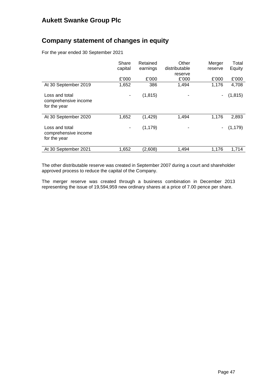## **Company statement of changes in equity**

For the year ended 30 September 2021

|                                                        | Share<br>capital | Retained<br>earnings | Other<br>distributable<br>reserve | Merger<br>reserve | Total<br>Equity |
|--------------------------------------------------------|------------------|----------------------|-----------------------------------|-------------------|-----------------|
|                                                        | £'000            | £'000                | £'000                             | £'000             | £'000           |
| At 30 September 2019                                   | 1,652            | 386                  | 1,494                             | 1,176             | 4,708           |
| Loss and total<br>comprehensive income<br>for the year | ۰                | (1, 815)             |                                   | ۰                 | (1, 815)        |
| At 30 September 2020                                   | 1,652            | (1, 429)             | 1,494                             | 1,176             | 2,893           |
| Loss and total<br>comprehensive income<br>for the year | ۰                | (1, 179)             |                                   | ۰                 | (1, 179)        |
| At 30 September 2021                                   | 1,652            | (2,608)              | 1,494                             | 1,176             | 1,714           |

The other distributable reserve was created in September 2007 during a court and shareholder approved process to reduce the capital of the Company.

The merger reserve was created through a business combination in December 2013 representing the issue of 19,594,959 new ordinary shares at a price of 7.00 pence per share.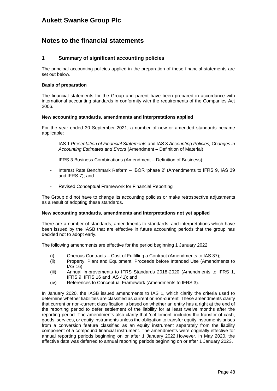### **Notes to the financial statements**

### **1 Summary of significant accounting policies**

The principal accounting policies applied in the preparation of these financial statements are set out below.

#### **Basis of preparation**

The financial statements for the Group and parent have been prepared in accordance with international accounting standards in conformity with the requirements of the Companies Act 2006.

#### **New accounting standards, amendments and interpretations applied**

For the year ended 30 September 2021, a number of new or amended standards became applicable:

- IAS 1 *Presentation of Financial Statements* and IAS 8 *Accounting Policies, Changes in Accounting Estimates and Errors* (Amendment – Definition of Material);
- IFRS 3 Business Combinations (Amendment Definition of Business);
- Interest Rate Benchmark Reform IBOR 'phase 2' (Amendments to IFRS 9, IAS 39 and IFRS 7); and
- Revised Conceptual Framework for Financial Reporting

The Group did not have to change its accounting policies or make retrospective adjustments as a result of adopting these standards.

#### **New accounting standards, amendments and interpretations not yet applied**

There are a number of standards, amendments to standards, and interpretations which have been issued by the IASB that are effective in future accounting periods that the group has decided not to adopt early.

The following amendments are effective for the period beginning 1 January 2022:

- (i) Onerous Contracts Cost of Fulfilling a Contract (Amendments to IAS 37);
- (ii) Property, Plant and Equipment: Proceeds before Intended Use (Amendments to IAS 16);
- (iii) Annual Improvements to IFRS Standards 2018-2020 (Amendments to IFRS 1, IFRS 9, IFRS 16 and IAS 41); and
- (iv) References to Conceptual Framework (Amendments to IFRS 3).

In January 2020, the IASB issued amendments to IAS 1, which clarify the criteria used to determine whether liabilities are classified as current or non-current. These amendments clarify that current or non-current classification is based on whether an entity has a right at the end of the reporting period to defer settlement of the liability for at least twelve months after the reporting period. The amendments also clarify that 'settlement' includes the transfer of cash, goods, services, or equity instruments unless the obligation to transfer equity instruments arises from a conversion feature classified as an equity instrument separately from the liability component of a compound financial instrument. The amendments were originally effective for annual reporting periods beginning on or after 1 January 2022.However, in May 2020, the effective date was deferred to annual reporting periods beginning on or after 1 January 2023.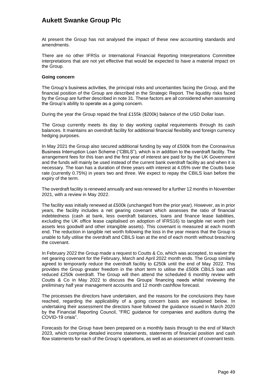At present the Group has not analysed the impact of these new accounting standards and amendments.

There are no other IFRSs or International Financial Reporting Interpretations Committee interpretations that are not yet effective that would be expected to have a material impact on the Group.

#### **Going concern**

The Group's business activities, the principal risks and uncertainties facing the Group, and the financial position of the Group are described in the Strategic Report. The liquidity risks faced by the Group are further described in note 31. These factors are all considered when assessing the Group's ability to operate as a going concern.

During the year the Group repaid the final £155k (\$200k) balance of the USD Dollar loan.

The Group currently meets its day to day working capital requirements through its cash balances. It maintains an overdraft facility for additional financial flexibility and foreign currency hedging purposes.

In May 2021 the Group also secured additional funding by way of £500k from the Coronavirus Business Interruption Loan Scheme ("CBILS"), which is in addition to the overdraft facility. The arrangement fees for this loan and the first year of interest are paid for by the UK Government and the funds will mainly be used instead of the current bank overdraft facility as and when it is necessary. The loan has a duration of three years with interest at 4.05% over the Coutts base rate (currently 0.75%) in years two and three. We expect to repay the CBILS loan before the expiry of the term.

The overdraft facility is renewed annually and was renewed for a further 12 months in November 2021, with a review in May 2022.

The facility was initially renewed at £500k (unchanged from the prior year). However, as in prior years, the facility includes a net gearing covenant which assesses the ratio of financial indebtedness (cash at bank, less overdraft balances, loans and finance lease liabilities, excluding the UK office lease capitalised on adoption of IFRS16) to tangible net worth (net assets less goodwill and other intangible assets). This covenant is measured at each month end. The reduction in tangible net worth following the loss in the year means that the Group is unable to fully utilise the overdraft and CBILS loan at the end of each month without breaching the covenant.

In February 2022 the Group made a request to Coutts & Co, which was accepted, to waiver the net gearing covenant for the February, March and April 2022 month ends. The Group similarly agreed to temporarily reduce the overdraft facility to £250k until the end of May 2022. This provides the Group greater freedom in the short term to utilise the £500k CBILS loan and reduced £250k overdraft. The Group will then attend the scheduled 6 monthly review with Coutts & Co in May 2022 to discuss the Groups' financing needs whilst reviewing the preliminary half year management accounts and 12 month cashflow forecast.

The processes the directors have undertaken, and the reasons for the conclusions they have reached, regarding the applicability of a going concern basis are explained below. In undertaking their assessment the directors have followed the guidance issued in March 2020 by the Financial Reporting Council, "FRC guidance for companies and auditors during the COVID-19 crisis".

Forecasts for the Group have been prepared on a monthly basis through to the end of March 2023, which comprise detailed income statements, statements of financial position and cash flow statements for each of the Group's operations, as well as an assessment of covenant tests.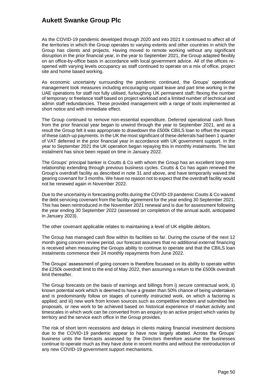As the COVID-19 pandemic developed through 2020 and into 2021 it continued to affect all of the territories in which the Group operates to varying extents and other countries in which the Group has clients and projects. Having moved to remote working without any significant disruption in the prior financial year, in the year to September 2021, the Group adapted flexibly on an office-by-office basis in accordance with local government advice. All of the offices reopened with varying levels occupancy as staff continued to operate on a mix of office, project site and home based working.

As economic uncertainty surrounding the pandemic continued, the Groups' operational management took measures including encouraging unpaid leave and part time working in the UAE operations for staff not fully utilised, furloughing UK permanent staff; flexing the number of temporary or freelance staff based on project workload and a limited number of technical and admin staff redundancies. These provided management with a range of tools implemented at short notice and with immediate effect.

The Group continued to remove non-essential expenditure. Deferred operational cash flows from the prior financial year began to unwind through the year to September 2021, and as a result the Group felt it was appropriate to drawdown the £500k CBILS loan to offset the impact of these catch-up payments. In the UK the most significant of these deferrals had been 1 quarter of VAT deferred in the prior financial year in accordance with UK government support. In the year to September 2021 the UK operation began repaying this in monthly instalments. The last instalment has since been repaid on time in January 2022.

The Groups' principal banker is Coutts & Co with whom the Group has an excellent long-term relationship extending through previous business cycles. Coutts & Co has again renewed the Group's overdraft facility as described in note 31 and above, and have temporarily waived the gearing covenant for 3 months. We have no reason not to expect that the overdraft facility would not be renewed again in November 2022.

Due to the uncertainty in forecasting profits during the COVID-19 pandemic Coutts & Co waived the debt servicing covenant from the facility agreement for the year ending 30 September 2021. This has been reintroduced in the November 2021 renewal and is due for assessment following the year ending 30 September 2022 (assessed on completion of the annual audit, anticipated in January 2023).

The other covenant applicable relates to maintaining a level of UK eligible debtors.

The Group has managed cash flow within its facilities so far. During the course of the next 12 month going concern review period, our forecast assumes that no additional external financing is received when measuring the Groups ability to continue to operate and that the CBILS loan instalments commence their 24 monthly repayments from June 2022.

The Groups' assessment of going concern is therefore focussed on its ability to operate within the £250k overdraft limit to the end of May 2022, then assuming a return to the £500k overdraft limit thereafter.

The Group forecasts on the basis of earnings and billings from i) secure contractual work, ii) known potential work which is deemed to have a greater than 50% chance of being undertaken and is predominantly follow on stages of currently instructed work, on which a factoring is applied; and iii) new work from known sources such as competitive tenders and submitted fee proposals, or new work to be achieved based on historical experience of market activity and timescales in which work can be converted from an enquiry to an active project which varies by territory and the service each office in the Group provides.

The risk of short term recessions and delays in clients making financial investment decisions due to the COVID-19 pandemic appear to have now largely abated. Across the Groups' business units the forecasts assessed by the Directors therefore assume the businesses continue to operate much as they have done in recent months and without the reintroduction of any new COVID-19 government support mechanisms.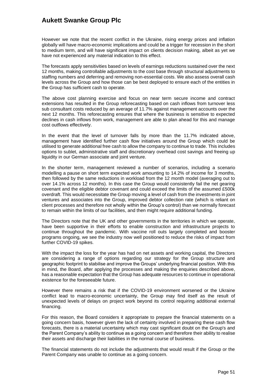However we note that the recent conflict in the Ukraine, rising energy prices and inflation globally will have macro-economic implications and could be a trigger for recession in the short to medium term, and will have significant impact on clients decision making, albeit as yet we have not experienced any material indication to this effect.

The forecasts apply sensitivities based on levels of earnings reductions sustained over the next 12 months, making controllable adjustments to the cost base through structural adjustments to staffing numbers and deferring and removing non-essential costs. We also assess overall cash levels across the Group and how those can be best deployed to ensure each of the entities in the Group has sufficient cash to operate.

The above cost planning exercise and focus on near term secure income and contract extensions has resulted in the Group reforecasting based on cash inflows from turnover less sub consultant costs reduced by an average of 11.7% against management accounts over the next 12 months. This reforecasting ensures that where the business is sensitive to expected declines in cash inflows from work, management are able to plan ahead for this and manage cost outflows effectively.

In the event that the level of turnover falls by more than the 11.7% indicated above, management have identified further cash flow initiatives around the Group which could be utilised to generate additional free cash to allow the company to continue to trade. This includes options to sublet, administrative staff and discretionary overhead cost savings and freeing up liquidity in our German associate and joint venture.

In the shorter term, management reviewed a number of scenarios, including a scenario modelling a pause on short term expected work amounting to 14.2% of income for 3 months, then followed by the same reductions in workload from the 12 month model (averaging out to over 14.1% across 12 months). In this case the Group would consistently fail the net gearing covenant and the eligible debtor covenant and could exceed the limits of the assumed £500k overdraft. This would necessitate the Group moving a level of cash from the investments in joint ventures and associates into the Group, improved debtor collection rate (which is reliant on client processes and therefore not wholly within the Group's control) than we normally forecast to remain within the limits of our facilities, and then might require additional funding.

The Directors note that the UK and other governments in the territories in which we operate, have been supportive in their efforts to enable construction and infrastructure projects to continue throughout the pandemic. With vaccine roll outs largely completed and booster programs ongoing, we see the industry now well positioned to reduce the risks of impact from further COVID-19 spikes.

With the impact the loss for the year has had on net assets and working capital, the Directors are considering a range of options regarding our strategy for the Group structure and geographic footprint to stabilise and improve the Groups' underlying financial position. With this in mind, the Board, after applying the processes and making the enquiries described above, has a reasonable expectation that the Group has adequate resources to continue in operational existence for the foreseeable future.

However there remains a risk that if the COVID-19 environment worsened or the Ukraine conflict lead to macro-economic uncertainty, the Group may find itself as the result of unexpected levels of delays on project work beyond its control requiring additional external financing.

For this reason, the Board considers it appropriate to prepare the financial statements on a going concern basis, however given the lack of certainty involved in preparing these cash flow forecasts, there is a material uncertainty which may cast significant doubt on the Group's and the Parent Company's ability to continue as a going concern and therefore their ability to realise their assets and discharge their liabilities in the normal course of business.

The financial statements do not include the adjustments that would result if the Group or the Parent Company was unable to continue as a going concern.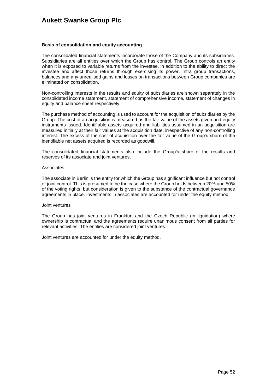#### **Basis of consolidation and equity accounting**

The consolidated financial statements incorporate those of the Company and its subsidiaries. Subsidiaries are all entities over which the Group has control. The Group controls an entity when it is exposed to variable returns from the investee, in addition to the ability to direct the investee and affect those returns through exercising its power. Intra group transactions, balances and any unrealised gains and losses on transactions between Group companies are eliminated on consolidation.

Non-controlling interests in the results and equity of subsidiaries are shown separately in the consolidated income statement, statement of comprehensive income, statement of changes in equity and balance sheet respectively.

The purchase method of accounting is used to account for the acquisition of subsidiaries by the Group. The cost of an acquisition is measured as the fair value of the assets given and equity instruments issued. Identifiable assets acquired and liabilities assumed in an acquisition are measured initially at their fair values at the acquisition date, irrespective of any non-controlling interest. The excess of the cost of acquisition over the fair value of the Group's share of the identifiable net assets acquired is recorded as goodwill.

The consolidated financial statements also include the Group's share of the results and reserves of its associate and joint ventures.

#### Associates

The associate in Berlin is the entity for which the Group has significant influence but not control or joint control. This is presumed to be the case where the Group holds between 20% and 50% of the voting rights, but consideration is given to the substance of the contractual governance agreements in place. Investments in associates are accounted for under the equity method.

#### Joint ventures

The Group has joint ventures in Frankfurt and the Czech Republic (in liquidation) where ownership is contractual and the agreements require unanimous consent from all parties for relevant activities. The entities are considered joint ventures.

Joint ventures are accounted for under the equity method.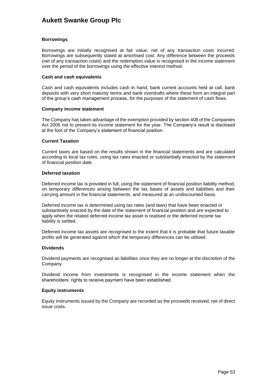#### **Borrowings**

Borrowings are initially recognised at fair value, net of any transaction costs incurred. Borrowings are subsequently stated at amortised cost. Any difference between the proceeds (net of any transaction costs) and the redemption value is recognised in the income statement over the period of the borrowings using the effective interest method.

#### **Cash and cash equivalents**

Cash and cash equivalents includes cash in hand, bank current accounts held at call, bank deposits with very short maturity terms and bank overdrafts where these form an integral part of the group's cash management process, for the purposes of the statement of cash flows.

#### **Company income statement**

The Company has taken advantage of the exemption provided by section 408 of the Companies Act 2006 not to present its income statement for the year. The Company's result is disclosed at the foot of the Company's statement of financial position.

#### **Current Taxation**

Current taxes are based on the results shown in the financial statements and are calculated according to local tax rules, using tax rates enacted or substantially enacted by the statement of financial position date.

#### **Deferred taxation**

Deferred income tax is provided in full, using the statement of financial position liability method, on temporary differences arising between the tax bases of assets and liabilities and their carrying amount in the financial statements, and measured at an undiscounted basis.

Deferred income tax is determined using tax rates (and laws) that have been enacted or substantively enacted by the date of the statement of financial position and are expected to apply when the related deferred income tax asset is realised or the deferred income tax liability is settled.

Deferred income tax assets are recognised to the extent that it is probable that future taxable profits will be generated against which the temporary differences can be utilised.

#### **Dividends**

Dividend payments are recognised as liabilities once they are no longer at the discretion of the Company.

Dividend income from investments is recognised in the income statement when the shareholders' rights to receive payment have been established.

#### **Equity instruments**

Equity instruments issued by the Company are recorded as the proceeds received, net of direct issue costs.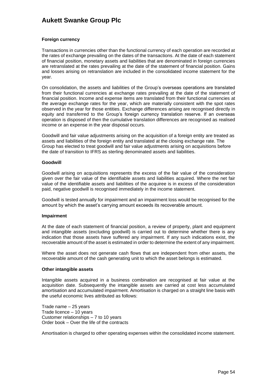#### **Foreign currency**

Transactions in currencies other than the functional currency of each operation are recorded at the rates of exchange prevailing on the dates of the transactions. At the date of each statement of financial position, monetary assets and liabilities that are denominated in foreign currencies are retranslated at the rates prevailing at the date of the statement of financial position. Gains and losses arising on retranslation are included in the consolidated income statement for the year.

On consolidation, the assets and liabilities of the Group's overseas operations are translated from their functional currencies at exchange rates prevailing at the date of the statement of financial position. Income and expense items are translated from their functional currencies at the average exchange rates for the year, which are materially consistent with the spot rates observed in the year for those entities. Exchange differences arising are recognised directly in equity and transferred to the Group's foreign currency translation reserve. If an overseas operation is disposed of then the cumulative translation differences are recognised as realised income or an expense in the year disposal occurs.

Goodwill and fair value adjustments arising on the acquisition of a foreign entity are treated as assets and liabilities of the foreign entity and translated at the closing exchange rate. The Group has elected to treat goodwill and fair value adjustments arising on acquisitions before the date of transition to IFRS as sterling denominated assets and liabilities.

#### **Goodwill**

Goodwill arising on acquisitions represents the excess of the fair value of the consideration given over the fair value of the identifiable assets and liabilities acquired. Where the net fair value of the identifiable assets and liabilities of the acquiree is in excess of the consideration paid, negative goodwill is recognised immediately in the income statement.

Goodwill is tested annually for impairment and an impairment loss would be recognised for the amount by which the asset's carrying amount exceeds its recoverable amount.

#### **Impairment**

At the date of each statement of financial position, a review of property, plant and equipment and intangible assets (excluding goodwill) is carried out to determine whether there is any indication that those assets have suffered any impairment. If any such indications exist, the recoverable amount of the asset is estimated in order to determine the extent of any impairment.

Where the asset does not generate cash flows that are independent from other assets, the recoverable amount of the cash generating unit to which the asset belongs is estimated.

#### **Other intangible assets**

Intangible assets acquired in a business combination are recognised at fair value at the acquisition date. Subsequently the intangible assets are carried at cost less accumulated amortisation and accumulated impairment. Amortisation is charged on a straight line basis with the useful economic lives attributed as follows:

Trade name – 25 years Trade licence – 10 years Customer relationships – 7 to 10 years Order book – Over the life of the contracts

Amortisation is charged to other operating expenses within the consolidated income statement.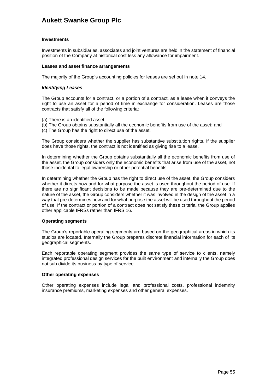#### **Investments**

Investments in subsidiaries, associates and joint ventures are held in the statement of financial position of the Company at historical cost less any allowance for impairment.

#### **Leases and asset finance arrangements**

The majority of the Group's accounting policies for leases are set out in note 14.

#### *Identifying Leases*

The Group accounts for a contract, or a portion of a contract, as a lease when it conveys the right to use an asset for a period of time in exchange for consideration. Leases are those contracts that satisfy all of the following criteria:

- (a) There is an identified asset;
- (b) The Group obtains substantially all the economic benefits from use of the asset; and
- (c) The Group has the right to direct use of the asset.

The Group considers whether the supplier has substantive substitution rights. If the supplier does have those rights, the contract is not identified as giving rise to a lease.

In determining whether the Group obtains substantially all the economic benefits from use of the asset, the Group considers only the economic benefits that arise from use of the asset, not those incidental to legal ownership or other potential benefits.

In determining whether the Group has the right to direct use of the asset, the Group considers whether it directs how and for what purpose the asset is used throughout the period of use. If there are no significant decisions to be made because they are pre-determined due to the nature of the asset, the Group considers whether it was involved in the design of the asset in a way that pre-determines how and for what purpose the asset will be used throughout the period of use. If the contract or portion of a contract does not satisfy these criteria, the Group applies other applicable IFRSs rather than IFRS 16.

#### **Operating segments**

The Group's reportable operating segments are based on the geographical areas in which its studios are located. Internally the Group prepares discrete financial information for each of its geographical segments.

Each reportable operating segment provides the same type of service to clients, namely integrated professional design services for the built environment and internally the Group does not sub divide its business by type of service.

### **Other operating expenses**

Other operating expenses include legal and professional costs, professional indemnity insurance premiums, marketing expenses and other general expenses.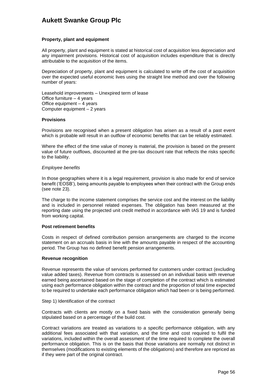#### **Property, plant and equipment**

All property, plant and equipment is stated at historical cost of acquisition less depreciation and any impairment provisions. Historical cost of acquisition includes expenditure that is directly attributable to the acquisition of the items.

Depreciation of property, plant and equipment is calculated to write off the cost of acquisition over the expected useful economic lives using the straight line method and over the following number of years:

Leasehold improvements – Unexpired term of lease Office furniture – 4 years Office equipment – 4 years Computer equipment – 2 years

#### **Provisions**

Provisions are recognised when a present obligation has arisen as a result of a past event which is probable will result in an outflow of economic benefits that can be reliably estimated.

Where the effect of the time value of money is material, the provision is based on the present value of future outflows, discounted at the pre-tax discount rate that reflects the risks specific to the liability.

#### *Employee benefits*

In those geographies where it is a legal requirement, provision is also made for end of service benefit ('EOSB'), being amounts payable to employees when their contract with the Group ends (see note 23).

The charge to the income statement comprises the service cost and the interest on the liability and is included in personnel related expenses. The obligation has been measured at the reporting date using the projected unit credit method in accordance with IAS 19 and is funded from working capital.

#### **Post retirement benefits**

Costs in respect of defined contribution pension arrangements are charged to the income statement on an accruals basis in line with the amounts payable in respect of the accounting period. The Group has no defined benefit pension arrangements.

#### **Revenue recognition**

Revenue represents the value of services performed for customers under contract (excluding value added taxes). Revenue from contracts is assessed on an individual basis with revenue earned being ascertained based on the stage of completion of the contract which is estimated using each performance obligation within the contract and the proportion of total time expected to be required to undertake each performance obligation which had been or is being performed.

#### Step 1) Identification of the contract

Contracts with clients are mostly on a fixed basis with the consideration generally being stipulated based on a percentage of the build cost.

Contract variations are treated as variations to a specific performance obligation, with any additional fees associated with that variation, and the time and cost required to fulfil the variations, included within the overall assessment of the time required to complete the overall performance obligation. This is on the basis that those variations are normally not distinct in themselves (modifications to existing elements of the obligations) and therefore are repriced as if they were part of the original contract.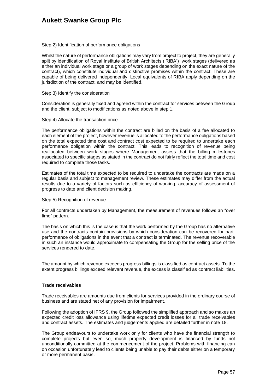#### Step 2) Identification of performance obligations

Whilst the nature of performance obligations may vary from project to project, they are generally split by identification of Royal Institute of British Architects ('RIBA') work stages (delivered as either an individual work stage or a group of work stages depending on the exact nature of the contract), which constitute individual and distinctive promises within the contract. These are capable of being delivered independently. Local equivalents of RIBA apply depending on the jurisdiction of the contract, and may be identified.

#### Step 3) Identify the consideration

Consideration is generally fixed and agreed within the contract for services between the Group and the client, subject to modifications as noted above in step 1.

#### Step 4) Allocate the transaction price

The performance obligations within the contract are billed on the basis of a fee allocated to each element of the project, however revenue is allocated to the performance obligations based on the total expected time cost and contract cost expected to be required to undertake each performance obligation within the contract. This leads to recognition of revenue being reallocated between work stages where Management assess that the billing milestones associated to specific stages as stated in the contract do not fairly reflect the total time and cost required to complete those tasks.

Estimates of the total time expected to be required to undertake the contracts are made on a regular basis and subject to management review. These estimates may differ from the actual results due to a variety of factors such as efficiency of working, accuracy of assessment of progress to date and client decision making.

#### Step 5) Recognition of revenue

For all contracts undertaken by Management, the measurement of revenues follows an "over time" pattern.

The basis on which this is the case is that the work performed by the Group has no alternative use and the contracts contain provisions by which consideration can be recovered for partperformance of obligations in the event that a contract is terminated. The revenue recoverable in such an instance would approximate to compensating the Group for the selling price of the services rendered to date.

The amount by which revenue exceeds progress billings is classified as contract assets. To the extent progress billings exceed relevant revenue, the excess is classified as contract liabilities.

#### **Trade receivables**

Trade receivables are amounts due from clients for services provided in the ordinary course of business and are stated net of any provision for impairment.

Following the adoption of IFRS 9, the Group followed the simplified approach and so makes an expected credit loss allowance using lifetime expected credit losses for all trade receivables and contract assets. The estimates and judgements applied are detailed further in note 18.

The Group endeavours to undertake work only for clients who have the financial strength to complete projects but even so, much property development is financed by funds not unconditionally committed at the commencement of the project. Problems with financing can on occasion unfortunately lead to clients being unable to pay their debts either on a temporary or more permanent basis.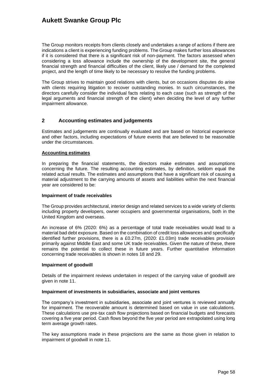The Group monitors receipts from clients closely and undertakes a range of actions if there are indications a client is experiencing funding problems. The Group makes further loss allowances if it is considered that there is a significant risk of non-payment. The factors assessed when considering a loss allowance include the ownership of the development site, the general financial strength and financial difficulties of the client, likely use / demand for the completed project, and the length of time likely to be necessary to resolve the funding problems.

The Group strives to maintain good relations with clients, but on occasions disputes do arise with clients requiring litigation to recover outstanding monies. In such circumstances, the directors carefully consider the individual facts relating to each case (such as strength of the legal arguments and financial strength of the client) when deciding the level of any further impairment allowance.

### **2 Accounting estimates and judgements**

Estimates and judgements are continually evaluated and are based on historical experience and other factors, including expectations of future events that are believed to be reasonable under the circumstances.

#### **Accounting estimates**

In preparing the financial statements, the directors make estimates and assumptions concerning the future. The resulting accounting estimates, by definition, seldom equal the related actual results. The estimates and assumptions that have a significant risk of causing a material adjustment to the carrying amounts of assets and liabilities within the next financial year are considered to be:

#### **Impairment of trade receivables**

The Group provides architectural, interior design and related services to a wide variety of clients including property developers, owner occupiers and governmental organisations, both in the United Kingdom and overseas.

An increase of 6% (2020: 6%) as a percentage of total trade receivables would lead to a material bad debt exposure. Based on the combination of credit loss allowances and specifically identified further provisions, there is a £0.27m, (2020: £1.03m) trade receivables provision primarily against Middle East and some UK trade receivables. Given the nature of these, there remains the potential to collect these in future years. Further quantitative information concerning trade receivables is shown in notes 18 and 29.

#### **Impairment of goodwill**

Details of the impairment reviews undertaken in respect of the carrying value of goodwill are given in note 11.

#### **Impairment of investments in subsidiaries, associate and joint ventures**

The company's investment in subsidiaries, associate and joint ventures is reviewed annually for impairment. The recoverable amount is determined based on value in use calculations. These calculations use pre-tax cash flow projections based on financial budgets and forecasts covering a five year period. Cash flows beyond the five year period are extrapolated using long term average growth rates.

The key assumptions made in these projections are the same as those given in relation to impairment of goodwill in note 11.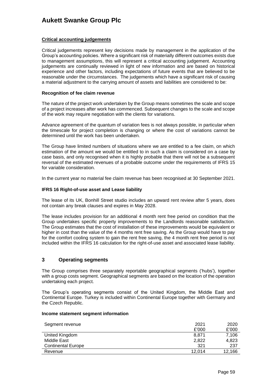### **Critical accounting judgements**

Critical judgements represent key decisions made by management in the application of the Group's accounting policies. Where a significant risk of materially different outcomes exists due to management assumptions, this will represent a critical accounting judgement. Accounting judgements are continually reviewed in light of new information and are based on historical experience and other factors, including expectations of future events that are believed to be reasonable under the circumstances. The judgements which have a significant risk of causing a material adjustment to the carrying amount of assets and liabilities are considered to be:

#### **Recognition of fee claim revenue**

The nature of the project work undertaken by the Group means sometimes the scale and scope of a project increases after work has commenced. Subsequent changes to the scale and scope of the work may require negotiation with the clients for variations.

Advance agreement of the quantum of variation fees is not always possible, in particular when the timescale for project completion is changing or where the cost of variations cannot be determined until the work has been undertaken.

The Group have limited numbers of situations where we are entitled to a fee claim, on which estimation of the amount we would be entitled to in such a claim is considered on a case by case basis, and only recognised when it is highly probable that there will not be a subsequent reversal of the estimated revenues of a probable outcome under the requirements of IFRS 15 for variable consideration.

In the current year no material fee claim revenue has been recognised at 30 September 2021.

#### **IFRS 16 Right-of-use asset and Lease liability**

The lease of its UK, Bonhill Street studio includes an upward rent review after 5 years, does not contain any break clauses and expires in May 2028.

The lease includes provision for an additional 4 month rent free period on condition that the Group undertakes specific property improvements to the Landlords reasonable satisfaction. The Group estimates that the cost of installation of these improvements would be equivalent or higher in cost than the value of the 4 months rent free saving. As the Group would have to pay for the comfort cooling system to gain the rent free saving, the 4 month rent free period is not included within the IFRS 16 calculation for the right-of-use asset and associated lease liability.

### **3 Operating segments**

The Group comprises three separately reportable geographical segments ('hubs'), together with a group costs segment. Geographical segments are based on the location of the operation undertaking each project.

The Group's operating segments consist of the United Kingdom, the Middle East and Continental Europe. Turkey is included within Continental Europe together with Germany and the Czech Republic.

#### **Income statement segment information**

| Segment revenue           | 2021   | 2020   |
|---------------------------|--------|--------|
|                           | £'000  | £'000  |
| United Kingdom            | 8,871  | 7,106  |
| Middle East               | 2,822  | 4,823  |
| <b>Continental Europe</b> | 321    | 237    |
| Revenue                   | 12.014 | 12,166 |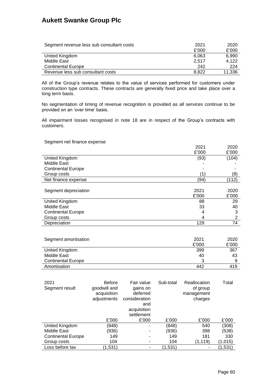| Segment revenue less sub consultant costs | 2021  | 2020   |
|-------------------------------------------|-------|--------|
|                                           | £'000 | £'000  |
| United Kingdom                            | 6.063 | 6,990  |
| Middle East                               | 2.517 | 4.122  |
| <b>Continental Europe</b>                 | 242   | 224    |
| Revenue less sub consultant costs         | 8.822 | 11,336 |

All of the Group's revenue relates to the value of services performed for customers under construction type contracts. These contracts are generally fixed price and take place over a long term basis.

No segmentation of timing of revenue recognition is provided as all services continue to be provided on an 'over time' basis.

All impairment losses recognised in note 18 are in respect of the Group's contracts with customers.

#### Segment net finance expense

|                           | 2021  | 2020  |
|---------------------------|-------|-------|
|                           | £'000 | £'000 |
| United Kingdom            | (93)  | (104) |
| Middle East               |       |       |
| <b>Continental Europe</b> |       |       |
| Group costs               |       | (8)   |
| Net finance expense       | (94)  | (112) |
|                           |       |       |
| Segment depreciation      | 2021  | 2020  |
|                           | £'000 | £'000 |
| United Kingdom            | 88    | 29    |
| Middle East               | 33    | 40    |
| <b>Continental Europe</b> | 4     | 3     |
| Group costs               | 4     | 2     |
| Depreciation              | 129   | 74    |

| Segment amortisation      | 2021  | 2020  |
|---------------------------|-------|-------|
|                           | £'000 | £'000 |
| United Kingdom            | 399   | 367   |
| Middle East               | 40    | 43    |
| <b>Continental Europe</b> | 2     | a     |
| Amortisation              | 442   | 419   |

| 2021<br>Segment result    | <b>Before</b><br>goodwill and<br>acquisition<br>adjustments | Fair value<br>gains on<br>deferred<br>consideration<br>and<br>acquisition<br>settlement | Sub-total | Reallocation<br>of group<br>management<br>charges | Total   |
|---------------------------|-------------------------------------------------------------|-----------------------------------------------------------------------------------------|-----------|---------------------------------------------------|---------|
|                           | £'000                                                       | £'000                                                                                   | £'000     | £'000                                             | £'000   |
| United Kingdom            | (848)                                                       |                                                                                         | (848)     | 540                                               | (308)   |
| Middle East               | (936)                                                       | ۰                                                                                       | (936)     | 398                                               | (538)   |
| <b>Continental Europe</b> | 149                                                         | ۰                                                                                       | 149       | 181                                               | 330     |
| Group costs               | 104                                                         | ۰                                                                                       | 104       | (1, 119)                                          | (1,015) |
| Loss before tax           | (1,531)                                                     |                                                                                         | (1,531)   | ٠                                                 | (1,531) |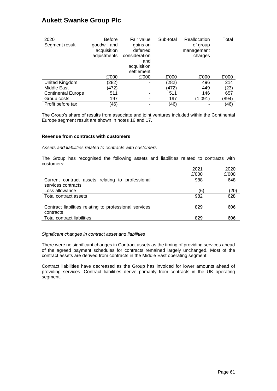| 2020<br>Segment result    | <b>Before</b><br>goodwill and<br>acquisition<br>adjustments | Fair value<br>gains on<br>deferred<br>consideration<br>and<br>acquisition<br>settlement | Sub-total | Reallocation<br>of group<br>management<br>charges | Total |
|---------------------------|-------------------------------------------------------------|-----------------------------------------------------------------------------------------|-----------|---------------------------------------------------|-------|
|                           | £'000                                                       | £'000                                                                                   | £'000     | £'000                                             | £'000 |
| United Kingdom            | (282)                                                       |                                                                                         | (282)     | 496                                               | 214   |
| Middle East               | (472)                                                       |                                                                                         | (472)     | 449                                               | (23)  |
| <b>Continental Europe</b> | 511                                                         |                                                                                         | 511       | 146                                               | 657   |
| Group costs               | 197                                                         |                                                                                         | 197       | (1,091)                                           | (894) |
| Profit before tax         | (46)                                                        |                                                                                         | (46)      |                                                   | (46)  |

The Group's share of results from associate and joint ventures included within the Continental Europe segment result are shown in notes 16 and 17.

#### **Revenue from contracts with customers**

### *Assets and liabilities related to contracts with customers*

The Group has recognised the following assets and liabilities related to contracts with customers:

|                                                                        | 2021  | 2020  |
|------------------------------------------------------------------------|-------|-------|
|                                                                        | £'000 | £'000 |
| Current contract assets relating to professional<br>services contracts | 988   | 648   |
| Loss allowance                                                         | (6)   | (20)  |
| Total contract assets                                                  | 982   | 628   |
| Contract liabilities relating to professional services<br>contracts    | 829   | 606   |
| <b>Total contract liabilities</b>                                      | 829   | 606   |
|                                                                        |       |       |

*Significant changes in contract asset and liabilities*

There were no significant changes in Contract assets as the timing of providing services ahead of the agreed payment schedules for contracts remained largely unchanged. Most of the contract assets are derived from contracts in the Middle East operating segment.

Contract liabilities have decreased as the Group has invoiced for lower amounts ahead of providing services. Contract liabilities derive primarily from contracts in the UK operating segment.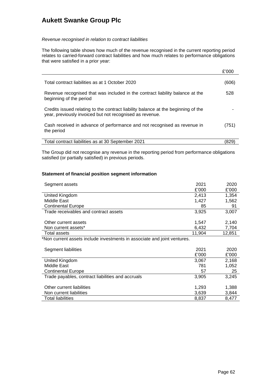#### *Revenue recognised in relation to contract liabilities*

The following table shows how much of the revenue recognised in the current reporting period relates to carried-forward contract liabilities and how much relates to performance obligations that were satisfied in a prior year:

|                                                                                                                                               | £'000 |
|-----------------------------------------------------------------------------------------------------------------------------------------------|-------|
| Total contract liabilities as at 1 October 2020                                                                                               | (606) |
| Revenue recognised that was included in the contract liability balance at the<br>beginning of the period                                      | 528   |
| Credits issued relating to the contract liability balance at the beginning of the<br>year, previously invoiced but not recognised as revenue. |       |
| Cash received in advance of performance and not recognised as revenue in<br>the period                                                        | (751) |
| Total contract liabilities as at 30 September 2021                                                                                            |       |

The Group did not recognise any revenue in the reporting period from performance obligations satisfied (or partially satisfied) in previous periods.

#### **Statement of financial position segment information**

| Segment assets                                                           | 2021   | 2020   |
|--------------------------------------------------------------------------|--------|--------|
|                                                                          | £'000  | £'000  |
| United Kingdom                                                           | 2,413  | 1,354  |
| Middle East                                                              | 1,427  | 1,562  |
| <b>Continental Europe</b>                                                | 85     | 91     |
| Trade receivables and contract assets                                    | 3,925  | 3,007  |
| Other current assets                                                     |        |        |
|                                                                          | 1,547  | 2,140  |
| Non current assets*                                                      | 6,432  | 7,704  |
| Total assets                                                             | 11,904 | 12,851 |
| *Non current assets include investments in associate and joint ventures. |        |        |
|                                                                          |        |        |
| Segment liabilities                                                      | 2021   | 2020   |
|                                                                          | £'000  | £'000  |
| United Kingdom                                                           | 3,067  | 2,168  |
| Middle East                                                              | 781    | 1,052  |
| <b>Continental Europe</b>                                                | 57     | 25     |
| Trade payables, contract liabilities and accruals                        | 3,905  | 3,245  |
|                                                                          |        |        |
| Other current liabilities                                                | 1,293  | 1,388  |
| Non current liabilities                                                  | 3,639  | 3,844  |
| Total liabilities                                                        | 8,837  | 8,477  |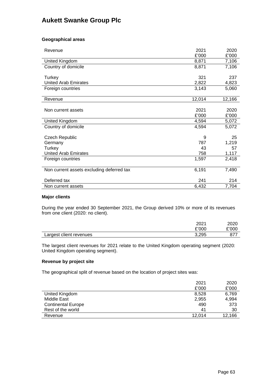### **Geographical areas**

| Revenue                                   | 2021   | 2020   |
|-------------------------------------------|--------|--------|
|                                           | £'000  | £'000  |
| United Kingdom                            | 8,871  | 7,106  |
| Country of domicile                       | 8,871  | 7,106  |
|                                           |        |        |
| Turkey                                    | 321    | 237    |
| <b>United Arab Emirates</b>               | 2,822  | 4,823  |
| Foreign countries                         | 3,143  | 5,060  |
|                                           |        |        |
| Revenue                                   | 12,014 | 12,166 |
|                                           |        |        |
| Non current assets                        | 2021   | 2020   |
|                                           | £'000  | £'000  |
| United Kingdom                            | 4,594  | 5,072  |
| Country of domicile                       | 4,594  | 5,072  |
|                                           |        |        |
| <b>Czech Republic</b>                     | 9      | 25     |
| Germany                                   | 787    | 1,219  |
| Turkey                                    | 43     | 57     |
| <b>United Arab Emirates</b>               | 758    | 1,117  |
| Foreign countries                         | 1,597  | 2,418  |
|                                           |        |        |
| Non current assets excluding deferred tax | 6,191  | 7,490  |
|                                           |        |        |
| Deferred tax                              | 241    | 214    |
| Non current assets                        | 6,432  | 7,704  |

#### **Major clients**

During the year ended 30 September 2021, the Group derived 10% or more of its revenues from one client (2020: no client).

|                         | 2021  | 2020  |
|-------------------------|-------|-------|
|                         | £'000 | £'000 |
| Largest client revenues | 3.295 |       |

The largest client revenues for 2021 relate to the United Kingdom operating segment (2020: United Kingdom operating segment).

### **Revenue by project site**

The geographical split of revenue based on the location of project sites was:

|                           | 2021   | 2020   |
|---------------------------|--------|--------|
|                           | £'000  | £'000  |
| United Kingdom            | 8,528  | 6,769  |
| Middle East               | 2,955  | 4,994  |
| <b>Continental Europe</b> | 490    | 373    |
| Rest of the world         | 41     | 30     |
| Revenue                   | 12.014 | 12,166 |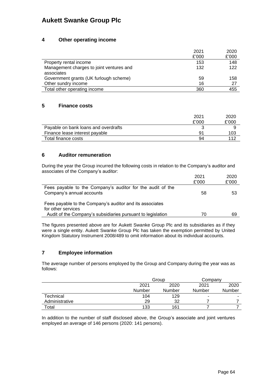### **4 Other operating income**

|                                                        | 2021  | 2020  |
|--------------------------------------------------------|-------|-------|
|                                                        | £'000 | £'000 |
| Property rental income                                 | 153   | 148   |
| Management charges to joint ventures and<br>associates | 132   | 122   |
| Government grants (UK furlough scheme)                 | 59    | 158   |
| Other sundry income                                    | 16    | 27    |
| Total other operating income                           | 360   | 455   |

### **5 Finance costs**

|                                      | 2021  | 2020  |
|--------------------------------------|-------|-------|
|                                      | £'000 | £'000 |
| Payable on bank loans and overdrafts |       |       |
| Finance lease interest payable       | 91    | 103   |
| Total finance costs                  | 94    | 112   |

### **6 Auditor remuneration**

During the year the Group incurred the following costs in relation to the Company's auditor and associates of the Company's auditor:

|                                                                                         | 2021  | 2020  |
|-----------------------------------------------------------------------------------------|-------|-------|
|                                                                                         | £'000 | £'000 |
| Fees payable to the Company's auditor for the audit of the<br>Company's annual accounts | 58    | 53    |
| Fees payable to the Company's auditor and its associates<br>for other services          |       |       |
| Audit of the Company's subsidiaries pursuant to legislation                             | 70    | 69    |

The figures presented above are for Aukett Swanke Group Plc and its subsidiaries as if they were a single entity. Aukett Swanke Group Plc has taken the exemption permitted by United Kingdom Statutory Instrument 2008/489 to omit information about its individual accounts.

### **7 Employee information**

The average number of persons employed by the Group and Company during the year was as follows:

|                | Group  |        | Company |        |
|----------------|--------|--------|---------|--------|
|                | 2021   | 2020   | 2021    | 2020   |
|                | Number | Number | Number  | Number |
| Technical      | 104    | 129    |         | ۰      |
| Administrative | 29     | 32     |         |        |
| Total          | 133    | 161    |         |        |

In addition to the number of staff disclosed above, the Group's associate and joint ventures employed an average of 146 persons (2020: 141 persons).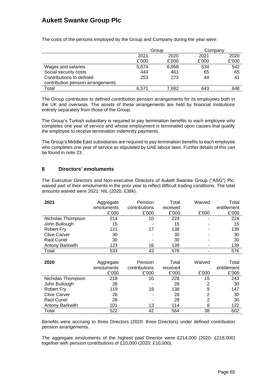|                                   | Group |       | Companv |       |
|-----------------------------------|-------|-------|---------|-------|
|                                   | 2021  | 2020  | 2021    | 2020  |
|                                   | £'000 | £'000 | £'000   | £'000 |
| Wages and salaries                | 5,874 | 6,958 | 534     | 542   |
| Social security costs             | 444   | 461   | 65      | 65    |
| Contributions to defined          | 253   | 273   | 44      | 41    |
| contribution pension arrangements |       |       |         |       |
| Total                             | 6.571 | 7.692 | 643     | 648   |

The costs of the persons employed by the Group and Company during the year were:

The Group contributes to defined contribution pension arrangements for its employees both in the UK and overseas. The assets of these arrangements are held by financial institutions entirely separately from those of the Group.

The Group's Turkish subsidiary is required to pay termination benefits to each employee who completes one year of service and whose employment is terminated upon causes that qualify the employee to receive termination indemnity payments.

The Group's Middle East subsidiaries are required to pay termination benefits to each employee who completes one year of service as stipulated by UAE labour laws. Further details of this can be found in note 23.

### **8 Directors' emoluments**

The Executive Directors and Non-executive Directors of Aukett Swanke Group ("ASG") Plc, waived part of their emoluments in the prior year to reflect difficult trading conditions. The total amounts waived were 2021: NIL (2020: £38k).

| 2021                | Aggregate<br>emoluments<br>£'000 | Pension<br>contributions<br>£'000 | Total<br>received<br>£'000 | Waived<br>£'000 | Total<br>entitlement<br>£'000 |
|---------------------|----------------------------------|-----------------------------------|----------------------------|-----------------|-------------------------------|
| Nicholas Thompson   | 214                              | 10                                | 224                        |                 | 224                           |
| John Bullough       | 15                               |                                   | 15                         |                 | 15                            |
| <b>Robert Fry</b>   | 121                              | 17                                | 138                        |                 | 138                           |
| <b>Clive Carver</b> | 30                               |                                   | 30                         |                 | 30                            |
| Raúl Curiel         | 30                               |                                   | 30                         |                 | 30                            |
| Antony Barkwith     | 123                              | 16                                | 139                        |                 | 139                           |
| Total               | 533                              | 43                                | 576                        |                 | 576                           |

| 2020                | Aggregate<br>emoluments<br>£'000 | Pension<br>contributions<br>£'000 | Total<br>received<br>£'000 | Waived<br>£'000 | Total<br>entitlement<br>£'000 |
|---------------------|----------------------------------|-----------------------------------|----------------------------|-----------------|-------------------------------|
| Nicholas Thompson   | 218                              | 10                                | 228                        | 15              | 243                           |
| John Bullough       | 28                               |                                   | 28                         | $\overline{2}$  | 30                            |
| <b>Robert Fry</b>   | 119                              | 19                                | 138                        | 9               | 147                           |
| <b>Clive Carver</b> | 28                               | $\blacksquare$                    | 28                         | 2               | 30                            |
| Raúl Curiel         | 28                               |                                   | 28                         | 2               | 30                            |
| Antony Barkwith     | 101                              | 13                                | 114                        | 8               | 122                           |
| Total               | 522                              | 42                                | 564                        | 38              | 602                           |

Benefits were accruing to three Directors (2020: three Directors) under defined contribution pension arrangements.

The aggregate emoluments of the highest paid Director were £214,000 (2020: £218,000) together with pension contributions of £10,000 (2020: £10,000).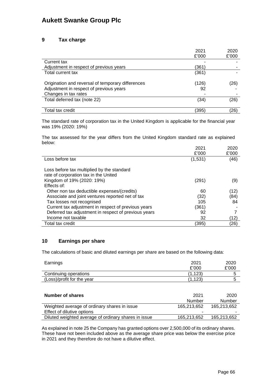### **9 Tax charge**

|                                                   | 2021  | 2020  |
|---------------------------------------------------|-------|-------|
|                                                   | £'000 | £'000 |
| Current tax                                       |       |       |
| Adjustment in respect of previous years           | (361) |       |
| Total current tax                                 | (361) |       |
| Origination and reversal of temporary differences | (126) | (26)  |
| Adjustment in respect of previous years           | 92    |       |
| Changes in tax rates                              |       |       |
| Total deferred tax (note 22)                      | (34)  | (26)  |
|                                                   |       |       |
| Total tax credit                                  | (395) | (26)  |

The standard rate of corporation tax in the United Kingdom is applicable for the financial year was 19% (2020: 19%)

The tax assessed for the year differs from the United Kingdom standard rate as explained below:

|                                                      | 2021    | 2020  |
|------------------------------------------------------|---------|-------|
|                                                      | £'000   | £'000 |
| Loss before tax                                      | (1,531) | (46)  |
| Loss before tax multiplied by the standard           |         |       |
| rate of corporation tax in the United                |         |       |
| Kingdom of 19% (2020: 19%)                           | (291)   | (9)   |
| Effects of:                                          |         |       |
| Other non tax deductible expenses/(credits)          | 60      | (12)  |
| Associate and joint ventures reported net of tax     | (32)    | (84)  |
| Tax losses not recognised                            | 105     | 84    |
| Current tax adjustment in respect of previous years  | (361)   |       |
| Deferred tax adjustment in respect of previous years | 92      |       |
| Income not taxable                                   | 32      | (12)  |
| Total tax credit                                     | (395)   | (26)  |

### **10 Earnings per share**

The calculations of basic and diluted earnings per share are based on the following data:

| Earnings                                             | 2021<br>£'000  | 2020<br>£'000  |
|------------------------------------------------------|----------------|----------------|
| Continuing operations                                | (1,123)        | 5              |
| (Loss)/profit for the year                           | (1, 123)       | 5              |
| Number of shares                                     | 2021<br>Number | 2020<br>Number |
| Weighted average of ordinary shares in issue         | 165,213,652    | 165.213.652    |
| Effect of dilutive options                           |                |                |
| Diluted weighted average of ordinary shares in issue | 165,213,652    | 165,213,652    |

As explained in note 25 the Company has granted options over 2,500,000 of its ordinary shares. These have not been included above as the average share price was below the exercise price in 2021 and they therefore do not have a dilutive effect.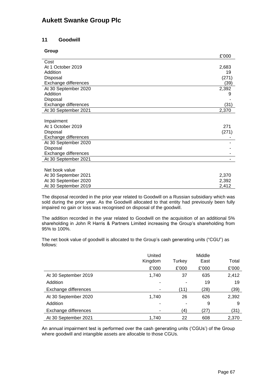### **11 Goodwill**

#### **Group**

|                      | £'000 |
|----------------------|-------|
| Cost                 |       |
| At 1 October 2019    | 2,683 |
| Addition             | 19    |
| Disposal             | (271) |
| Exchange differences | (39)  |
| At 30 September 2020 | 2,392 |
| Addition             | 9     |
| Disposal             |       |
| Exchange differences | (31)  |
| At 30 September 2021 | 2,370 |
|                      |       |
| Impairment           |       |
| At 1 October 2019    | 271   |
| Disposal             | (271) |
| Exchange differences |       |
| At 30 September 2020 |       |
| Disposal             |       |
| Exchange differences |       |
| At 30 September 2021 |       |
|                      |       |
| Net book value       |       |

| <b>IVOI DUUI VUIUU</b> |       |
|------------------------|-------|
| At 30 September 2021   | 2.370 |
| At 30 September 2020   | 2.392 |
| At 30 September 2019   | 2.412 |
|                        |       |

The disposal recorded in the prior year related to Goodwill on a Russian subsidiary which was sold during the prior year. As the Goodwill allocated to that entity had previously been fully impaired no gain or loss was recognised on disposal of the goodwill.

The addition recorded in the year related to Goodwill on the acquisition of an additional 5% shareholding in John R Harris & Partners Limited increasing the Group's shareholding from 95% to 100%.

The net book value of goodwill is allocated to the Group's cash generating units ("CGU") as follows:

|                      | United<br>Kingdom | Turkey | Middle<br>East | Total |
|----------------------|-------------------|--------|----------------|-------|
|                      | £'000             | £'000  | £'000          | £'000 |
| At 30 September 2019 | 1,740             | 37     | 635            | 2,412 |
| Addition             |                   |        | 19             | 19    |
| Exchange differences |                   | (11)   | (28)           | (39)  |
| At 30 September 2020 | 1,740             | 26     | 626            | 2,392 |
| Addition             |                   |        | 9              | 9     |
| Exchange differences |                   | (4)    | (27)           | (31)  |
| At 30 September 2021 | 1,740             | 22     | 608            | 2,370 |

An annual impairment test is performed over the cash generating units ('CGUs') of the Group where goodwill and intangible assets are allocable to those CGUs.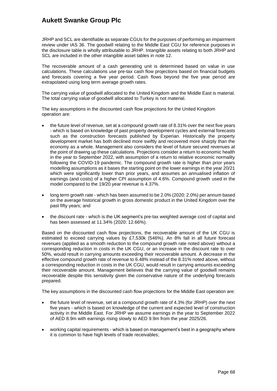JRHP and SCL are identifiable as separate CGUs for the purposes of performing an impairment review under IAS 36. The goodwill relating to the Middle East CGU for reference purposes in the disclosure table is wholly attributable to JRHP. Intangible assets relating to both JRHP and SCL are included in the other intangible asset tables in note 12.

The recoverable amount of a cash generating unit is determined based on value in use calculations. These calculations use pre-tax cash flow projections based on financial budgets and forecasts covering a five year period. Cash flows beyond the five year period are extrapolated using long term average growth rates.

The carrying value of goodwill allocated to the United Kingdom and the Middle East is material. The total carrying value of goodwill allocated to Turkey is not material.

The key assumptions in the discounted cash flow projections for the United Kingdom operation are:

- the future level of revenue, set at a compound growth rate of 8.31% over the next five years - which is based on knowledge of past property development cycles and external forecasts such as the construction forecasts published by Experian. Historically the property development market has both declined more swiftly and recovered more sharply than the economy as a whole. Management also considers the level of future secured revenues at the point of drawing up these calculations. Projections consider a return to economic health in the year to September 2022, with assumption of a return to relative economic normality following the COVID-19 pandemic. The compound growth rate is higher than prior years modelling assumptions as it bases the starting point on the lower earnings in the year 20/21 which were significantly lower than prior years, and assumes an annualised inflation of earnings (and costs) of a higher CPI assumption of 4.6%. Compound growth used in the model compared to the 19/20 year revenue is 4.37%.
- long term growth rate which has been assumed to be 2.0% (2020: 2.0%) per annum based on the average historical growth in gross domestic product in the United Kingdom over the past fifty years; and
- the discount rate which is the UK segment's pre-tax weighted average cost of capital and has been assessed at 11.34% (2020: 12.66%).

Based on the discounted cash flow projections, the recoverable amount of the UK CGU is estimated to exceed carrying values by £7,530k (546%). An 8% fall in all future forecast revenues (applied as a smooth reduction to the compound growth rate noted above) without a corresponding reduction in costs in the UK CGU, or an increase in the discount rate to over 50%, would result in carrying amounts exceeding their recoverable amount. A decrease in the effective compound growth rate of revenue to 6.48% instead of the 8.31% noted above, without a corresponding reduction in costs in the UK CGU, would result in carrying amounts exceeding their recoverable amount. Management believes that the carrying value of goodwill remains recoverable despite this sensitivity given the conservative nature of the underlying forecasts prepared.

The key assumptions in the discounted cash flow projections for the Middle East operation are:

- the future level of revenue, set at a compound growth rate of 4.3% (for JRHP) over the next five years - which is based on knowledge of the current and expected level of construction activity in the Middle East. For JRHP we assume earnings in the year to September 2022 of AED 8.9m with earnings rising slowly to AED 9.9m from the year 2025/26.
- working capital requirements which is based on management's best in a geography where it is common to have high levels of trade receivables;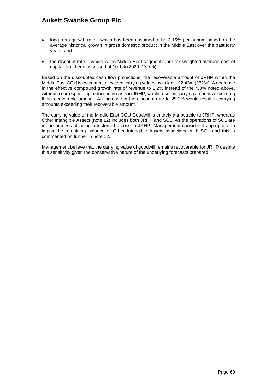- long term growth rate which has been assumed to be 3.15% per annum based on the average historical growth in gross domestic product in the Middle East over the past forty years; and
- the discount rate which is the Middle East segment's pre-tax weighted average cost of capital, has been assessed at 10.1% (2020: 13.7%).

Based on the discounted cash flow projections, the recoverable amount of JRHP within the Middle East CGU is estimated to exceed carrying values by at least £2.43m (252%). A decrease in the effective compound growth rate of revenue to 2.2% instead of the 4.3% noted above, without a corresponding reduction in costs in JRHP, would result in carrying amounts exceeding their recoverable amount. An increase in the discount rate to 29.2% would result in carrying amounts exceeding their recoverable amount.

The carrying value of the Middle East CGU Goodwill is entirely attributable to JRHP, whereas Other Intangible Assets (note 12) includes both JRHP and SCL. As the operations of SCL are in the process of being transferred across to JRHP, Management consider it appropriate to impair the remaining balance of Other Intangible Assets associated with SCL and this is commented on further in note 12.

Management believe that the carrying value of goodwill remains recoverable for JRHP despite this sensitivity given the conservative nature of the underlying forecasts prepared.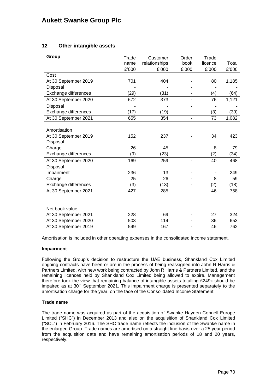### **12 Other intangible assets**

| Group                | Trade | Customer      | Order                    | Trade   |       |
|----------------------|-------|---------------|--------------------------|---------|-------|
|                      | name  | relationships | book                     | licence | Total |
|                      | £'000 | £'000         | £'000                    | £'000   | £'000 |
| Cost                 |       |               |                          |         |       |
| At 30 September 2019 | 701   | 404           |                          | 80      | 1,185 |
| Disposal             |       |               |                          |         |       |
| Exchange differences | (29)  | (31)          |                          | (4)     | (64)  |
| At 30 September 2020 | 672   | 373           |                          | 76      | 1,121 |
| Disposal             |       |               |                          |         |       |
| Exchange differences | (17)  | (19)          |                          | (3)     | (39)  |
| At 30 September 2021 | 655   | 354           | $\overline{\phantom{0}}$ | 73      | 1,082 |
|                      |       |               |                          |         |       |
| Amortisation         |       |               |                          |         |       |
| At 30 September 2019 | 152   | 237           |                          | 34      | 423   |
| Disposal             |       |               |                          |         |       |
| Charge               | 26    | 45            |                          | 8       | 79    |
| Exchange differences | (9)   | (23)          |                          | (2)     | (34)  |
| At 30 September 2020 | 169   | 259           |                          | 40      | 468   |
| Disposal             |       |               |                          |         |       |
| Impairment           | 236   | 13            |                          |         | 249   |
| Charge               | 25    | 26            |                          | 8       | 59    |
| Exchange differences | (3)   | (13)          |                          | (2)     | (18)  |
| At 30 September 2021 | 427   | 285           | ۰                        | 46      | 758   |
|                      |       |               |                          |         |       |
|                      |       |               |                          |         |       |
| Net book value       |       |               |                          |         |       |
| At 30 September 2021 | 228   | 69            |                          | 27      | 324   |
| At 30 September 2020 | 503   | 114           |                          | 36      | 653   |
| At 30 September 2019 | 549   | 167           |                          | 46      | 762   |

Amortisation is included in other operating expenses in the consolidated income statement.

#### **Impairment**

Following the Group's decision to restructure the UAE business, Shankland Cox Limited ongoing contracts have been or are in the process of being reassigned into John R Harris & Partners Limited, with new work being contracted by John R Harris & Partners Limited, and the remaining licences held by Shankland Cox Limited being allowed to expire. Management therefore took the view that remaining balance of intangible assets totalling £249k should be impaired as at 30<sup>th</sup> September 2021. This impairment charge is presented separately to the amortisation charge for the year, on the face of the Consolidated Income Statement

#### **Trade name**

The trade name was acquired as part of the acquisition of Swanke Hayden Connell Europe Limited ("SHC") in December 2013 and also on the acquisition of Shankland Cox Limited ("SCL") in February 2016. The SHC trade name reflects the inclusion of the Swanke name in the enlarged Group. Trade names are amortised on a straight line basis over a 25 year period from the acquisition date and have remaining amortisation periods of 18 and 20 years, respectively.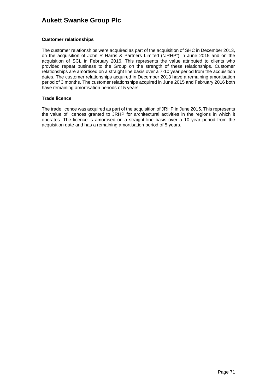### **Customer relationships**

The customer relationships were acquired as part of the acquisition of SHC in December 2013, on the acquisition of John R Harris & Partners Limited ("JRHP") in June 2015 and on the acquisition of SCL in February 2016. This represents the value attributed to clients who provided repeat business to the Group on the strength of these relationships. Customer relationships are amortised on a straight line basis over a 7-10 year period from the acquisition dates. The customer relationships acquired in December 2013 have a remaining amortisation period of 3 months. The customer relationships acquired in June 2015 and February 2016 both have remaining amortisation periods of 5 years.

### **Trade licence**

The trade licence was acquired as part of the acquisition of JRHP in June 2015. This represents the value of licences granted to JRHP for architectural activities in the regions in which it operates. The licence is amortised on a straight line basis over a 10 year period from the acquisition date and has a remaining amortisation period of 5 years.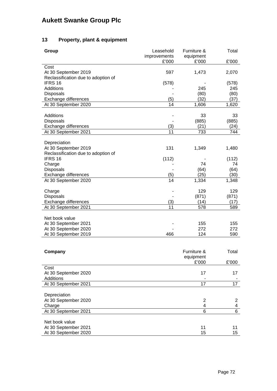# **13 Property, plant & equipment**

| Group                               | Leasehold             | Furniture &         | Total  |
|-------------------------------------|-----------------------|---------------------|--------|
|                                     | improvements<br>£'000 | equipment<br>£'000  | £'000  |
| Cost                                |                       |                     |        |
| At 30 September 2019                | 597                   | 1,473               | 2,070  |
| Reclassification due to adoption of |                       |                     |        |
| IFRS 16                             | (578)                 |                     | (578)  |
| <b>Additions</b>                    |                       | 245                 | 245    |
| <b>Disposals</b>                    |                       | (80)                | (80)   |
| Exchange differences                | (5)                   | (32)                | (37)   |
| At 30 September 2020                | 14                    | 1,606               | 1,620  |
| <b>Additions</b>                    |                       | 33                  | 33     |
| Disposals                           |                       | (885)               | (885)  |
| Exchange differences                | (3)                   | (21)                | (24)   |
| At 30 September 2021                | 11                    | 733                 | 744    |
|                                     |                       |                     |        |
| Depreciation                        |                       |                     |        |
| At 30 September 2019                | 131                   | 1,349               | 1,480  |
| Reclassification due to adoption of |                       |                     |        |
| IFRS 16                             | (112)                 |                     | (112)  |
| Charge                              |                       | 74                  | 74     |
| <b>Disposals</b>                    |                       | (64)                | (64)   |
| Exchange differences                | (5)<br>14             | (25)                | (30)   |
| At 30 September 2020                |                       | 1,334               | 1,348  |
| Charge                              |                       | 129                 | 129    |
| Disposals                           |                       | (871)               | (871)  |
| Exchange differences                | (3)                   | (14)                | (17)   |
| At 30 September 2021                | 11                    | 578                 | 589    |
|                                     |                       |                     |        |
| Net book value                      |                       |                     |        |
| At 30 September 2021                |                       | 155                 | 155    |
| At 30 September 2020                |                       | 272                 | 272    |
| At 30 September 2019                | 466                   | 124                 | 590    |
|                                     |                       |                     |        |
| Company                             |                       | Furniture &         | Total  |
|                                     |                       | equipment           |        |
|                                     |                       | £'000               | £'000  |
| Cost                                |                       |                     |        |
| At 30 September 2020                |                       | 17                  | 17     |
| <b>Additions</b>                    |                       |                     |        |
| At 30 September 2021                |                       | 17                  | 17     |
|                                     |                       |                     |        |
| Depreciation                        |                       |                     |        |
| At 30 September 2020                |                       | 2                   | 2      |
| Charge<br>At 30 September 2021      |                       | 4<br>$\overline{6}$ | 4<br>6 |
|                                     |                       |                     |        |
| Net book value                      |                       |                     |        |
| At 30 September 2021                |                       | 11                  | 11     |
| At 30 September 2020                |                       | 15                  | 15     |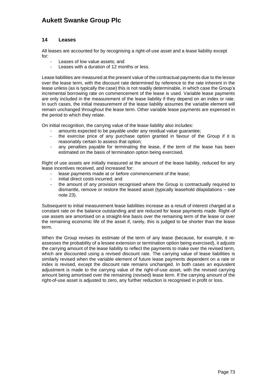### **14 Leases**

All leases are accounted for by recognising a right-of-use asset and a lease liability except for:

- Leases of low value assets; and
- Leases with a duration of 12 months or less.

Lease liabilities are measured at the present value of the contractual payments due to the lessor over the lease term, with the discount rate determined by reference to the rate inherent in the lease unless (as is typically the case) this is not readily determinable, in which case the Group's incremental borrowing rate on commencement of the lease is used. Variable lease payments are only included in the measurement of the lease liability if they depend on an index or rate. In such cases, the initial measurement of the lease liability assumes the variable element will remain unchanged throughout the lease term. Other variable lease payments are expensed in the period to which they relate.

On initial recognition, the carrying value of the lease liability also includes:

- amounts expected to be payable under any residual value guarantee;
- the exercise price of any purchase option granted in favour of the Group if it is reasonably certain to assess that option;
- any penalties payable for terminating the lease, if the term of the lease has been estimated on the basis of termination option being exercised.

Right of use assets are initially measured at the amount of the lease liability, reduced for any lease incentives received, and increased for:

- lease payments made at or before commencement of the lease;
- initial direct costs incurred; and
- the amount of any provision recognised where the Group is contractually required to dismantle, remove or restore the leased asset (typically leasehold dilapidations – see note 23).

Subsequent to initial measurement lease liabilities increase as a result of interest charged at a constant rate on the balance outstanding and are reduced for lease payments made. Right-of use assets are amortised on a straight-line basis over the remaining term of the lease or over the remaining economic life of the asset if, rarely, this is judged to be shorter than the lease term.

When the Group revises its estimate of the term of any lease (because, for example, it reassesses the probability of a lessee extension or termination option being exercised), it adjusts the carrying amount of the lease liability to reflect the payments to make over the revised term, which are discounted using a revised discount rate. The carrying value of lease liabilities is similarly revised when the variable element of future lease payments dependent on a rate or index is revised, except the discount rate remains unchanged. In both cases an equivalent adjustment is made to the carrying value of the right-of-use asset, with the revised carrying amount being amortised over the remaining (revised) lease term. If the carrying amount of the right-of-use asset is adjusted to zero, any further reduction is recognised in profit or loss.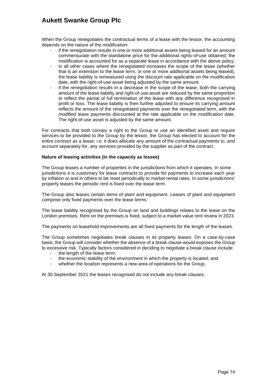When the Group renegotiates the contractual terms of a lease with the lessor, the accounting depends on the nature of the modification:

- if the renegotiation results in one or more additional assets being leased for an amount commensurate with the standalone price for the additional rights-of-use obtained, the modification is accounted for as a separate lease in accordance with the above policy;
- in all other cases where the renegotiated increases the scope of the lease (whether that is an extension to the lease term, or one or more additional assets being leased), the lease liability is remeasured using the discount rate applicable on the modification date, with the right-of-use asset being adjusted by the same amount;
- if the renegotiation results in a decrease in the scope of the lease, both the carrying amount of the lease liability and right-of-use asset are reduced by the same proportion to reflect the partial of full termination of the lease with any difference recognised in profit or loss. The lease liability is then further adjusted to ensure its carrying amount reflects the amount of the renegotiated payments over the renegotiated term, with the modified lease payments discounted at the rate applicable on the modification date. The right-of-use asset is adjusted by the same amount.

For contracts that both convey a right to the Group to use an identified asset and require services to be provided to the Group by the lessor, the Group has elected to account for the entire contract as a lease, i.e. it does allocate any amount of the contractual payments to, and account separately for, any services provided by the supplier as part of the contract.

#### **Nature of leasing activities (in the capacity as lessee)**

The Group leases a number of properties in the jurisdictions from which it operates. In some jurisdictions it is customary for lease contracts to provide for payments to increase each year by inflation or and in others to be reset periodically to market rental rates. In some jurisdictions' property leases the periodic rent is fixed over the lease term.

The Group also leases certain items of plant and equipment. Leases of plant and equipment comprise only fixed payments over the lease terms.

The lease liability recognised by the Group on land and buildings relates to the lease on the London premises. Rent on the premises is fixed, subject to a market value rent review in 2023.

The payments on leasehold improvements are all fixed payments for the length of the leases.

The Group sometimes negotiates break clauses in its property leases. On a case-by-case basis, the Group will consider whether the absence of a break clause would exposes the Group to excessive risk. Typically factors considered in deciding to negotiate a break clause include:

- the length of the lease term;
- the economic stability of the environment in which the property is located; and
- whether the location represents a new area of operations for the Group.

At 30 September 2021 the leases recognised do not include any break clauses.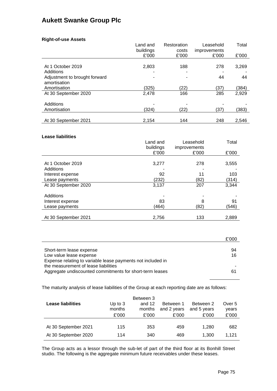### **Right-of-use Assets**

|                               | Land and  | Restoration | Leasehold    | Total |
|-------------------------------|-----------|-------------|--------------|-------|
|                               | buildings | costs       | improvements |       |
|                               | £'000     | £'000       | £'000        | £'000 |
|                               |           |             |              |       |
| At 1 October 2019             | 2,803     | 188         | 278          | 3,269 |
| Additions                     |           |             |              |       |
| Adjustment to brought forward |           |             | 44           | 44    |
| amortisation                  |           |             |              |       |
| Amortisation                  | (325)     | (22)        | (37)         | (384) |
| At 30 September 2020          | 2,478     | 166         | 285          | 2,929 |
|                               |           |             |              |       |
| Additions                     |           |             |              |       |
| Amortisation                  | (324)     | (22)        | (37)         | (383) |
|                               |           |             |              |       |
| At 30 September 2021          | 2.154     | 144         | 248          | 2.546 |

#### **Lease liabilities**

|                      | Land and  | Leasehold    | Total |
|----------------------|-----------|--------------|-------|
|                      | buildings | improvements |       |
|                      | £'000     | £'000        | £'000 |
|                      |           |              |       |
| At 1 October 2019    | 3,277     | 278          | 3,555 |
| Additions            |           |              |       |
| Interest expense     | 92        | 11           | 103   |
| Lease payments       | (232)     | (82)         | (314) |
| At 30 September 2020 | 3,137     | 207          | 3,344 |
|                      |           |              |       |
| Additions            |           |              |       |
| Interest expense     | 83        | 8            | 91    |
| Lease payments       | (464)     | (82)         | (546) |
|                      |           |              |       |
| At 30 September 2021 | 2,756     | 133          | 2,889 |

|                                                             | £'000 |
|-------------------------------------------------------------|-------|
|                                                             |       |
| Short-term lease expense                                    | 94    |
| Low value lease expense                                     | 16    |
| Expense relating to variable lease payments not included in |       |
| the measurement of lease liabilities                        |       |
| Aggregate undiscounted commitments for short-term leases    | 61    |

The maturity analysis of lease liabilities of the Group at each reporting date are as follows:

| <b>Lease liabilities</b> | Up to $3$<br>months<br>£'000 | Between 3<br>and $12$<br>months<br>£'000 | Between 1<br>and 2 years<br>£'000 | Between 2<br>and 5 years<br>£'000 | Over 5<br>years<br>£'000 |
|--------------------------|------------------------------|------------------------------------------|-----------------------------------|-----------------------------------|--------------------------|
| At 30 September 2021     | 115                          | 353                                      | 459                               | 1.280                             | 682                      |
| At 30 September 2020     | 114                          | 340                                      | 469                               | 1.300                             | 1.121                    |

The Group acts as a lessor through the sub-let of part of the third floor at its Bonhill Street studio. The following is the aggregate minimum future receivables under these leases.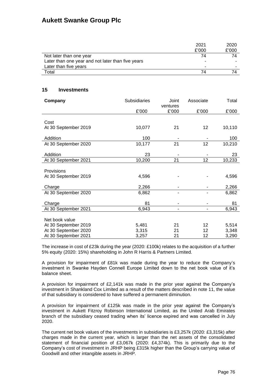|                                                   | 2021  | 2020  |
|---------------------------------------------------|-------|-------|
|                                                   | £'000 | £'000 |
| Not later than one year                           | 74    | 74    |
| Later than one year and not later than five years | -     | -     |
| Later than five years                             | -     | -     |
| Total                                             | 74    |       |

### **15 Investments**

| Company              | <b>Subsidiaries</b> | Joint    | Associate | Total  |
|----------------------|---------------------|----------|-----------|--------|
|                      |                     | ventures |           |        |
|                      | £'000               | £'000    | £'000     | £'000  |
|                      |                     |          |           |        |
| Cost                 |                     |          |           |        |
| At 30 September 2019 | 10,077              | 21       | 12        | 10,110 |
|                      |                     |          |           |        |
| Addition             | 100                 |          |           | 100    |
| At 30 September 2020 | 10,177              | 21       | 12        | 10,210 |
|                      |                     |          |           |        |
| Addition             | 23                  |          |           | 23     |
| At 30 September 2021 | 10,200              | 21       | 12        | 10,233 |
|                      |                     |          |           |        |
| Provisions           |                     |          |           |        |
| At 30 September 2019 | 4,596               |          |           | 4,596  |
|                      |                     |          |           |        |
| Charge               | 2,266               |          |           | 2,266  |
| At 30 September 2020 | 6,862               |          |           | 6,862  |
|                      |                     |          |           |        |
| Charge               | 81                  |          |           | 81     |
| At 30 September 2021 | 6,943               |          |           | 6,943  |
|                      |                     |          |           |        |
| Net book value       |                     |          |           |        |
| At 30 September 2019 | 5,481               | 21       | 12        | 5,514  |
| At 30 September 2020 | 3,315               | 21       | 12        | 3,348  |
| At 30 September 2021 | 3,257               | 21       | 12        | 3,290  |

The increase in cost of £23k during the year (2020: £100k) relates to the acquisition of a further 5% equity (2020: 15%) shareholding in John R Harris & Partners Limited.

A provision for impairment of £81k was made during the year to reduce the Company's investment in Swanke Hayden Connell Europe Limited down to the net book value of it's balance sheet.

A provision for impairment of £2,141k was made in the prior year against the Company's investment in Shankland Cox Limited as a result of the matters described in note 11, the value of that subsidiary is considered to have suffered a permanent diminution.

A provision for impairment of £125k was made in the prior year against the Company's investment in Aukett Fitzroy Robinson International Limited, as the United Arab Emirates branch of the subsidiary ceased trading when its' licence expired and was cancelled in July 2020.

The current net book values of the investments in subsidiaries is £3,257k (2020: £3,315k) after charges made in the current year, which is larger than the net assets of the consolidated statement of financial position of £3,067k (2020: £4,374k). This is primarily due to the Company's cost of investment in JRHP being £315k higher than the Group's carrying value of Goodwill and other intangible assets in JRHP.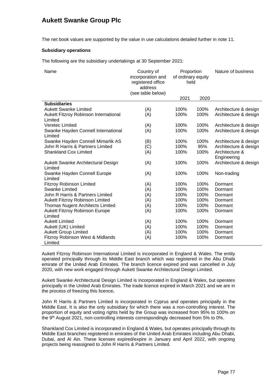The net book values are supported by the value in use calculations detailed further in note 11.

#### **Subsidiary operations**

The following are the subsidiary undertakings at 30 September 2021:

| Name                                             | Country of<br>incorporation and<br>registered office<br>address<br>(see table below) | Proportion<br>of ordinary equity<br>held |      | Nature of business    |
|--------------------------------------------------|--------------------------------------------------------------------------------------|------------------------------------------|------|-----------------------|
|                                                  |                                                                                      | 2021                                     | 2020 |                       |
| <b>Subsidiaries</b>                              |                                                                                      |                                          |      |                       |
| <b>Aukett Swanke Limited</b>                     | (A)                                                                                  | 100%                                     | 100% | Architecture & design |
| Aukett Fitzroy Robinson International<br>Limited | (A)                                                                                  | 100%                                     | 100% | Architecture & design |
| <b>Veretec Limited</b>                           | (A)                                                                                  | 100%                                     | 100% | Architecture & design |
| Swanke Hayden Connell International<br>Limited   | (A)                                                                                  | 100%                                     | 100% | Architecture & design |
| Swanke Hayden Connell Mimarlik AS                | (B)                                                                                  | 100%                                     | 100% | Architecture & design |
| John R Harris & Partners Limited                 | (C)                                                                                  | 100%                                     | 95%  | Architecture & design |
| <b>Shankland Cox Limited</b>                     | (A)                                                                                  | 100%                                     | 100% | Architecture &        |
|                                                  |                                                                                      |                                          |      | Engineering           |
| Aukett Swanke Architectural Design<br>Limited    | (A)                                                                                  | 100%                                     | 100% | Architecture & design |
| Swanke Hayden Connell Europe                     | (A)                                                                                  | 100%                                     | 100% | Non-trading           |
| Limited                                          |                                                                                      |                                          |      |                       |
| <b>Fitzroy Robinson Limited</b>                  | (A)                                                                                  | 100%                                     | 100% | Dormant               |
| Swanke Limited                                   | (A)                                                                                  | 100%                                     | 100% | Dormant               |
| John R Harris & Partners Limited                 | (A)                                                                                  | 100%                                     | 100% | Dormant               |
| Aukett Fitzroy Robinson Limited                  | (A)                                                                                  | 100%                                     | 100% | Dormant               |
| <b>Thomas Nugent Architects Limited</b>          | (A)                                                                                  | 100%                                     | 100% | Dormant               |
| <b>Aukett Fitzroy Robinson Europe</b>            | (A)                                                                                  | 100%                                     | 100% | Dormant               |
| Limited                                          |                                                                                      |                                          |      |                       |
| <b>Aukett Limited</b>                            | (A)                                                                                  | 100%                                     | 100% | Dormant               |
| Aukett (UK) Limited                              | (A)                                                                                  | 100%                                     | 100% | Dormant               |
| <b>Aukett Group Limited</b>                      | (A)                                                                                  | 100%                                     | 100% | Dormant               |
| Fitzroy Robinson West & Midlands                 | (A)                                                                                  | 100%                                     | 100% | Dormant               |
| Limited                                          |                                                                                      |                                          |      |                       |

Aukett Fitzroy Robinson International Limited is incorporated in England & Wales. The entity operated principally through its Middle East branch which was registered in the Abu Dhabi emirate of the United Arab Emirates. The branch licence expired and was cancelled in July 2020, with new work engaged through Aukett Swanke Architectural Design Limited.

Aukett Swanke Architectural Design Limited is incorporated in England & Wales, but operates principally in the United Arab Emirates. The trade licence expired in March 2021 and we are in the process of freezing this licence**.**

John R Harris & Partners Limited is incorporated in Cyprus and operates principally in the Middle East. It is also the only subsidiary for which there was a non-controlling interest. The proportion of equity and voting rights held by the Group was increased from 95% to 100% on the 9<sup>th</sup> August 2021, non-controlling interests correspondingly decreased from 5% to 0%.

Shankland Cox Limited is incorporated in England & Wales, but operates principally through its Middle East branches registered in emirates of the United Arab Emirates including Abu Dhabi, Dubai, and Al Ain. These licenses expired/expire in January and April 2022, with ongoing projects being reassigned to John R Harris & Partners Limited.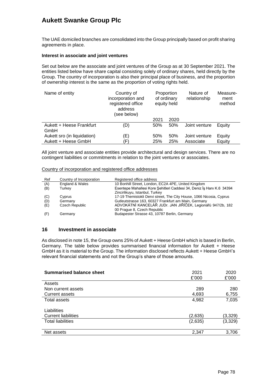The UAE domiciled branches are consolidated into the Group principally based on profit sharing agreements in place.

#### **Interest in associate and joint ventures**

Set out below are the associate and joint ventures of the Group as at 30 September 2021. The entities listed below have share capital consisting solely of ordinary shares, held directly by the Group. The country of incorporation is also their principal place of business, and the proportion of ownership interest is the same as the proportion of voting rights held.

| Name of entity              | Country of<br>incorporation and<br>registered office<br>address<br>(see below) |      | Proportion<br>of ordinary<br>equity held | Nature of<br>relationship | Measure-<br>ment<br>method |
|-----------------------------|--------------------------------------------------------------------------------|------|------------------------------------------|---------------------------|----------------------------|
|                             |                                                                                | 2021 | 2020                                     |                           |                            |
| Aukett + Heese Frankfurt    | (D)                                                                            | 50%  | 50%                                      | Joint venture             | Equity                     |
| GmbH                        |                                                                                |      |                                          |                           |                            |
| Aukett sro (in liquidation) | (E)                                                                            | 50%  | 50%                                      | Joint venture             | Equity                     |
| Aukett + Heese GmbH         | Έ)                                                                             | 25%  | 25%                                      | Associate                 | Equity                     |

All joint venture and associate entities provide architectural and design services. There are no contingent liabilities or commitments in relation to the joint ventures or associates.

| Country of incorporation and registered office addresses |
|----------------------------------------------------------|
|----------------------------------------------------------|

| Ref | Country of Incorporation | Registered office address                                             |
|-----|--------------------------|-----------------------------------------------------------------------|
| (A) | England & Wales          | 10 Bonhill Street, London, EC2A 4PE, United Kingdom                   |
| (B) | Turkey                   | Esentepe Mahallesi Kore Sehitleri Caddesi 34, Deniz İş Hanı K.6 34394 |
|     |                          | Zincirlikuyu, Istanbul, Turkey                                        |
| (C) | Cyprus                   | 17-19 Themistokli Dervi street, The City House, 1066 Nicosia, Cyprus  |
| (D) | Germany                  | Gutleutstrasse 163, 60327 Frankfurt am Main, Germany                  |
| (E) | Czech Republic           | ADVOKÁTNÍ KANCELÁŘ JUDr. JAN JIŘÍČEK, Legionářů 947/2b, 182           |
|     |                          | 00 Prague 8, Czech Republic                                           |
| (F) | Germany                  | Budapester Strasse 43, 10787 Berlin, Germany                          |
|     |                          |                                                                       |

#### **16 Investment in associate**

As disclosed in note 15, the Group owns 25% of Aukett + Heese GmbH which is based in Berlin, Germany. The table below provides summarised financial information for Aukett + Heese GmbH as it is material to the Group. The information disclosed reflects Aukett + Heese GmbH's relevant financial statements and not the Group's share of those amounts.

| <b>Summarised balance sheet</b>           | 2021<br>£'000 | 2020<br>£'000 |
|-------------------------------------------|---------------|---------------|
| Assets                                    |               |               |
| Non current assets                        | 289           | 280           |
| Current assets                            | 4,693         | 6,755         |
| Total assets                              | 4,982         | 7,035         |
| Liabilities<br><b>Current liabilities</b> | (2,635)       | (3,329)       |
| <b>Total liabilities</b>                  | (2,635)       | (3,329)       |
| Net assets                                | 2,347         | 3,706         |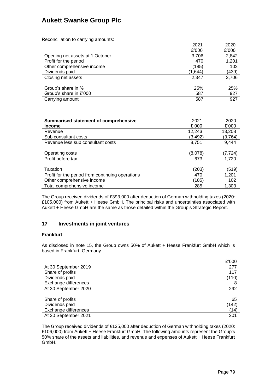Reconciliation to carrying amounts:

| <i>i</i> toochomation to barrying amounts. |         |       |
|--------------------------------------------|---------|-------|
|                                            | 2021    | 2020  |
|                                            | £'000   | £'000 |
| Opening net assets at 1 October            | 3,706   | 2,842 |
| Profit for the period                      | 470     | 1,201 |
| Other comprehensive income                 | (185)   | 102   |
| Dividends paid                             | (1,644) | (439) |
| Closing net assets                         | 2,347   | 3,706 |
| Group's share in %                         | 25%     | 25%   |
| Group's share in £'000                     | 587     | 927   |
| Carrying amount                            | 587     | 927   |
|                                            |         |       |

| Summarised statement of comprehensive            | 2021    | 2020    |
|--------------------------------------------------|---------|---------|
| income                                           | £'000   | £'000   |
| Revenue                                          | 12,243  | 13,208  |
| Sub consultant costs                             | (3,492) | (3,764) |
| Revenue less sub consultant costs                | 8,751   | 9.444   |
|                                                  |         |         |
| Operating costs                                  | (8,078) | (7,724) |
| Profit before tax                                | 673     | 1,720   |
|                                                  |         |         |
| Taxation                                         | (203)   | (519)   |
| Profit for the period from continuing operations | 470     | 1,201   |
| Other comprehensive income                       | (185)   | 102     |
| Total comprehensive income                       | 285     | 1.303   |

The Group received dividends of £393,000 after deduction of German withholding taxes (2020: £105,000) from Aukett + Heese GmbH. The principal risks and uncertainties associated with Aukett + Heese GmbH are the same as those detailed within the Group's Strategic Report.

### **17 Investments in joint ventures**

#### **Frankfurt**

As disclosed in note 15, the Group owns 50% of Aukett + Heese Frankfurt GmbH which is based in Frankfurt, Germany.

|                      | £'000 |
|----------------------|-------|
| At 30 September 2019 | 277   |
| Share of profits     | 117   |
| Dividends paid       | (110) |
| Exchange differences | 8     |
| At 30 September 2020 | 292   |
|                      |       |
| Share of profits     | 65    |
| Dividends paid       | (142) |
| Exchange differences | (14)  |
| At 30 September 2021 | 201   |

The Group received dividends of £135,000 after deduction of German withholding taxes (2020: £106,000) from Aukett + Heese Frankfurt GmbH. The following amounts represent the Group's 50% share of the assets and liabilities, and revenue and expenses of Aukett + Heese Frankfurt GmbH.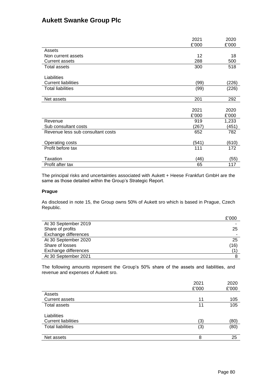|                                   | 2021<br>£'000 | 2020<br>£'000 |
|-----------------------------------|---------------|---------------|
| Assets                            |               |               |
| Non current assets                | 12            | 18            |
| <b>Current assets</b>             | 288           | 500           |
| Total assets                      | 300           | 518           |
| Liabilities                       |               |               |
| <b>Current liabilities</b>        | (99)          | (226)         |
| <b>Total liabilities</b>          | (99)          | (226)         |
| Net assets                        | 201           | 292           |
|                                   | 2021          | 2020          |
|                                   | £'000         | £'000         |
| Revenue                           | 919           | 1,233         |
| Sub consultant costs              | (267)         | (451)         |
| Revenue less sub consultant costs | 652           | 782           |
| Operating costs                   | (541)         | (610)         |
| Profit before tax                 | 111           | 172           |
| Taxation                          | (46)          | (55)          |
| Profit after tax                  | 65            | 117           |

The principal risks and uncertainties associated with Aukett + Heese Frankfurt GmbH are the same as those detailed within the Group's Strategic Report.

### **Prague**

As disclosed in note 15, the Group owns 50% of Aukett sro which is based in Prague, Czech Republic.

|                      | £'000 |
|----------------------|-------|
| At 30 September 2019 |       |
| Share of profits     | 25    |
| Exchange differences |       |
| At 30 September 2020 | 25    |
| Share of losses      | (16)  |
| Exchange differences |       |
| At 30 September 2021 |       |

The following amounts represent the Group's 50% share of the assets and liabilities, and revenue and expenses of Aukett sro.

|                            | 2021  | 2020  |
|----------------------------|-------|-------|
|                            | £'000 | £'000 |
| Assets                     |       |       |
| <b>Current assets</b>      | 11    | 105   |
| Total assets               | 11    | 105   |
|                            |       |       |
| Liabilities                |       |       |
| <b>Current liabilities</b> | (3)   | (80)  |
| <b>Total liabilities</b>   | (3)   | (80)  |
|                            |       |       |
| Net assets                 | 8     | 25    |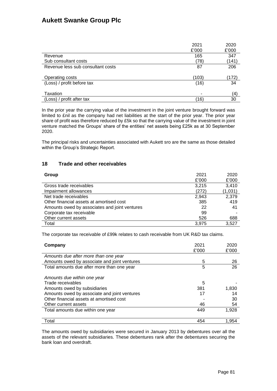| 2021  | 2020  |
|-------|-------|
| £'000 | £'000 |
| 165   | 347   |
| (78)  | (141) |
| 87    | 206   |
| (103) | (172) |
| (16)  | 34    |
|       | (4)   |
| (16)  | 30    |
|       |       |

In the prior year the carrying value of the investment in the joint venture brought forward was limited to £nil as the company had net liabilities at the start of the prior year. The prior year share of profit was therefore reduced by £5k so that the carrying value of the investment in joint venture matched the Groups' share of the entities' net assets being £25k as at 30 September 2020.

The principal risks and uncertainties associated with Aukett sro are the same as those detailed within the Group's Strategic Report.

### **18 Trade and other receivables**

| Group                                         | 2021  | 2020    |
|-----------------------------------------------|-------|---------|
|                                               | £'000 | £'000   |
| Gross trade receivables                       | 3.215 | 3,410   |
| Impairment allowances                         | (272) | (1,031) |
| Net trade receivables                         | 2,943 | 2,379   |
| Other financial assets at amortised cost      | 385   | 419     |
| Amounts owed by associates and joint ventures | 22    | 41      |
| Corporate tax receivable                      | 99    |         |
| Other current assets                          | 526   | 688     |
| Total                                         | 3.975 | 3,527   |

The corporate tax receivable of £99k relates to cash receivable from UK R&D tax claims.

| Company                                      | 2021<br>£'000 | 2020<br>£'000 |
|----------------------------------------------|---------------|---------------|
| Amounts due after more than one year         |               |               |
| Amounts owed by associate and joint ventures | 5             | 26            |
| Total amounts due after more than one year   | 5             | 26            |
| Amounts due within one year                  |               |               |
| Trade receivables                            | 5             |               |
| Amounts owed by subsidiaries                 | 381           | 1,830         |
| Amounts owed by associate and joint ventures | 17            | 14            |
| Other financial assets at amortised cost     |               | 30            |
| Other current assets                         | 46            | 54            |
| Total amounts due within one year            | 449           | 1,928         |
| Total                                        | 454           | 1.954         |

The amounts owed by subsidiaries were secured in January 2013 by debentures over all the assets of the relevant subsidiaries. These debentures rank after the debentures securing the bank loan and overdraft.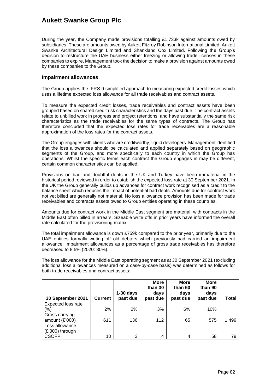During the year, the Company made provisions totalling £1,733k against amounts owed by subsidiaries. These are amounts owed by Aukett Fitzroy Robinson International Limited, Aukett Swanke Architectural Design Limited and Shankland Cox Limited. Following the Group's decision to restructure the UAE business either freezing or allowing trade licenses in these companies to expire, Management took the decision to make a provision against amounts owed by these companies to the Group.

#### **Impairment allowances**

The Group applies the IFRS 9 simplified approach to measuring expected credit losses which uses a lifetime expected loss allowance for all trade receivables and contract assets.

To measure the expected credit losses, trade receivables and contract assets have been grouped based on shared credit risk characteristics and the days past due. The contract assets relate to unbilled work in progress and project retentions, and have substantially the same risk characteristics as the trade receivables for the same types of contracts. The Group has therefore concluded that the expected loss rates for trade receivables are a reasonable approximation of the loss rates for the contract assets.

The Group engages with clients who are creditworthy, liquid developers. Management identified that the loss allowances should be calculated and applied separately based on geographic segments of the Group, and more specifically to each country in which the Group has operations. Whilst the specific terms each contract the Group engages in may be different, certain common characteristics can be applied.

Provisions on bad and doubtful debts in the UK and Turkey have been immaterial in the historical period reviewed in order to establish the expected loss rate at 30 September 2021. In the UK the Group generally builds up advances for contract work recognised as a credit to the balance sheet which reduces the impact of potential bad debts. Amounts due for contract work not yet billed are generally not material. No loss allowance provision has been made for trade receivables and contracts assets owed to Group entities operating in these countries.

Amounts due for contract work in the Middle East segment are material, with contracts in the Middle East often billed in arrears. Sizeable write offs in prior years have informed the overall rate calculated for the provisioning matrix.

The total impairment allowance is down £759k compared to the prior year, primarily due to the UAE entities formally writing off old debtors which previously had carried an impairment allowance. Impairment allowances as a percentage of gross trade receivables has therefore decreased to 8.5% (2020: 30%).

The loss allowance for the Middle East operating segment as at 30 September 2021 (excluding additional loss allowances measured on a case-by-case basis) was determined as follows for both trade receivables and contract assets:

|                    |                | $1-30$ days | <b>More</b><br>than 30<br>days | <b>More</b><br>than 60<br>days | <b>More</b><br>than 90<br>days |       |
|--------------------|----------------|-------------|--------------------------------|--------------------------------|--------------------------------|-------|
| 30 September 2021  | <b>Current</b> | past due    | past due                       | past due                       | past due                       | Total |
| Expected loss rate |                |             |                                |                                |                                |       |
| $\frac{1}{2}$      | 2%             | 2%          | 3%                             | 6%                             | 10%                            |       |
| Gross carrying     |                |             |                                |                                |                                |       |
| amount $(E'000)$   | 611            | 136         | 112                            | 65                             | 575                            | 1,499 |
| Loss allowance     |                |             |                                |                                |                                |       |
| $(E'000)$ through  |                |             |                                |                                |                                |       |
| <b>CSOFP</b>       | 10             | 3           | 4                              | 4                              | 58                             | 79    |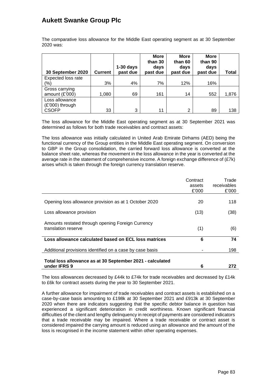The comparative loss allowance for the Middle East operating segment as at 30 September 2020 was:

|                                   |                | $1-30$ days | <b>More</b><br>than 30<br>days | <b>More</b><br>than 60<br>days | <b>More</b><br>than 90<br>days |       |
|-----------------------------------|----------------|-------------|--------------------------------|--------------------------------|--------------------------------|-------|
| 30 September 2020                 | <b>Current</b> | past due    | past due                       | past due                       | past due                       | Total |
| Expected loss rate                |                |             |                                |                                |                                |       |
| $\frac{1}{2}$                     | 3%             | 4%          | 7%                             | 12%                            | 16%                            |       |
| Gross carrying                    |                |             |                                |                                |                                |       |
| amount $(E'000)$                  | 1,080          | 69          | 161                            | 14                             | 552                            | 1,876 |
| Loss allowance<br>(£'000) through |                |             |                                |                                |                                |       |
| <b>CSOFP</b>                      | 33             | 3           | 11                             | 2                              | 89                             | 138   |

The loss allowance for the Middle East operating segment as at 30 September 2021 was determined as follows for both trade receivables and contract assets:

The loss allowance was initially calculated in United Arab Emirate Dirhams (AED) being the functional currency of the Group entities in the Middle East operating segment. On conversion to GBP in the Group consolidation, the carried forward loss allowance is converted at the balance sheet rate, whereas the movement in the loss allowance in the year is converted at the average rate in the statement of comprehensive income. A foreign exchange difference of (£7k) arises which is taken through the foreign currency translation reserve.

|                                                                           | Contract<br>assets<br>£'000 | Trade<br>receivables<br>£'000 |
|---------------------------------------------------------------------------|-----------------------------|-------------------------------|
| Opening loss allowance provision as at 1 October 2020                     | 20                          | 118                           |
| Loss allowance provision                                                  | (13)                        | (38)                          |
| Amounts restated through opening Foreign Currency<br>translation reserve  | (1)                         | (6)                           |
| Loss allowance calculated based on ECL loss matrices                      | 6                           | 74                            |
| Additional provisions identified on a case by case basis                  |                             | 198                           |
| Total loss allowance as at 30 September 2021 - calculated<br>under IFRS 9 | 6                           | 272                           |

The loss allowances decreased by £44k to £74k for trade receivables and decreased by £14k to £6k for contract assets during the year to 30 September 2021.

A further allowance for impairment of trade receivables and contract assets is established on a case-by-case basis amounting to £198k at 30 September 2021 and £913k at 30 September 2020 when there are indicators suggesting that the specific debtor balance in question has experienced a significant deterioration in credit worthiness. Known significant financial difficulties of the client and lengthy delinquency in receipt of payments are considered indicators that a trade receivable may be impaired. Where a trade receivable or contract asset is considered impaired the carrying amount is reduced using an allowance and the amount of the loss is recognised in the income statement within other operating expenses.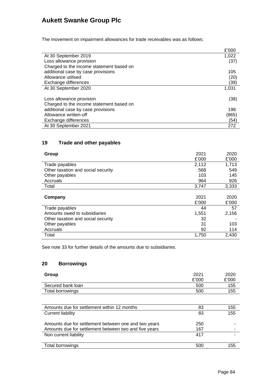The movement on impairment allowances for trade receivables was as follows:

|                                          | £'000 |
|------------------------------------------|-------|
| At 30 September 2019                     | 1.022 |
| Loss allowance provision                 | (37)  |
| Charged to the income statement based on |       |
| additional case by case provisions       | 105   |
| Allowance utilised                       | (20)  |
| Exchange differences                     | (39)  |
| At 30 September 2020                     | 1,031 |
|                                          |       |
| Loss allowance provision                 | (38)  |
| Charged to the income statement based on |       |
| additional case by case provisions       | 198   |
| Allowance written-off                    | (865) |
| Exchange differences                     | (54)  |
| At 30 September 2021                     | 272   |

### **19 Trade and other payables**

| Group                              | 2021<br>£'000 | 2020<br>£'000 |
|------------------------------------|---------------|---------------|
| Trade payables                     | 2,112         | 1,713         |
| Other taxation and social security | 568           | 549           |
| Other payables                     | 103           | 145           |
| Accruals                           | 964           | 926           |
| Total                              | 3,747         | 3,333         |
| Company                            | 2021<br>£'000 | 2020<br>£'000 |
| Trade payables                     | 44            | 57            |
| Amounts owed to subsidiaries       | 1,551         | 2,156         |
| Other taxation and social security | 32            |               |
| Other payables                     | 31            | 103           |
| Accruals                           | 92            | 114           |
| Total                              | 1,750         | 2,430         |

See note 33 for further details of the amounts due to subsidiaries.

### **20 Borrowings**

| Group             | 2021  | 2020  |
|-------------------|-------|-------|
|                   | £'000 | £'000 |
| Secured bank loan | 500   | 155   |
| Total borrowings  | 500   | 155   |

| Amounts due for settlement within 12 months           | 83  | 155 |
|-------------------------------------------------------|-----|-----|
| Current liability                                     | 83  | 155 |
|                                                       |     |     |
| Amounts due for settlement between one and two years  | 250 |     |
| Amounts due for settlement between two and five years | 167 |     |
| Non current liability                                 | 417 |     |
|                                                       |     |     |
| Total borrowings                                      | 500 | 155 |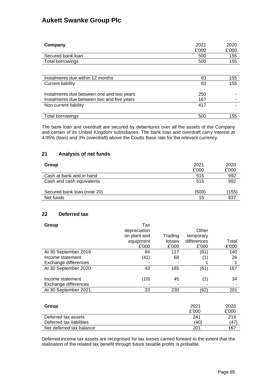| Company                                                                                 | 2021<br>£'000 | 2020<br>£'000 |
|-----------------------------------------------------------------------------------------|---------------|---------------|
| Secured bank loan                                                                       | 500           | 155           |
| Total borrowings                                                                        | 500           | 155           |
|                                                                                         |               |               |
| Instalments due within 12 months                                                        | 83            | 155           |
| Current liability                                                                       | 83            | 155           |
| Instalments due between one and two years<br>Instalments due between two and five years | 250<br>167    |               |
| Non current liability                                                                   | 417           |               |
|                                                                                         |               |               |
| Total borrowings                                                                        | 500           | 155           |

The bank loan and overdraft are secured by debentures over all the assets of the Company and certain of its United Kingdom subsidiaries. The bank loan and overdraft carry interest at 4.05% (loan) and 3% (overdraft) above the Coutts Base rate for the relevant currency.

### **21 Analysis of net funds**

| Group                       | 2021<br>£'000 | 2020<br>£'000 |
|-----------------------------|---------------|---------------|
| Cash at bank and in hand    | 515           | 992           |
| Cash and cash equivalents   | 515           | 992           |
| Secured bank loan (note 20) | (500)         | (155)         |
| Net funds                   | 15            | 837           |

### **22 Deferred tax**

| Group                    | Tax          |         |             |       |
|--------------------------|--------------|---------|-------------|-------|
|                          | depreciation |         | Other       |       |
|                          | on plant and | Trading | temporary   |       |
|                          | equipment    | losses  | differences | Total |
|                          | £'000        | £'000   | £'000       | £'000 |
| At 30 September 2019     | 84           | 117     | (61)        | 140   |
| Income statement         | (41)         | 68      | (1)         | 26    |
| Exchange differences     |              |         |             |       |
| At 30 September 2020     | 43           | 185     | (61)        | 167   |
|                          |              |         |             |       |
| Income statement         | (10)         | 45      | (1)         | 34    |
| Exchange differences     |              |         |             |       |
| At 30 September 2021     | 33           | 230     | (62)        | 201   |
|                          |              |         |             |       |
|                          |              |         |             |       |
| Group                    |              |         | 2021        | 2020  |
|                          |              |         | £'000       | £'000 |
| Deferred tax assets      |              |         | 241         | 214   |
| Deferred tax liabilities |              |         | (40)        | (47)  |
| Net deferred tax balance |              |         | 201         | 167   |

Deferred income tax assets are recognised for tax losses carried forward to the extent that the realisation of the related tax benefit through future taxable profits is probable.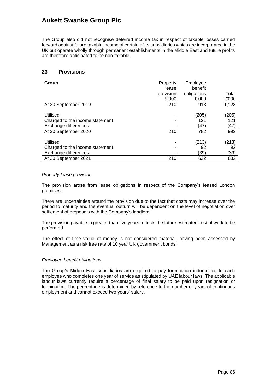The Group also did not recognise deferred income tax in respect of taxable losses carried forward against future taxable income of certain of its subsidiaries which are incorporated in the UK but operate wholly through permanent establishments in the Middle East and future profits are therefore anticipated to be non-taxable.

### **23 Provisions**

| Group                                                               | Property<br>lease<br>provision | Employee<br>benefit<br>obligations | Total                |
|---------------------------------------------------------------------|--------------------------------|------------------------------------|----------------------|
|                                                                     | £'000                          | £'000                              | £'000                |
| At 30 September 2019                                                | 210                            | 913                                | 1.123                |
| Utilised<br>Charged to the income statement<br>Exchange differences |                                | (205)<br>121<br>(47)               | (205)<br>121<br>(47) |
| At 30 September 2020                                                | 210                            | 782                                | 992                  |
| Utilised<br>Charged to the income statement<br>Exchange differences |                                | (213)<br>92<br>(39)                | (213)<br>92<br>(39)  |
| At 30 September 2021                                                | 210                            | 622                                | 832                  |

#### *Property lease provision*

The provision arose from lease obligations in respect of the Company's leased London premises.

There are uncertainties around the provision due to the fact that costs may increase over the period to maturity and the eventual outturn will be dependent on the level of negotiation over settlement of proposals with the Company's landlord.

The provision payable in greater than five years reflects the future estimated cost of work to be performed.

The effect of time value of money is not considered material, having been assessed by Management as a risk free rate of 10 year UK government bonds.

#### *Employee benefit obligations*

The Group's Middle East subsidiaries are required to pay termination indemnities to each employee who completes one year of service as stipulated by UAE labour laws. The applicable labour laws currently require a percentage of final salary to be paid upon resignation or termination. The percentage is determined by reference to the number of years of continuous employment and cannot exceed two years' salary.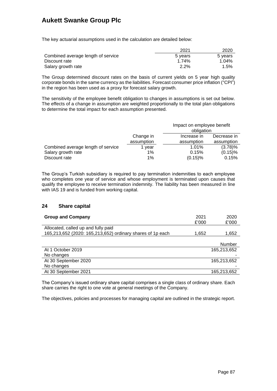The key actuarial assumptions used in the calculation are detailed below:

|                                    | 2021    | 2020    |
|------------------------------------|---------|---------|
| Combined average length of service | 5 years | 5 years |
| Discount rate                      | 1.74%   | 1.04%   |
| Salary growth rate                 | $2.2\%$ | 1.5%    |

The Group determined discount rates on the basis of current yields on 5 year high quality corporate bonds in the same currency as the liabilities. Forecast consumer price inflation ("CPI") in the region has been used as a proxy for forecast salary growth.

The sensitivity of the employee benefit obligation to changes in assumptions is set out below. The effects of a change in assumption are weighted proportionally to the total plan obligations to determine the total impact for each assumption presented.

|                                    |                          | Impact on employee benefit<br>obligation |             |  |
|------------------------------------|--------------------------|------------------------------------------|-------------|--|
|                                    | Change in                | Increase in                              | Decrease in |  |
|                                    | assumption<br>assumption |                                          | assumption  |  |
| Combined average length of service | vear                     | 1.01%                                    | $(3.78)\%$  |  |
| Salary growth rate                 | 1%                       | 0.15%                                    | $(0.15)$ %  |  |
| Discount rate                      | 1%                       | $(0.15)$ %                               | 0.15%       |  |

The Group's Turkish subsidiary is required to pay termination indemnities to each employee who completes one year of service and whose employment is terminated upon causes that qualify the employee to receive termination indemnity. The liability has been measured in line with IAS 19 and is funded from working capital.

### **24 Share capital**

| <b>Group and Company</b>                                   | 2021  | 2020        |
|------------------------------------------------------------|-------|-------------|
|                                                            | £'000 | £'000       |
| Allocated, called up and fully paid                        |       |             |
| 165,213,652 (2020: 165,213,652) ordinary shares of 1p each | 1,652 | 1,652       |
|                                                            |       |             |
|                                                            |       | Number      |
| At 1 October 2019                                          |       | 165,213,652 |
| No changes                                                 |       |             |
| At 30 September 2020                                       |       | 165,213,652 |
| No changes                                                 |       |             |
| At 30 September 2021                                       |       | 165,213,652 |

The Company's issued ordinary share capital comprises a single class of ordinary share. Each share carries the right to one vote at general meetings of the Company.

The objectives, policies and processes for managing capital are outlined in the strategic report.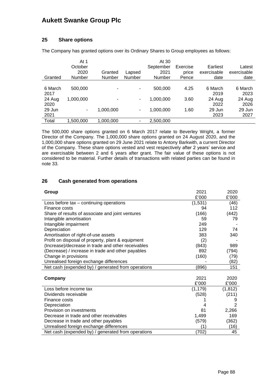### **25 Share options**

The Company has granted options over its Ordinary Shares to Group employees as follows:

|         | At 1          |           |               | At 30         |          |             |             |
|---------|---------------|-----------|---------------|---------------|----------|-------------|-------------|
|         | October       |           |               | September     | Exercise | Earliest    | Latest      |
|         | 2020          | Granted   | Lapsed        | 2021          | price    | exercisable | exercisable |
| Granted | <b>Number</b> | Number    | <b>Number</b> | <b>Number</b> | Pence    | date        | date        |
|         |               |           |               |               |          |             |             |
| 6 March | 500,000       | ۰         | ٠             | 500,000       | 4.25     | 6 March     | 6 March     |
| 2017    |               |           |               |               |          | 2019        | 2023        |
| 24 Aug  | 1,000,000     | ۰         | ٠             | 1,000,000     | 3.60     | 24 Aug      | 24 Aug      |
| 2020    |               |           |               |               |          | 2022        | 2026        |
| 29 Jun  | ۰             | 1,000,000 | ۰.            | 1,000,000     | 1.60     | 29 Jun      | 29 Jun      |
| 2021    |               |           |               |               |          | 2023        | 2027        |
| Total   | 1.500.000     | 1.000.000 | ۰             | 2,500,000     |          |             |             |

The 500,000 share options granted on 6 March 2017 relate to Beverley Wright, a former Director of the Company. The 1,000,000 share options granted on 24 August 2020, and the 1,000,000 share options granted on 29 June 2021 relate to Antony Barkwith, a current Director of the Company. These share options vested and vest respectively after 2 years' service and are exercisable between 2 and 6 years after grant. The fair value of these options is not considered to be material. Further details of transactions with related parties can be found in note 33.

### **26 Cash generated from operations**

| Group                                              | 2021     | 2020           |
|----------------------------------------------------|----------|----------------|
|                                                    | £'000    | £'000          |
| Loss before tax - continuing operations            | (1,531)  | (46)           |
| Finance costs                                      | 94       | 112            |
| Share of results of associate and joint ventures   | (166)    | (442)          |
| Intangible amortisation                            | 59       | 79             |
| Intangible impairment                              | 249      |                |
| Depreciation                                       | 129      | 74             |
| Amortisation of right-of-use assets                | 383      | 340            |
| Profit on disposal of property, plant & equipment  | (2)      |                |
| (Increase)/decrease in trade and other receivables | (843)    | 989            |
| (Decrease) / increase in trade and other payables  | 892      | (794)          |
| Change in provisions                               | (160)    | (79)           |
| Unrealised foreign exchange differences            |          | (82)           |
| Net cash (expended by) / generated from operations | (896)    | 151            |
|                                                    |          |                |
| Company                                            | 2021     | 2020           |
|                                                    | £'000    | £'000          |
| Loss before income tax                             | (1, 179) | (1, 812)       |
| Dividends receivable                               | (528)    | (211)          |
| Finance costs                                      |          |                |
| Depreciation                                       |          | $\overline{2}$ |
| Provision on investments                           | 81       | 2,266          |
| Decrease in trade and other receivables            | 1,499    | 169            |
| Decrease in trade and other payables               | (579)    | (362)          |
| Unrealised foreign exchange differences            | (1)      | (16)           |
| Net cash (expended by) / generated from operations | (702)    | 45             |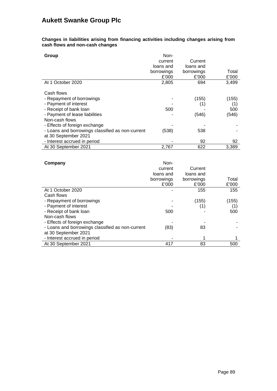**Changes in liabilities arising from financing activities including changes arising from cash flows and non-cash changes**

| Group                                            | Non-       |            |       |
|--------------------------------------------------|------------|------------|-------|
|                                                  | current    | Current    |       |
|                                                  | loans and  | loans and  |       |
|                                                  | borrowings | borrowings | Total |
|                                                  | £'000      | £'000      | £'000 |
| At 1 October 2020                                | 2,805      | 694        | 3,499 |
| Cash flows                                       |            |            |       |
| - Repayment of borrowings                        |            | (155)      | (155) |
| - Payment of interest                            |            | (1)        | (1)   |
| - Receipt of bank loan                           | 500        |            | 500   |
| - Payment of lease liabilities                   |            | (546)      | (546) |
| Non-cash flows                                   |            |            |       |
| - Effects of foreign exchange                    |            |            |       |
| - Loans and borrowings classified as non-current | (538)      | 538        |       |
| at 30 September 2021                             |            |            |       |
| - Interest accrued in period                     |            | 92         | 92    |
| At 30 September 2021                             | 2,767      | 622        | 3,389 |

| Company                                          | Non-       |            |       |
|--------------------------------------------------|------------|------------|-------|
|                                                  | current    | Current    |       |
|                                                  | loans and  | loans and  |       |
|                                                  | borrowings | borrowings | Total |
|                                                  | £'000      | £'000      | £'000 |
| At 1 October 2020                                |            | 155        | 155   |
| Cash flows                                       |            |            |       |
| - Repayment of borrowings                        |            | (155)      | (155) |
| - Payment of interest                            |            | (1)        | (1)   |
| - Receipt of bank loan                           | 500        |            | 500   |
| Non-cash flows                                   |            |            |       |
| - Effects of foreign exchange                    |            |            |       |
| - Loans and borrowings classified as non-current | (83)       | 83         |       |
| at 30 September 2021                             |            |            |       |
| - Interest accrued in period                     |            |            |       |
| At 30 September 2021                             | 417        | 83         | 500   |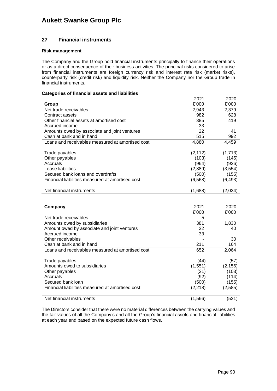### **27 Financial instruments**

#### **Risk management**

The Company and the Group hold financial instruments principally to finance their operations or as a direct consequence of their business activities. The principal risks considered to arise from financial instruments are foreign currency risk and interest rate risk (market risks), counterparty risk (credit risk) and liquidity risk. Neither the Company nor the Group trade in financial instruments.

#### **Categories of financial assets and liabilities**

|                                                  | 2021     | 2020     |
|--------------------------------------------------|----------|----------|
| Group                                            | £'000    | £'000    |
| Net trade receivables                            | 2,943    | 2,379    |
| Contract assets                                  | 982      | 628      |
| Other financial assets at amortised cost         | 385      | 419      |
| Accrued income                                   | 33       |          |
| Amounts owed by associate and joint ventures     | 22       | 41       |
| Cash at bank and in hand                         | 515      | 992      |
| Loans and receivables measured at amortised cost | 4,880    | 4,459    |
|                                                  |          |          |
| Trade payables                                   | (2, 112) | (1,713)  |
| Other payables                                   | (103)    | (145)    |
| Accruals                                         | (964)    | (926)    |
| Lease liabilities                                | (2,889)  | (3, 554) |
| Secured bank loans and overdrafts                | (500)    | (155)    |
| Financial liabilities measured at amortised cost | (6, 568) | (6, 493) |
|                                                  |          |          |
| Net financial instruments                        | (1,688)  | (2,034)  |
|                                                  |          |          |
|                                                  |          |          |
| Company                                          | 2021     | 2020     |
|                                                  | £'000    | £'000    |
| Net trade receivables                            | 5        |          |
| Amounts owed by subsidiaries                     | 381      | 1,830    |
| Amount owed by associate and joint ventures      | 22       | 40       |
| Accrued income                                   | 33       |          |
| Other receivables                                |          | 30       |
| Cash at bank and in hand                         | 211      | 164      |
| Loans and receivables measured at amortised cost | 652      | 2,064    |
|                                                  |          |          |
| Trade payables                                   | (44)     | (57)     |
| Amounts owed to subsidiaries                     | (1,551)  | (2, 156) |
| Other payables                                   | (31)     | (103)    |

| Net financial instruments                                                                           | (1,566) | (521) |
|-----------------------------------------------------------------------------------------------------|---------|-------|
|                                                                                                     |         |       |
| The Directors consider that there were no material differences between the carrying values and      |         |       |
| the fair values of all the Company's and all the Group's financial assets and financial liabilities |         |       |
| at each year end based on the expected future cash flows.                                           |         |       |

Accruals (92) (114) Secured bank loan (155) (155) Financial liabilities measured at amortised cost (2,218) (2,585)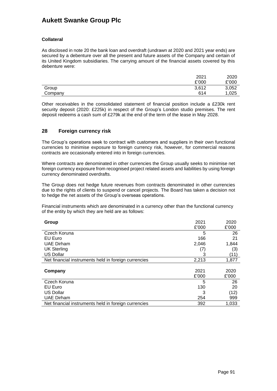### **Collateral**

As disclosed in note 20 the bank loan and overdraft (undrawn at 2020 and 2021 year ends) are secured by a debenture over all the present and future assets of the Company and certain of its United Kingdom subsidiaries. The carrying amount of the financial assets covered by this debenture were:

|         | 2021  | 2020  |
|---------|-------|-------|
|         | £'000 | £'000 |
| Group   | 3,612 | 3,052 |
| Company | 614   | 1,025 |

Other receivables in the consolidated statement of financial position include a £230k rent security deposit (2020: £225k) in respect of the Group's London studio premises. The rent deposit redeems a cash sum of £279k at the end of the term of the lease in May 2028.

### **28 Foreign currency risk**

The Group's operations seek to contract with customers and suppliers in their own functional currencies to minimise exposure to foreign currency risk, however, for commercial reasons contracts are occasionally entered into in foreign currencies.

Where contracts are denominated in other currencies the Group usually seeks to minimise net foreign currency exposure from recognised project related assets and liabilities by using foreign currency denominated overdrafts.

The Group does not hedge future revenues from contracts denominated in other currencies due to the rights of clients to suspend or cancel projects. The Board has taken a decision not to hedge the net assets of the Group's overseas operations.

Financial instruments which are denominated in a currency other than the functional currency of the entity by which they are held are as follows:

| Group                                                | 2021  | 2020  |
|------------------------------------------------------|-------|-------|
|                                                      | £'000 | £'000 |
| Czech Koruna                                         | 5     | 26    |
| EU Euro                                              | 166   | 21    |
| <b>UAE Dirham</b>                                    | 2,046 | 1,844 |
| <b>UK Sterling</b>                                   | (7)   | (3)   |
| <b>US Dollar</b>                                     | 3     | (11)  |
| Net financial instruments held in foreign currencies | 2,213 | 1,877 |
|                                                      |       |       |
| Company                                              | 2021  | 2020  |
|                                                      | £'000 | £'000 |
| Czech Koruna                                         | 5     | 26    |
| EU Euro                                              | 130   | 20    |
| <b>US Dollar</b>                                     | 3     | (12)  |
| <b>UAE Dirham</b>                                    | 254   | 999   |
| Net financial instruments held in foreign currencies | 392   | 1,033 |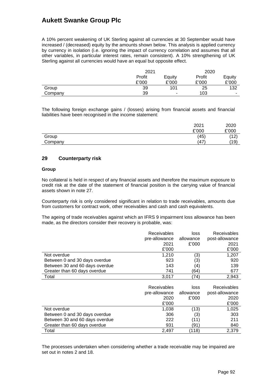A 10% percent weakening of UK Sterling against all currencies at 30 September would have increased / (decreased) equity by the amounts shown below. This analysis is applied currency by currency in isolation (i.e. ignoring the impact of currency correlation and assumes that all other variables, in particular interest rates, remain consistent). A 10% strengthening of UK Sterling against all currencies would have an equal but opposite effect.

|         | 2021   |        | 2020   |        |
|---------|--------|--------|--------|--------|
|         | Profit | Equity | Profit | Equity |
|         | £'000  | £'000  | £'000  | £'000  |
| Group   | 39     | 101    | 25     | 132    |
| Company | 39     | -      | 103    | -      |

The following foreign exchange gains / (losses) arising from financial assets and financial liabilities have been recognised in the income statement:

|         | 2021        | 2020  |
|---------|-------------|-------|
|         | £'000       | £'000 |
| Group   | (45)        | (12)  |
| Company | $.47^\circ$ | (19)  |

### **29 Counterparty risk**

#### **Group**

No collateral is held in respect of any financial assets and therefore the maximum exposure to credit risk at the date of the statement of financial position is the carrying value of financial assets shown in note 27.

Counterparty risk is only considered significant in relation to trade receivables, amounts due from customers for contract work, other receivables and cash and cash equivalents.

The ageing of trade receivables against which an IFRS 9 impairment loss allowance has been made, as the directors consider their recovery is probable, was:

|                                | <b>Receivables</b> | loss      | <b>Receivables</b> |
|--------------------------------|--------------------|-----------|--------------------|
|                                | pre-allowance      | allowance | post-allowance     |
|                                | 2021               | £'000     | 2021               |
|                                | £'000              |           | £'000              |
| Not overdue                    | 1.210              | (3)       | 1,207              |
| Between 0 and 30 days overdue  | 923                | (3)       | 920                |
| Between 30 and 60 days overdue | 143                | (4)       | 139                |
| Greater than 60 days overdue   | 741                | (64)      | 677                |
| Total                          | 3.017              | (74)      | 2,943              |

|                                | Receivables<br>pre-allowance<br>2020<br>£'000 | loss<br>allowance<br>£'000 | <b>Receivables</b><br>post-allowance<br>2020<br>£'000 |
|--------------------------------|-----------------------------------------------|----------------------------|-------------------------------------------------------|
| Not overdue                    | 1,038                                         | (13)                       | 1,025                                                 |
| Between 0 and 30 days overdue  | 306                                           | (3)                        | 303                                                   |
| Between 30 and 60 days overdue | 222                                           | (11)                       | 211                                                   |
| Greater than 60 days overdue   | 931                                           | (91)                       | 840                                                   |
| Total                          | 2.497                                         | (118)                      | 2,379                                                 |

The processes undertaken when considering whether a trade receivable may be impaired are set out in notes 2 and 18.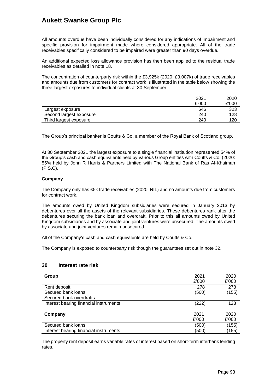All amounts overdue have been individually considered for any indications of impairment and specific provision for impairment made where considered appropriate. All of the trade receivables specifically considered to be impaired were greater than 90 days overdue.

An additional expected loss allowance provision has then been applied to the residual trade receivables as detailed in note 18.

The concentration of counterparty risk within the £3,925k (2020: £3,007k) of trade receivables and amounts due from customers for contract work is illustrated in the table below showing the three largest exposures to individual clients at 30 September.

|                         | 2021  | 2020  |
|-------------------------|-------|-------|
|                         | £'000 | £'000 |
| Largest exposure        | 646   | 323   |
| Second largest exposure | 240   | 128   |
| Third largest exposure  | 240   | 120   |

The Group's principal banker is Coutts & Co, a member of the Royal Bank of Scotland group.

At 30 September 2021 the largest exposure to a single financial institution represented 54% of the Group's cash and cash equivalents held by various Group entities with Coutts & Co. (2020: 55% held by John R Harris & Partners Limited with The National Bank of Ras Al-Khaimah (P.S.C).

#### **Company**

The Company only has £5k trade receivables (2020: NIL) and no amounts due from customers for contract work.

The amounts owed by United Kingdom subsidiaries were secured in January 2013 by debentures over all the assets of the relevant subsidiaries. These debentures rank after the debentures securing the bank loan and overdraft. Prior to this all amounts owed by United Kingdom subsidiaries and by associate and joint ventures were unsecured. The amounts owed by associate and joint ventures remain unsecured.

All of the Company's cash and cash equivalents are held by Coutts & Co.

The Company is exposed to counterparty risk though the guarantees set out in note 32.

#### **30 Interest rate risk**

| Group                                  | 2021  | 2020  |
|----------------------------------------|-------|-------|
|                                        | £'000 | £'000 |
| Rent deposit                           | 278   | 278   |
| Secured bank loans                     | (500) | (155) |
| Secured bank overdrafts                |       |       |
| Interest bearing financial instruments | (222) | 123   |
|                                        |       |       |
| Company                                | 2021  | 2020  |
|                                        | £'000 | £'000 |
| Secured bank loans                     | (500) | (155) |
| Interest bearing financial instruments | (500) | (155) |

The property rent deposit earns variable rates of interest based on short-term interbank lending rates.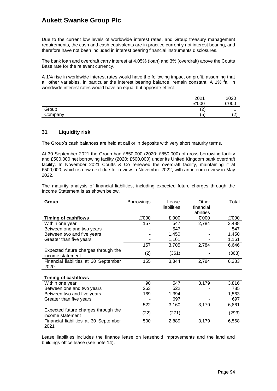Due to the current low levels of worldwide interest rates, and Group treasury management requirements, the cash and cash equivalents are in practice currently not interest bearing, and therefore have not been included in interest bearing financial instruments disclosures.

The bank loan and overdraft carry interest at 4.05% (loan) and 3% (overdraft) above the Coutts Base rate for the relevant currency.

A 1% rise in worldwide interest rates would have the following impact on profit, assuming that all other variables, in particular the interest bearing balance, remain constant. A 1% fall in worldwide interest rates would have an equal but opposite effect.

|         | 2021            | 2020        |
|---------|-----------------|-------------|
|         | £'000           | £'000       |
| Group   | $\sqrt{2}$<br>▵ |             |
| Company | (5              | $\sim$<br>∼ |

### **31 Liquidity risk**

The Group's cash balances are held at call or in deposits with very short maturity terms.

At 30 September 2021 the Group had £850,000 (2020: £850,000) of gross borrowing facility and £500,000 net borrowing facility (2020: £500,000) under its United Kingdom bank overdraft facility. In November 2021 Coutts & Co renewed the overdraft facility, maintaining it at £500,000, which is now next due for review in November 2022, with an interim review in May 2022.

The maturity analysis of financial liabilities, including expected future charges through the Income Statement is as shown below.

| Group                                                   | <b>Borrowings</b> | Lease<br>liabilities | Other<br>financial<br>liabilities | Total |
|---------------------------------------------------------|-------------------|----------------------|-----------------------------------|-------|
| <b>Timing of cashflows</b>                              | £'000             | £'000                | £'000                             | £'000 |
| Within one year                                         | 157               | 547                  | 2,784                             | 3,488 |
| Between one and two years                               |                   | 547                  |                                   | 547   |
| Between two and five years                              |                   | 1,450                |                                   | 1,450 |
| Greater than five years                                 |                   | 1,161                |                                   | 1,161 |
|                                                         | 157               | 3,705                | 2,784                             | 6,646 |
| Expected future charges through the<br>income statement | (2)               | (361)                |                                   | (363) |
| Financial liabilities at 30 September<br>2020           | 155               | 3,344                | 2,784                             | 6,283 |
| <b>Timing of cashflows</b>                              |                   |                      |                                   |       |
| Within one year                                         | 90                | 547                  | 3,179                             | 3,816 |
| Between one and two years                               | 263               | 522                  |                                   | 785   |
| Between two and five years                              | 169               | 1,394                |                                   | 1,563 |
| Greater than five years                                 |                   | 697                  |                                   | 697   |
|                                                         | 522               | 3,160                | 3,179                             | 6,861 |
| Expected future charges through the<br>income statement | (22)              | (271)                |                                   | (293) |
| Financial liabilities at 30 September<br>2021           | 500               | 2,889                | 3,179                             | 6,568 |

Lease liabilities includes the finance lease on leasehold improvements and the land and buildings office lease (see note 14).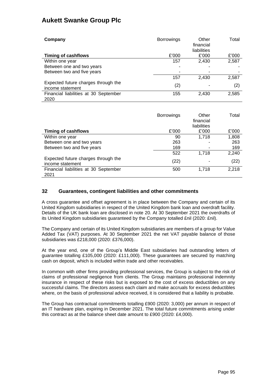| Company                                                 | <b>Borrowings</b> | Other<br>financial<br>liabilities | Total |
|---------------------------------------------------------|-------------------|-----------------------------------|-------|
| <b>Timing of cashflows</b>                              | £'000             | £'000                             | £'000 |
| Within one year                                         | 157               | 2,430                             | 2,587 |
| Between one and two years                               |                   |                                   |       |
| Between two and five years                              |                   | ۰                                 | ۰     |
|                                                         | 157               | 2,430                             | 2,587 |
| Expected future charges through the<br>income statement | (2)               |                                   | (2)   |
| Financial liabilities at 30 September                   | 155               | 2,430                             | 2,585 |
| 2020                                                    |                   |                                   |       |

|                                                         | <b>Borrowings</b> | Other<br>financial<br>liabilities | Total |
|---------------------------------------------------------|-------------------|-----------------------------------|-------|
| <b>Timing of cashflows</b>                              | £'000             | £'000                             | £'000 |
| Within one year                                         | 90                | 1,718                             | 1,808 |
| Between one and two years                               | 263               | ۰                                 | 263   |
| Between two and five years                              | 169               | ۰                                 | 169   |
|                                                         | 522               | 1.718                             | 2,240 |
| Expected future charges through the<br>income statement | (22)              | ۰                                 | (22)  |
| Financial liabilities at 30 September<br>2021           | 500               | 1.718                             | 2,218 |

### **32 Guarantees, contingent liabilities and other commitments**

A cross guarantee and offset agreement is in place between the Company and certain of its United Kingdom subsidiaries in respect of the United Kingdom bank loan and overdraft facility. Details of the UK bank loan are disclosed in note 20. At 30 September 2021 the overdrafts of its United Kingdom subsidiaries guaranteed by the Company totalled £nil (2020: £nil).

The Company and certain of its United Kingdom subsidiaries are members of a group for Value Added Tax (VAT) purposes. At 30 September 2021 the net VAT payable balance of those subsidiaries was £218,000 (2020: £376,000).

At the year end, one of the Group's Middle East subsidiaries had outstanding letters of guarantee totalling £105,000 (2020: £111,000). These guarantees are secured by matching cash on deposit, which is included within trade and other receivables.

In common with other firms providing professional services, the Group is subject to the risk of claims of professional negligence from clients. The Group maintains professional indemnity insurance in respect of these risks but is exposed to the cost of excess deductibles on any successful claims. The directors assess each claim and make accruals for excess deductibles where, on the basis of professional advice received, it is considered that a liability is probable.

The Group has contractual commitments totalling £900 (2020: 3,000) per annum in respect of an IT hardware plan, expiring in December 2021. The total future commitments arising under this contract as at the balance sheet date amount to £900 (2020: £4,000).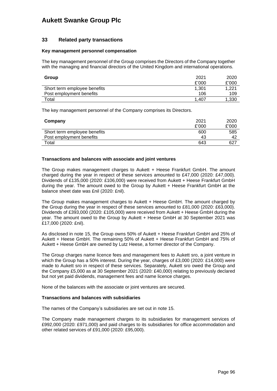#### **33 Related party transactions**

#### **Key management personnel compensation**

The key management personnel of the Group comprises the Directors of the Company together with the managing and financial directors of the United Kingdom and international operations.

| Group                        | 2021<br>£'000 | 2020<br>£'000 |
|------------------------------|---------------|---------------|
| Short term employee benefits | 1.301         | 1.221         |
| Post employment benefits     | 106           | 109           |
| Total                        | 1.407         | 1,330         |

The key management personnel of the Company comprises its Directors.

| Company                      | 2021  | 2020  |
|------------------------------|-------|-------|
|                              | £'000 | £'000 |
| Short term employee benefits | 600   | 585   |
| Post employment benefits     | 43    | 42    |
| Total                        | 643   | 627   |

#### **Transactions and balances with associate and joint ventures**

The Group makes management charges to Aukett + Heese Frankfurt GmbH. The amount charged during the year in respect of these services amounted to £47,000 (2020: £47,000). Dividends of £135,000 (2020: £106,000) were received from Aukett + Heese Frankfurt GmbH during the year. The amount owed to the Group by Aukett + Heese Frankfurt GmbH at the balance sheet date was £nil (2020: £nil).

The Group makes management charges to Aukett + Heese GmbH. The amount charged by the Group during the year in respect of these services amounted to £81,000 (2020: £63,000). Dividends of £393,000 (2020: £105,000) were received from Aukett + Heese GmbH during the year. The amount owed to the Group by Aukett + Heese GmbH at 30 September 2021 was £17,000 (2020: £nil).

As disclosed in note 15, the Group owns 50% of Aukett + Heese Frankfurt GmbH and 25% of Aukett + Heese GmbH. The remaining 50% of Aukett + Heese Frankfurt GmbH and 75% of Aukett + Heese GmbH are owned by Lutz Heese, a former director of the Company.

The Group charges name licence fees and management fees to Aukett sro, a joint venture in which the Group has a 50% interest. During the year, charges of £3,000 (2020: £14,000) were made to Aukett sro in respect of these services. Separately, Aukett sro owed the Group and the Company £5,000 as at 30 September 2021 (2020: £40,000) relating to previously declared but not yet paid dividends, management fees and name licence charges.

None of the balances with the associate or joint ventures are secured.

#### **Transactions and balances with subsidiaries**

The names of the Company's subsidiaries are set out in note 15.

The Company made management charges to its subsidiaries for management services of £992,000 (2020: £971,000) and paid charges to its subsidiaries for office accommodation and other related services of £91,000 (2020: £95,000).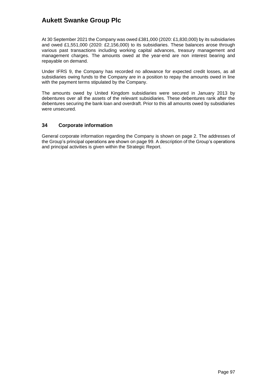At 30 September 2021 the Company was owed £381,000 (2020: £1,830,000) by its subsidiaries and owed £1,551,000 (2020: £2,156,000) to its subsidiaries. These balances arose through various past transactions including working capital advances, treasury management and management charges. The amounts owed at the year-end are non interest bearing and repayable on demand.

Under IFRS 9, the Company has recorded no allowance for expected credit losses, as all subsidiaries owing funds to the Company are in a position to repay the amounts owed in line with the payment terms stipulated by the Company.

The amounts owed by United Kingdom subsidiaries were secured in January 2013 by debentures over all the assets of the relevant subsidiaries. These debentures rank after the debentures securing the bank loan and overdraft. Prior to this all amounts owed by subsidiaries were unsecured.

### **34 Corporate information**

General corporate information regarding the Company is shown on page 2. The addresses of the Group's principal operations are shown on page 99. A description of the Group's operations and principal activities is given within the Strategic Report.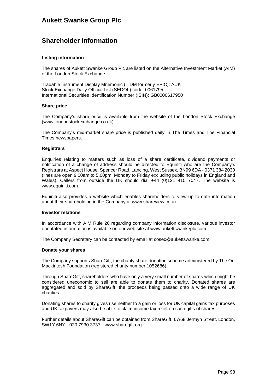## **Shareholder information**

#### **Listing information**

The shares of Aukett Swanke Group Plc are listed on the Alternative Investment Market (AIM) of the London Stock Exchange.

Tradable Instrument Display Mnemonic (TIDM formerly EPIC): AUK Stock Exchange Daily Official List (SEDOL) code: 0061795 International Securities Identification Number (ISIN): GB0000617950

#### **Share price**

The Company's share price is available from the website of the London Stock Exchange (www.londonstockexchange.co.uk).

The Company's mid-market share price is published daily in The Times and The Financial Times newspapers.

#### **Registrars**

Enquiries relating to matters such as loss of a share certificate, dividend payments or notification of a change of address should be directed to Equiniti who are the Company's Registrars at Aspect House, Spencer Road, Lancing, West Sussex, BN99 6DA - 0371 384 2030 (lines are open 9.00am to 5.00pm, Monday to Friday excluding public holidays in England and Wales). Callers from outside the UK should dial +44 (0)121 415 7047. The website is [www.equiniti.com.](http://www.equiniti.com/)

Equiniti also provides a website which enables shareholders to view up to date information about their shareholding in the Company at www.shareview.co.uk.

#### **Investor relations**

In accordance with AIM Rule 26 regarding company information disclosure, various investor orientated information is available on our web site at www.aukettswankeplc.com.

The Company Secretary can be contacted by email at cosec@aukettswanke.com.

#### **Donate your shares**

The Company supports ShareGift, the charity share donation scheme administered by The Orr Mackintosh Foundation (registered charity number 1052686).

Through ShareGift, shareholders who have only a very small number of shares which might be considered uneconomic to sell are able to donate them to charity. Donated shares are aggregated and sold by ShareGift, the proceeds being passed onto a wide range of UK charities.

Donating shares to charity gives rise neither to a gain or loss for UK capital gains tax purposes and UK taxpayers may also be able to claim income tax relief on such gifts of shares.

Further details about ShareGift can be obtained from ShareGift, 67/68 Jermyn Street, London, SW1Y 6NY - 020 7930 3737 - [www.sharegift.org.](http://www.sharegift.org/)